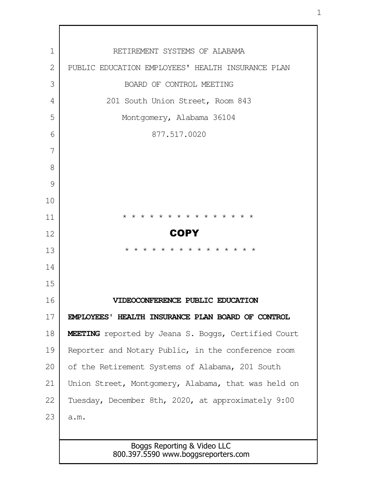| $\mathbf{1}$   | RETIREMENT SYSTEMS OF ALABAMA                                      |
|----------------|--------------------------------------------------------------------|
| $\overline{2}$ | PUBLIC EDUCATION EMPLOYEES' HEALTH INSURANCE PLAN                  |
| 3              | BOARD OF CONTROL MEETING                                           |
| 4              | 201 South Union Street, Room 843                                   |
| 5              | Montgomery, Alabama 36104                                          |
| 6              | 877.517.0020                                                       |
| 7              |                                                                    |
| 8              |                                                                    |
| 9              |                                                                    |
| 10             |                                                                    |
| 11             | * * * * * * * * * * * * * * *                                      |
| 12             | <b>COPY</b>                                                        |
| 13             | * * * * * * * * * * * * * * *                                      |
| 14             |                                                                    |
| 15             |                                                                    |
| 16             | IDEOCONFERENCE PUBLIC EDUCATION                                    |
| 17             | EMPLOYEES' HEALTH INSURANCE PLAN BOARD OF CONTROL                  |
| 18             | MEETING reported by Jeana S. Boggs, Certified Court                |
| 19             | Reporter and Notary Public, in the conference room                 |
| 20             | of the Retirement Systems of Alabama, 201 South                    |
| 21             | Union Street, Montgomery, Alabama, that was held on                |
| 22             | Tuesday, December 8th, 2020, at approximately 9:00                 |
| 23             | a.m.                                                               |
|                |                                                                    |
|                | Boggs Reporting & Video LLC<br>800.397.5590 www.boggsreporters.com |

г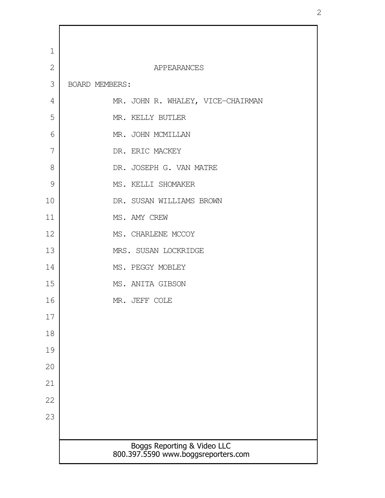| $\mathbf 1$    |                                                                    |
|----------------|--------------------------------------------------------------------|
| $\overline{2}$ | APPEARANCES                                                        |
| 3              | BOARD MEMBERS:                                                     |
| 4              | MR. JOHN R. WHALEY, VICE-CHAIRMAN                                  |
| 5              | MR. KELLY BUTLER                                                   |
| 6              | MR. JOHN MCMILLAN                                                  |
| 7              | DR. ERIC MACKEY                                                    |
| 8              | DR. JOSEPH G. VAN MATRE                                            |
| 9              | MS. KELLI SHOMAKER                                                 |
| 10             | DR. SUSAN WILLIAMS BROWN                                           |
| 11             | MS. AMY CREW                                                       |
| 12             | MS. CHARLENE MCCOY                                                 |
| 13             | MRS. SUSAN LOCKRIDGE                                               |
| 14             | MS. PEGGY MOBLEY                                                   |
| 15             | MS. ANITA GIBSON                                                   |
| 16             | MR. JEFF COLE                                                      |
| 17             |                                                                    |
| 18             |                                                                    |
| 19             |                                                                    |
| 20             |                                                                    |
| 21             |                                                                    |
| 22             |                                                                    |
| 23             |                                                                    |
|                |                                                                    |
|                | Boggs Reporting & Video LLC<br>800.397.5590 www.boggsreporters.com |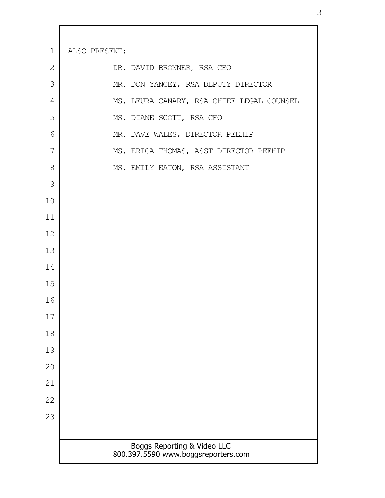| $\mathbf 1$ | ALSO PRESENT: |                                                                    |
|-------------|---------------|--------------------------------------------------------------------|
| 2           |               | DR. DAVID BRONNER, RSA CEO                                         |
| 3           |               | MR. DON YANCEY, RSA DEPUTY DIRECTOR                                |
| 4           |               | MS. LEURA CANARY, RSA CHIEF LEGAL COUNSEL                          |
| 5           |               | MS. DIANE SCOTT, RSA CFO                                           |
| 6           |               | MR. DAVE WALES, DIRECTOR PEEHIP                                    |
| 7           |               | MS. ERICA THOMAS, ASST DIRECTOR PEEHIP                             |
| 8           |               | MS. EMILY EATON, RSA ASSISTANT                                     |
| 9           |               |                                                                    |
| 10          |               |                                                                    |
| 11          |               |                                                                    |
| 12          |               |                                                                    |
| 13          |               |                                                                    |
| 14          |               |                                                                    |
| 15          |               |                                                                    |
| 16          |               |                                                                    |
| 17          |               |                                                                    |
| 18          |               |                                                                    |
| 19          |               |                                                                    |
| 20          |               |                                                                    |
| 21          |               |                                                                    |
| 22          |               |                                                                    |
| 23          |               |                                                                    |
|             |               |                                                                    |
|             |               | Boggs Reporting & Video LLC<br>800.397.5590 www.boggsreporters.com |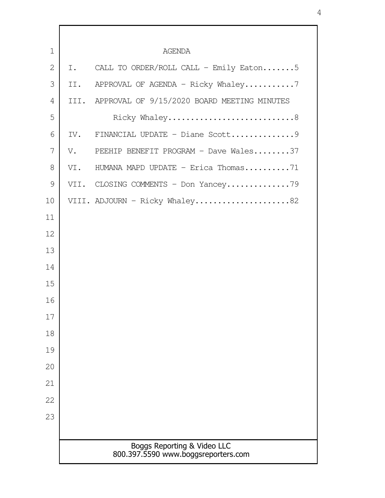| $\mathbf 1$  |     | <b>AGENDA</b>                                                      |
|--------------|-----|--------------------------------------------------------------------|
| $\mathbf{2}$ | I.  | CALL TO ORDER/ROLL CALL - Emily Eaton5                             |
| 3            | II. | APPROVAL OF AGENDA - Ricky Whaley7                                 |
| 4            |     | III. APPROVAL OF 9/15/2020 BOARD MEETING MINUTES                   |
| 5            |     | Ricky Whaley8                                                      |
| 6            |     |                                                                    |
| 7            |     | V. PEEHIP BENEFIT PROGRAM - Dave Wales37                           |
| 8            | VI. | HUMANA MAPD UPDATE - Erica Thomas71                                |
| 9            |     | VII. CLOSING COMMENTS - Don Yancey79                               |
| 10           |     | VIII. ADJOURN - Ricky Whaley82                                     |
| 11           |     |                                                                    |
| 12           |     |                                                                    |
| 13           |     |                                                                    |
| 14           |     |                                                                    |
| 15           |     |                                                                    |
| 16           |     |                                                                    |
| 17           |     |                                                                    |
| 18           |     |                                                                    |
| 19           |     |                                                                    |
| 20           |     |                                                                    |
| 21           |     |                                                                    |
| 22           |     |                                                                    |
| 23           |     |                                                                    |
|              |     |                                                                    |
|              |     | Boggs Reporting & Video LLC<br>800.397.5590 www.boggsreporters.com |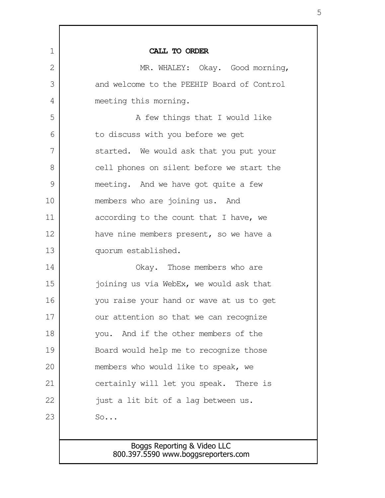| $\mathbf 1$ | CALL TO ORDER                              |
|-------------|--------------------------------------------|
| 2           | MR. WHALEY: Okay. Good morning,            |
| 3           | and welcome to the PEEHIP Board of Control |
| 4           | meeting this morning.                      |
| 5           | A few things that I would like             |
| 6           | to discuss with you before we get          |
| 7           | started. We would ask that you put your    |
| 8           | cell phones on silent before we start the  |
| 9           | meeting. And we have got quite a few       |
| 10          | members who are joining us. And            |
| 11          | according to the count that I have, we     |
| 12          | have nine members present, so we have a    |
| 13          | quorum established.                        |
| 14          | Okay. Those members who are                |
| 15          | joining us via WebEx, we would ask that    |
| 16          | you raise your hand or wave at us to get   |
| 17          | our attention so that we can recognize     |
| 18          | And if the other members of the<br>you.    |
| 19          | Board would help me to recognize those     |
| 20          | members who would like to speak, we        |
| 21          | certainly will let you speak. There is     |
| 22          | just a lit bit of a lag between us.        |
| 23          | So                                         |
|             |                                            |

## Boggs Reporting & Video LLC 800.397.5590 www.boggsreporters.com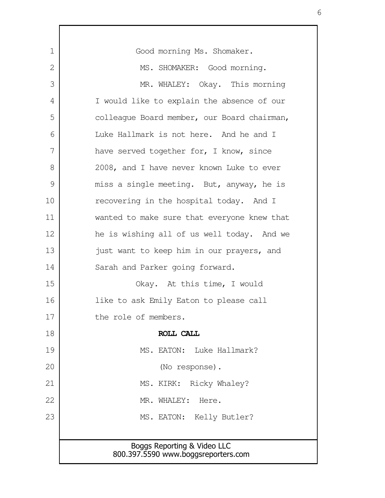| Good morning Ms. Shomaker.                                         |
|--------------------------------------------------------------------|
| MS. SHOMAKER: Good morning.                                        |
| MR. WHALEY: Okay. This morning                                     |
| I would like to explain the absence of our                         |
| colleaque Board member, our Board chairman,                        |
| Luke Hallmark is not here. And he and I                            |
| have served together for, I know, since                            |
| 2008, and I have never known Luke to ever                          |
| miss a single meeting. But, anyway, he is                          |
| recovering in the hospital today. And I                            |
| wanted to make sure that everyone knew that                        |
| he is wishing all of us well today. And we                         |
| just want to keep him in our prayers, and                          |
| Sarah and Parker going forward.                                    |
| Okay. At this time, I would                                        |
| like to ask Emily Eaton to please call                             |
| the role of members.                                               |
| ROLL CALL                                                          |
| MS. EATON: Luke Hallmark?                                          |
| (No response).                                                     |
| MS. KIRK: Ricky Whaley?                                            |
| MR. WHALEY:<br>Here.                                               |
| MS. EATON: Kelly Butler?                                           |
|                                                                    |
| Boggs Reporting & Video LLC<br>800.397.5590 www.boggsreporters.com |
|                                                                    |

Г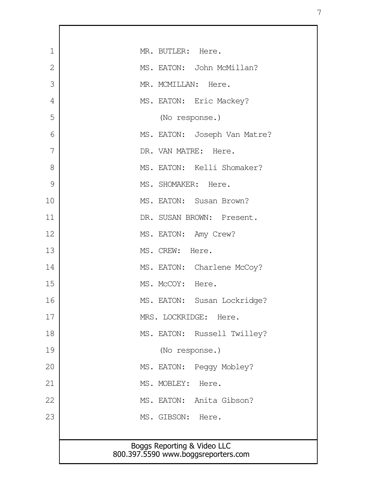| $\mathbf 1$    | MR. BUTLER: Here.                                                  |
|----------------|--------------------------------------------------------------------|
| $\overline{2}$ | MS. EATON: John McMillan?                                          |
| 3              | MR. MCMILLAN: Here.                                                |
| 4              | MS. EATON: Eric Mackey?                                            |
| 5              | (No response.)                                                     |
| 6              | MS. EATON: Joseph Van Matre?                                       |
| 7              | DR. VAN MATRE: Here.                                               |
| 8              | MS. EATON: Kelli Shomaker?                                         |
| 9              | MS. SHOMAKER: Here.                                                |
| 10             | MS. EATON: Susan Brown?                                            |
| 11             | DR. SUSAN BROWN: Present.                                          |
| 12             | MS. EATON: Amy Crew?                                               |
| 13             | MS. CREW: Here.                                                    |
| 14             | MS. EATON: Charlene McCoy?                                         |
| 15             | MS. McCOY: Here.                                                   |
| 16             | MS. EATON: Susan Lockridge?                                        |
| 17             | MRS. LOCKRIDGE: Here.                                              |
| 18             | MS. EATON: Russell Twilley?                                        |
| 19             | (No response.)                                                     |
| 20             | MS. EATON: Peggy Mobley?                                           |
| 21             | MS. MOBLEY: Here.                                                  |
| 22             | MS. EATON: Anita Gibson?                                           |
| 23             | MS. GIBSON: Here.                                                  |
|                |                                                                    |
|                | Boggs Reporting & Video LLC<br>800.397.5590 www.boggsreporters.com |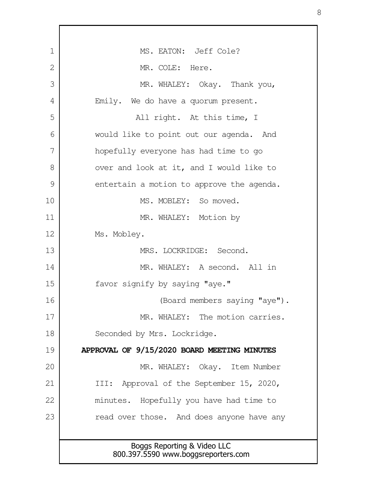Boggs Reporting & Video LLC 800.397.5590 www.boggsreporters.com MS. EATON: Jeff Cole? MR. COLE: Here. MR. WHALEY: Okay. Thank you, Emily. We do have a quorum present. All right. At this time, I would like to point out our agenda. And hopefully everyone has had time to go over and look at it, and I would like to entertain a motion to approve the agenda. MS. MOBLEY: So moved. MR. WHALEY: Motion by Ms. Mobley. MRS. LOCKRIDGE: Second. MR. WHALEY: A second. All in favor signify by saying "aye." (Board members saying "aye"). MR. WHALEY: The motion carries. Seconded by Mrs. Lockridge. **APPROVAL OF 9/15/2020 BOARD MEETING MINUTES** MR. WHALEY: Okay. Item Number III: Approval of the September 15, 2020, minutes. Hopefully you have had time to read over those. And does anyone have any 1 2 3 4 5 6 7 8 9 10 11 12 13 14 15 16 17 18 19 20 21 22 23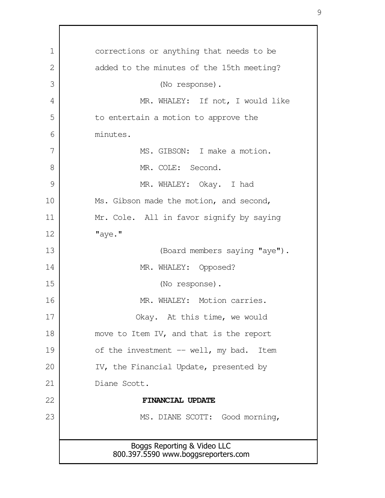Boggs Reporting & Video LLC 800.397.5590 www.boggsreporters.com corrections or anything that needs to be added to the minutes of the 15th meeting? (No response). MR. WHALEY: If not, I would like to entertain a motion to approve the minutes. MS. GIBSON: I make a motion. MR. COLE: Second. MR. WHALEY: Okay. I had Ms. Gibson made the motion, and second, Mr. Cole. All in favor signify by saying "aye." (Board members saying "aye"). MR. WHALEY: Opposed? (No response). MR. WHALEY: Motion carries. Okay. At this time, we would move to Item IV, and that is the report of the investment -- well, my bad. Item IV, the Financial Update, presented by Diane Scott. **FINANCIAL UPDATE** MS. DIANE SCOTT: Good morning, 1 2 3 4 5 6 7 8 9 10 11 12 13 14 15 16 17 18 19 20 21 22 23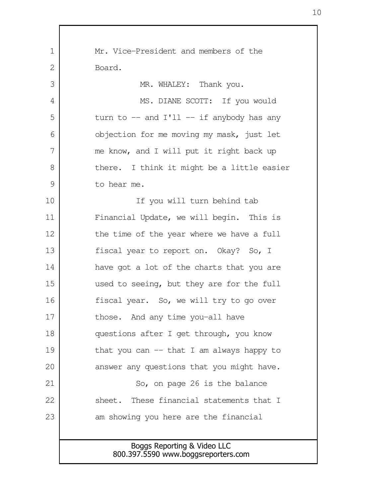| $\mathbf 1$ | Mr. Vice-President and members of the                              |
|-------------|--------------------------------------------------------------------|
| 2           | Board.                                                             |
| 3           | MR. WHALEY: Thank you.                                             |
| 4           | MS. DIANE SCOTT: If you would                                      |
| 5           | turn to $-$ and I'll $-$ if anybody has any                        |
| 6           | objection for me moving my mask, just let                          |
| 7           | me know, and I will put it right back up                           |
| 8           | there. I think it might be a little easier                         |
| 9           | to hear me.                                                        |
| 10          | If you will turn behind tab                                        |
| 11          | Financial Update, we will begin. This is                           |
| 12          | the time of the year where we have a full                          |
| 13          | fiscal year to report on. Okay? So, I                              |
| 14          | have got a lot of the charts that you are                          |
| 15          | used to seeing, but they are for the full                          |
| 16          | fiscal year. So, we will try to go over                            |
| 17          | those. And any time you-all have                                   |
| 18          | questions after I get through, you know                            |
| 19          | that you can $-$ that I am always happy to                         |
| 20          | answer any questions that you might have.                          |
| 21          | So, on page 26 is the balance                                      |
| 22          | sheet. These financial statements that I                           |
| 23          | am showing you here are the financial                              |
|             |                                                                    |
|             | Boggs Reporting & Video LLC<br>800.397.5590 www.boggsreporters.com |
|             |                                                                    |

 $\mathbf{I}$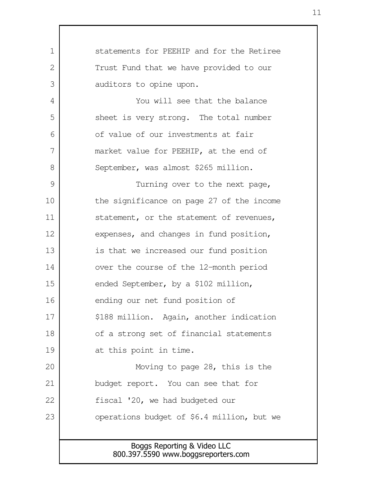Boggs Reporting & Video LLC 800.397.5590 www.boggsreporters.com statements for PEEHIP and for the Retiree Trust Fund that we have provided to our auditors to opine upon. You will see that the balance sheet is very strong. The total number of value of our investments at fair market value for PEEHIP, at the end of September, was almost \$265 million. Turning over to the next page, the significance on page 27 of the income statement, or the statement of revenues, expenses, and changes in fund position, is that we increased our fund position over the course of the 12-month period ended September, by a \$102 million, ending our net fund position of \$188 million. Again, another indication of a strong set of financial statements at this point in time. Moving to page 28, this is the budget report. You can see that for fiscal '20, we had budgeted our operations budget of \$6.4 million, but we 1  $\mathcal{L}$  3 4 5 6 7 8 9 10 11 12 13 14 15 16 17 18 19 20 21 22 23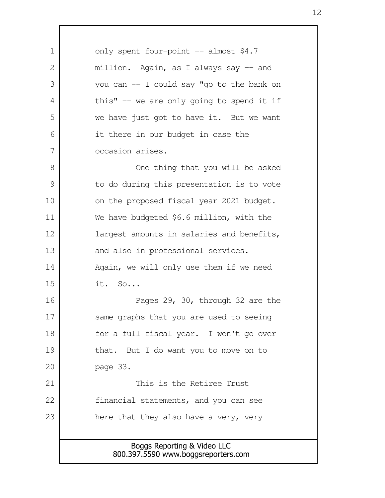Boggs Reporting & Video LLC 800.397.5590 www.boggsreporters.com only spent four-point -- almost \$4.7 million. Again, as I always say -- and you can -- I could say "go to the bank on this"  $-$  we are only going to spend it if we have just got to have it. But we want it there in our budget in case the occasion arises. One thing that you will be asked to do during this presentation is to vote on the proposed fiscal year 2021 budget. We have budgeted \$6.6 million, with the largest amounts in salaries and benefits, and also in professional services. Again, we will only use them if we need it. So... Pages 29, 30, through 32 are the same graphs that you are used to seeing for a full fiscal year. I won't go over that. But I do want you to move on to page 33. This is the Retiree Trust financial statements, and you can see here that they also have a very, very 1  $\mathcal{L}$  3 4 5 6 7 8 9 10 11 12 13 14 15 16 17 18 19 20 21 22 23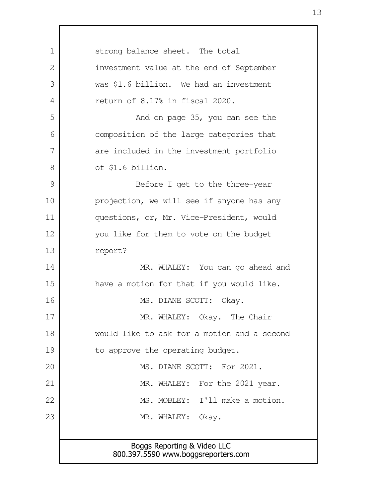| 1  | strong balance sheet. The total                                    |
|----|--------------------------------------------------------------------|
| 2  | investment value at the end of September                           |
| 3  | was \$1.6 billion. We had an investment                            |
| 4  | return of 8.17% in fiscal 2020.                                    |
| 5  | And on page 35, you can see the                                    |
| 6  | composition of the large categories that                           |
| 7  | are included in the investment portfolio                           |
| 8  | of \$1.6 billion.                                                  |
| 9  | Before I get to the three-year                                     |
| 10 | projection, we will see if anyone has any                          |
| 11 | questions, or, Mr. Vice-President, would                           |
| 12 | you like for them to vote on the budget                            |
| 13 | report?                                                            |
| 14 | MR. WHALEY: You can go ahead and                                   |
| 15 | have a motion for that if you would like.                          |
| 16 | MS. DIANE SCOTT:<br>Okay.                                          |
| 17 | MR. WHALEY: Okay. The Chair                                        |
| 18 | would like to ask for a motion and a second                        |
| 19 | to approve the operating budget.                                   |
| 20 | MS. DIANE SCOTT: For 2021.                                         |
| 21 | MR. WHALEY: For the 2021 year.                                     |
| 22 | MS. MOBLEY: I'll make a motion.                                    |
| 23 | MR. WHALEY: Okay.                                                  |
|    |                                                                    |
|    | Boggs Reporting & Video LLC<br>800.397.5590 www.boggsreporters.com |
|    |                                                                    |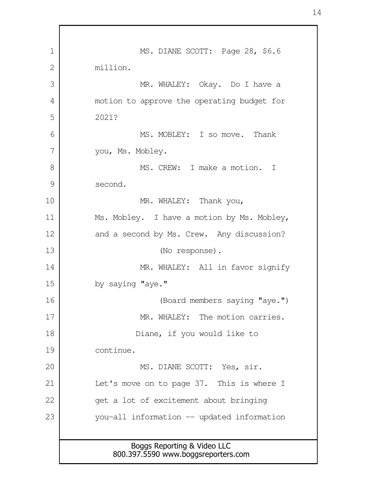| 1  | MS. DIANE SCOTT: Page 28, \$6.6                                    |
|----|--------------------------------------------------------------------|
| 2  | million.                                                           |
| 3  | MR. WHALEY: Okay. Do I have a                                      |
| 4  | motion to approve the operating budget for                         |
| 5  | 2021?                                                              |
| 6  | MS. MOBLEY: I so move. Thank                                       |
| 7  | you, Ms. Mobley.                                                   |
| 8  | MS. CREW: I make a motion. I                                       |
| 9  | second.                                                            |
| 10 | MR. WHALEY: Thank you,                                             |
| 11 | Ms. Mobley. I have a motion by Ms. Mobley,                         |
| 12 | and a second by Ms. Crew. Any discussion?                          |
| 13 | (No response).                                                     |
| 14 | MR. WHALEY: All in favor signify                                   |
| 15 | by saying "aye."                                                   |
| 16 | (Board members saying "aye.")                                      |
| 17 | MR. WHALEY: The motion carries.                                    |
| 18 | Diane, if you would like to                                        |
| 19 | continue.                                                          |
| 20 | MS. DIANE SCOTT: Yes, sir.                                         |
| 21 | Let's move on to page 37. This is where I                          |
| 22 | get a lot of excitement about bringing                             |
| 23 | you-all information -- updated information                         |
|    |                                                                    |
|    | Boggs Reporting & Video LLC<br>800.397.5590 www.boggsreporters.com |

 $\Gamma$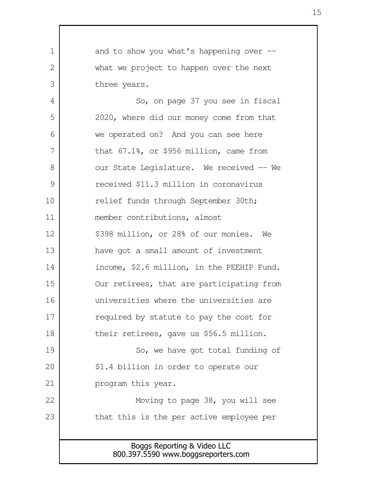Boggs Reporting & Video LLC and to show you what's happening over - what we project to happen over the next three years. So, on page 37 you see in fiscal 2020, where did our money come from that we operated on? And you can see here that 67.1%, or \$956 million, came from our State Legislature. We received -- We received \$11.3 million in coronavirus relief funds through September 30th; member contributions, almost \$398 million, or 28% of our monies. We have got a small amount of investment income, \$2.6 million, in the PEEHIP Fund. Our retirees, that are participating from universities where the universities are required by statute to pay the cost for their retirees, gave us \$56.5 million. So, we have got total funding of \$1.4 billion in order to operate our program this year. Moving to page 38, you will see that this is the per active employee per 1  $\mathcal{L}$  3 4 5 6 7 8 9 10 11 12 13 14 15 16 17 18 19 20 21 22 23

800.397.5590 www.boggsreporters.com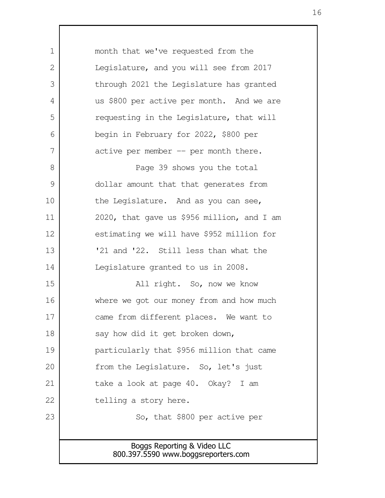Boggs Reporting & Video LLC 800.397.5590 www.boggsreporters.com month that we've requested from the Legislature, and you will see from 2017 through 2021 the Legislature has granted us \$800 per active per month. And we are requesting in the Legislature, that will begin in February for 2022, \$800 per active per member  $-$  per month there. Page 39 shows you the total dollar amount that that generates from the Legislature. And as you can see, 2020, that gave us \$956 million, and I am estimating we will have \$952 million for '21 and '22. Still less than what the Legislature granted to us in 2008. All right. So, now we know where we got our money from and how much came from different places. We want to say how did it get broken down, particularly that \$956 million that came from the Legislature. So, let's just take a look at page 40. Okay? I am telling a story here. So, that \$800 per active per 1  $\mathcal{L}$  3 4 5 6 7 8 9 10 11 12 13 14 15 16 17 18 19 20 21 22 23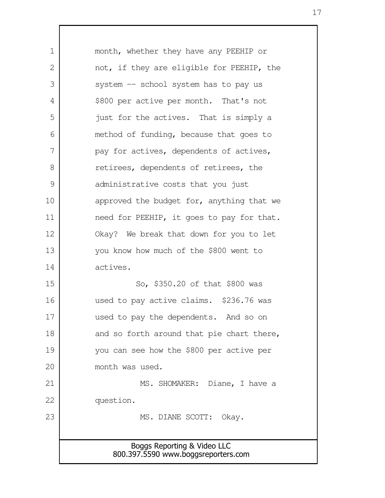Boggs Reporting & Video LLC 800.397.5590 www.boggsreporters.com month, whether they have any PEEHIP or not, if they are eligible for PEEHIP, the system -- school system has to pay us \$800 per active per month. That's not just for the actives. That is simply a method of funding, because that goes to pay for actives, dependents of actives, retirees, dependents of retirees, the administrative costs that you just approved the budget for, anything that we need for PEEHIP, it goes to pay for that. Okay? We break that down for you to let you know how much of the \$800 went to actives. So, \$350.20 of that \$800 was used to pay active claims. \$236.76 was used to pay the dependents. And so on and so forth around that pie chart there, you can see how the \$800 per active per month was used. MS. SHOMAKER: Diane, I have a question. MS. DIANE SCOTT: Okay. 1  $\mathcal{L}$  3 4 5 6 7 8 9 10 11 12 13 14 15 16 17 18 19 20 21 22 23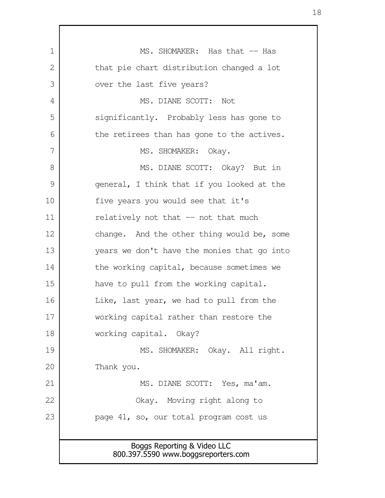Boggs Reporting & Video LLC 800.397.5590 www.boggsreporters.com MS. SHOMAKER: Has that -- Has that pie chart distribution changed a lot over the last five years? MS. DIANE SCOTT: Not significantly. Probably less has gone to the retirees than has gone to the actives. MS. SHOMAKER: Okay. MS. DIANE SCOTT: Okay? But in general, I think that if you looked at the five years you would see that it's relatively not that -- not that much change. And the other thing would be, some years we don't have the monies that go into the working capital, because sometimes we have to pull from the working capital. Like, last year, we had to pull from the working capital rather than restore the working capital. Okay? MS. SHOMAKER: Okay. All right. Thank you. MS. DIANE SCOTT: Yes, ma'am. Okay. Moving right along to page 41, so, our total program cost us 1 2 3 4 5 6 7 8 9 10 11 12 13 14 15 16 17 18 19 20 21 22 23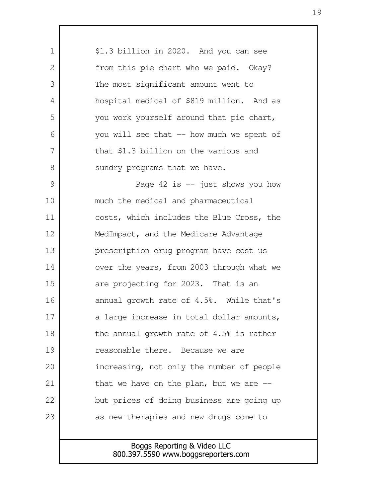| 1  | \$1.3 billion in 2020. And you can see                             |
|----|--------------------------------------------------------------------|
| 2  | from this pie chart who we paid. Okay?                             |
| 3  | The most significant amount went to                                |
| 4  | hospital medical of \$819 million. And as                          |
| 5  | you work yourself around that pie chart,                           |
| 6  | you will see that -- how much we spent of                          |
| 7  | that \$1.3 billion on the various and                              |
| 8  | sundry programs that we have.                                      |
| 9  | Page $42$ is $-$ just shows you how                                |
| 10 | much the medical and pharmaceutical                                |
| 11 | costs, which includes the Blue Cross, the                          |
| 12 | MedImpact, and the Medicare Advantage                              |
| 13 | prescription drug program have cost us                             |
| 14 | over the years, from 2003 through what we                          |
| 15 | are projecting for 2023. That is an                                |
| 16 | annual growth rate of 4.5%. While that's                           |
| 17 | a large increase in total dollar amounts,                          |
| 18 | the annual growth rate of 4.5% is rather                           |
| 19 | reasonable there. Because we are                                   |
| 20 | increasing, not only the number of people                          |
| 21 | that we have on the plan, but we are $-$                           |
| 22 | but prices of doing business are going up                          |
| 23 | as new therapies and new drugs come to                             |
|    |                                                                    |
|    | Boggs Reporting & Video LLC<br>800.397.5590 www.boggsreporters.com |
|    |                                                                    |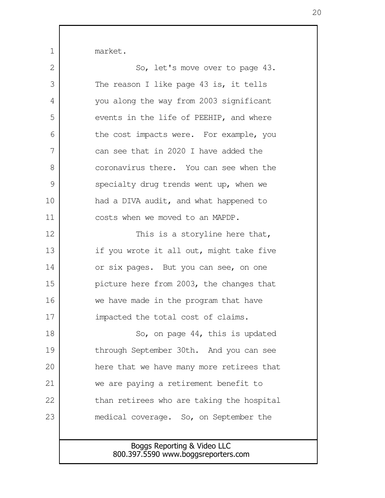market.

1

| $\overline{2}$ | So, let's move over to page 43.           |
|----------------|-------------------------------------------|
| 3              | The reason I like page $43$ is, it tells  |
| 4              | you along the way from 2003 significant   |
| 5              | events in the life of PEEHIP, and where   |
| 6              | the cost impacts were. For example, you   |
| 7              | can see that in 2020 I have added the     |
| 8              | coronavirus there. You can see when the   |
| 9              | specialty drug trends went up, when we    |
| 10             | had a DIVA audit, and what happened to    |
| 11             | costs when we moved to an MAPDP.          |
| 12             | This is a storyline here that,            |
| 13             | if you wrote it all out, might take five  |
| 14             | or six pages. But you can see, on one     |
| 15             | picture here from 2003, the changes that  |
| 16             | we have made in the program that have     |
| 17             | impacted the total cost of claims.        |
| 18             | So, on page $44$ , this is updated        |
| 19             | through September 30th. And you can see   |
| 20             | here that we have many more retirees that |
| 21             | we are paying a retirement benefit to     |
| 22             | than retirees who are taking the hospital |
| 23             | medical coverage. So, on September the    |
|                |                                           |
|                | Boggs Reporting & Video LLC               |

800.397.5590 www.boggsreporters.com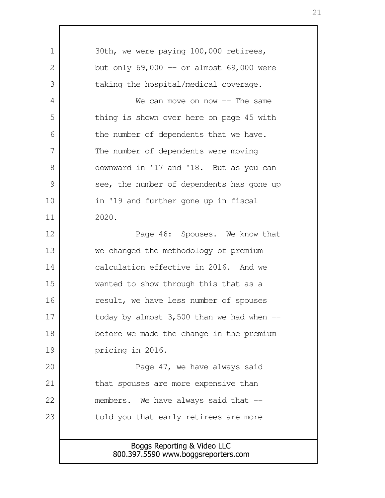Boggs Reporting & Video LLC 800.397.5590 www.boggsreporters.com 30th, we were paying 100,000 retirees, but only  $69,000$  -- or almost  $69,000$  were taking the hospital/medical coverage. We can move on now  $--$  The same thing is shown over here on page 45 with the number of dependents that we have. The number of dependents were moving downward in '17 and '18. But as you can see, the number of dependents has gone up in '19 and further gone up in fiscal 2020. Page 46: Spouses. We know that we changed the methodology of premium calculation effective in 2016. And we wanted to show through this that as a result, we have less number of spouses today by almost  $3,500$  than we had when  $$ before we made the change in the premium pricing in 2016. Page 47, we have always said that spouses are more expensive than members. We have always said that -told you that early retirees are more 1  $\mathcal{L}$  3 4 5 6 7 8 9 10 11 12 13 14 15 16 17 18 19 20 21 22 23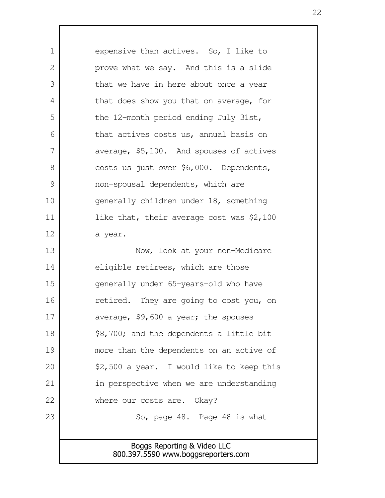Boggs Reporting & Video LLC 800.397.5590 www.boggsreporters.com expensive than actives. So, I like to prove what we say. And this is a slide that we have in here about once a year that does show you that on average, for the 12-month period ending July 31st, that actives costs us, annual basis on average, \$5,100. And spouses of actives costs us just over \$6,000. Dependents, non-spousal dependents, which are generally children under 18, something like that, their average cost was \$2,100 a year. Now, look at your non-Medicare eligible retirees, which are those generally under 65-years-old who have retired. They are going to cost you, on average, \$9,600 a year; the spouses \$8,700; and the dependents a little bit more than the dependents on an active of \$2,500 a year. I would like to keep this in perspective when we are understanding where our costs are. Okay? So, page 48. Page 48 is what 1  $\mathcal{L}$  3 4 5 6 7 8 9 10 11 12 13 14 15 16 17 18 19 20 21 22 23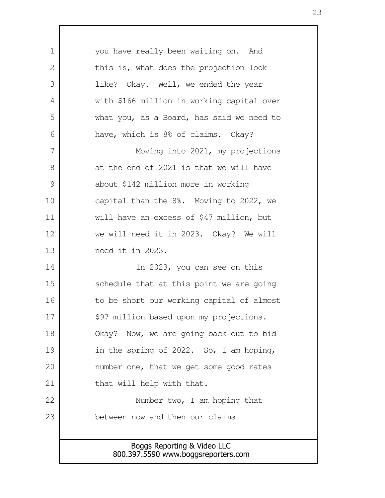| $\mathbf 1$   | you have really been waiting on. And                               |
|---------------|--------------------------------------------------------------------|
| $\mathbf{2}$  | this is, what does the projection look                             |
| 3             | like? Okay. Well, we ended the year                                |
| 4             | with \$166 million in working capital over                         |
| 5             | what you, as a Board, has said we need to                          |
| 6             | have, which is 8% of claims. Okay?                                 |
| 7             | Moving into 2021, my projections                                   |
| 8             | at the end of 2021 is that we will have                            |
| $\mathcal{G}$ | about \$142 million more in working                                |
| 10            | capital than the 8%. Moving to 2022, we                            |
| 11            | will have an excess of \$47 million, but                           |
| 12            | we will need it in 2023. Okay? We will                             |
| 13            | need it in 2023.                                                   |
| 14            | In 2023, you can see on this                                       |
| 15            | schedule that at this point we are going                           |
| 16            | to be short our working capital of almost                          |
| 17            | \$97 million based upon my projections.                            |
| 18            | Okay? Now, we are going back out to bid                            |
| 19            | in the spring of 2022. So, I am hoping,                            |
| 20            | number one, that we get some good rates                            |
| 21            | that will help with that.                                          |
| 22            | Number two, I am hoping that                                       |
| 23            | between now and then our claims                                    |
|               |                                                                    |
|               | Boggs Reporting & Video LLC<br>800.397.5590 www.boggsreporters.com |
|               |                                                                    |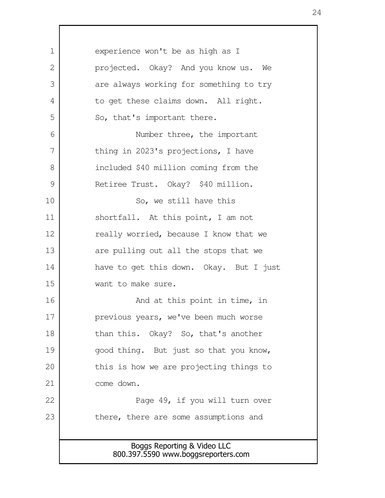Boggs Reporting & Video LLC 800.397.5590 www.boggsreporters.com experience won't be as high as I projected. Okay? And you know us. We are always working for something to try to get these claims down. All right. So, that's important there. Number three, the important thing in 2023's projections, I have included \$40 million coming from the Retiree Trust. Okay? \$40 million. So, we still have this shortfall. At this point, I am not really worried, because I know that we are pulling out all the stops that we have to get this down. Okay. But I just want to make sure. And at this point in time, in previous years, we've been much worse than this. Okay? So, that's another good thing. But just so that you know, this is how we are projecting things to come down. Page 49, if you will turn over there, there are some assumptions and 1  $\mathcal{L}$  3 4 5 6 7 8 9 10 11 12 13 14 15 16 17 18 19 20 21 22 23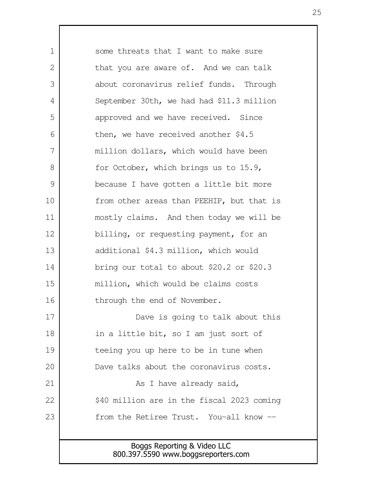Boggs Reporting & Video LLC 800.397.5590 www.boggsreporters.com some threats that I want to make sure that you are aware of. And we can talk about coronavirus relief funds. Through September 30th, we had had \$11.3 million approved and we have received. Since then, we have received another \$4.5 million dollars, which would have been for October, which brings us to 15.9, because I have gotten a little bit more from other areas than PEEHIP, but that is mostly claims. And then today we will be billing, or requesting payment, for an additional \$4.3 million, which would bring our total to about \$20.2 or \$20.3 million, which would be claims costs through the end of November. Dave is going to talk about this in a little bit, so I am just sort of teeing you up here to be in tune when Dave talks about the coronavirus costs. As I have already said, \$40 million are in the fiscal 2023 coming from the Retiree Trust. You-all know -- 1  $\mathcal{L}$  3 4 5 6 7 8 9 10 11 12 13 14 15 16 17 18 19 20 21 22 23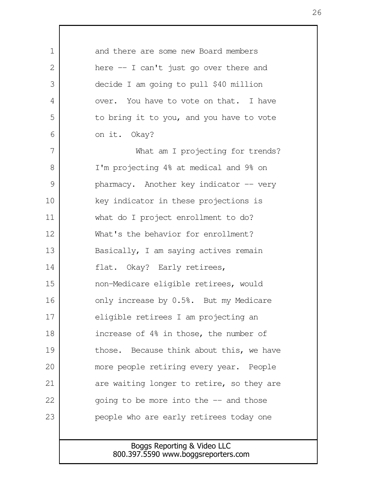| $\mathbf 1$   | and there are some new Board members      |
|---------------|-------------------------------------------|
| 2             | here $-$ I can't just go over there and   |
| 3             | decide I am going to pull \$40 million    |
| 4             | over. You have to vote on that. I have    |
| 5             | to bring it to you, and you have to vote  |
| 6             | on it. Okay?                              |
| 7             | What am I projecting for trends?          |
| 8             | I'm projecting 4% at medical and 9% on    |
| $\mathcal{G}$ | pharmacy. Another key indicator -- very   |
| 10            | key indicator in these projections is     |
| 11            | what do I project enrollment to do?       |
| 12            | What's the behavior for enrollment?       |
| 13            | Basically, I am saying actives remain     |
| 14            | flat. Okay? Early retirees,               |
| 15            | non-Medicare eligible retirees, would     |
| 16            | only increase by 0.5%. But my Medicare    |
| 17            | eligible retirees I am projecting an      |
| 18            | increase of 4% in those, the number of    |
| 19            | those. Because think about this, we have  |
| 20            | more people retiring every year. People   |
| 21            | are waiting longer to retire, so they are |
| 22            | going to be more into the $-$ and those   |
| 23            | people who are early retirees today one   |
|               |                                           |
|               | Boggs Reporting & Video LLC               |

 $\Gamma$ 

800.397.5590 www.boggsreporters.com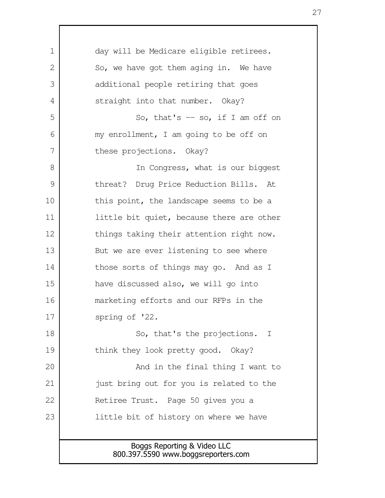| $\mathbf 1$   | day will be Medicare eligible retirees.                            |
|---------------|--------------------------------------------------------------------|
| 2             | So, we have got them aging in. We have                             |
| 3             | additional people retiring that goes                               |
| 4             | straight into that number. Okay?                                   |
| 5             | So, that's $-$ so, if I am off on                                  |
| 6             | my enrollment, I am going to be off on                             |
| 7             | these projections. Okay?                                           |
| 8             | In Congress, what is our biggest                                   |
| $\mathcal{G}$ | threat? Drug Price Reduction Bills. At                             |
| 10            | this point, the landscape seems to be a                            |
| 11            | little bit quiet, because there are other                          |
| 12            | things taking their attention right now.                           |
| 13            | But we are ever listening to see where                             |
| 14            | those sorts of things may go. And as I                             |
| 15            | have discussed also, we will go into                               |
| 16            | marketing efforts and our RFPs in the                              |
| 17            | spring of '22.                                                     |
| 18            | So, that's the projections. I                                      |
| 19            | think they look pretty good. Okay?                                 |
| 20            | And in the final thing I want to                                   |
| 21            | just bring out for you is related to the                           |
| 22            | Retiree Trust. Page 50 gives you a                                 |
| 23            | little bit of history on where we have                             |
|               |                                                                    |
|               | Boggs Reporting & Video LLC<br>800.397.5590 www.boggsreporters.com |
|               |                                                                    |

Г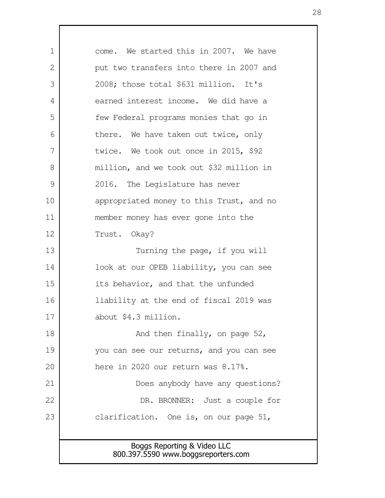Boggs Reporting & Video LLC 800.397.5590 www.boggsreporters.com come. We started this in 2007. We have put two transfers into there in 2007 and 2008; those total \$631 million. It's earned interest income. We did have a few Federal programs monies that go in there. We have taken out twice, only twice. We took out once in 2015, \$92 million, and we took out \$32 million in 2016. The Legislature has never appropriated money to this Trust, and no member money has ever gone into the Trust. Okay? Turning the page, if you will look at our OPEB liability, you can see its behavior, and that the unfunded liability at the end of fiscal 2019 was about \$4.3 million. And then finally, on page 52, you can see our returns, and you can see here in 2020 our return was 8.17%. Does anybody have any questions? DR. BRONNER: Just a couple for clarification. One is, on our page 51, 1  $\mathcal{L}$  3 4 5 6 7 8 9 10 11 12 13 14 15 16 17 18 19 20 21 22 23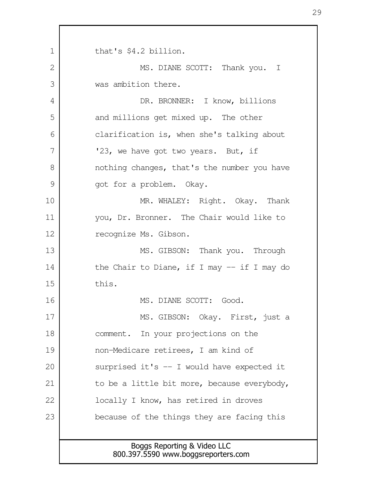Boggs Reporting & Video LLC 800.397.5590 www.boggsreporters.com that's \$4.2 billion. MS. DIANE SCOTT: Thank you. I was ambition there. DR. BRONNER: I know, billions and millions get mixed up. The other clarification is, when she's talking about '23, we have got two years. But, if nothing changes, that's the number you have got for a problem. Okay. MR. WHALEY: Right. Okay. Thank you, Dr. Bronner. The Chair would like to recognize Ms. Gibson. MS. GIBSON: Thank you. Through the Chair to Diane, if I may -- if I may do this. MS. DIANE SCOTT: Good. MS. GIBSON: Okay. First, just a comment. In your projections on the non-Medicare retirees, I am kind of surprised it's  $-$  I would have expected it to be a little bit more, because everybody, locally I know, has retired in droves because of the things they are facing this 1  $\mathcal{L}$  3 4 5 6 7 8 9 10 11 12 13 14 15 16 17 18 19 20 21 22 23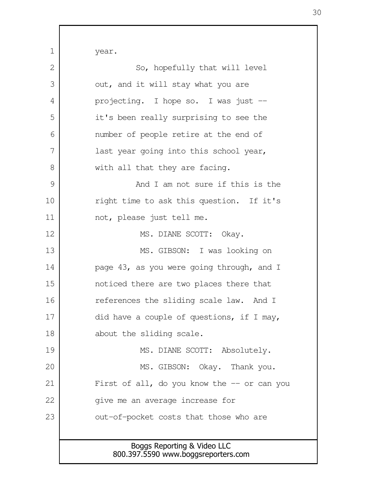Boggs Reporting & Video LLC year. So, hopefully that will level out, and it will stay what you are projecting. I hope so. I was just - it's been really surprising to see the number of people retire at the end of last year going into this school year, with all that they are facing. And I am not sure if this is the right time to ask this question. If it's not, please just tell me. MS. DIANE SCOTT: Okay. MS. GIBSON: I was looking on page 43, as you were going through, and I noticed there are two places there that references the sliding scale law. And I did have a couple of questions, if I may, about the sliding scale. MS. DIANE SCOTT: Absolutely. MS. GIBSON: Okay. Thank you. First of all, do you know the  $-$  or can you give me an average increase for out-of-pocket costs that those who are 1 2 3 4 5 6 7 8 9 10 11 12 13 14 15 16 17 18 19 20 21 22 23

800.397.5590 www.boggsreporters.com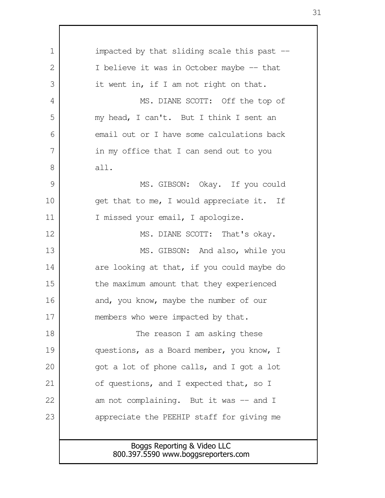Boggs Reporting & Video LLC 800.397.5590 www.boggsreporters.com impacted by that sliding scale this past -- I believe it was in October maybe -- that it went in, if I am not right on that. MS. DIANE SCOTT: Off the top of my head, I can't. But I think I sent an email out or I have some calculations back in my office that I can send out to you all. MS. GIBSON: Okay. If you could get that to me, I would appreciate it. If I missed your email, I apologize. MS. DIANE SCOTT: That's okay. MS. GIBSON: And also, while you are looking at that, if you could maybe do the maximum amount that they experienced and, you know, maybe the number of our members who were impacted by that. The reason I am asking these questions, as a Board member, you know, I got a lot of phone calls, and I got a lot of questions, and I expected that, so I am not complaining. But it was -- and I appreciate the PEEHIP staff for giving me 1  $\mathcal{L}$  3 4 5 6 7 8 9 10 11 12 13 14 15 16 17 18 19 20 21 22 23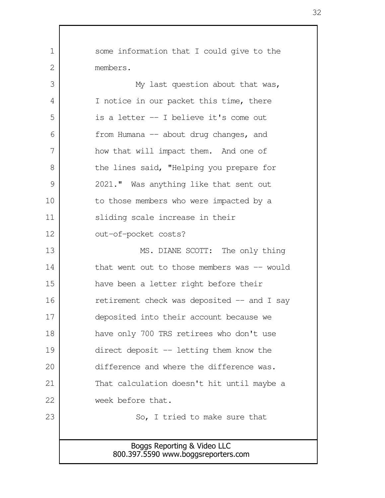Boggs Reporting & Video LLC 800.397.5590 www.boggsreporters.com some information that I could give to the members. My last question about that was, I notice in our packet this time, there is a letter -- I believe it's come out from Humana -- about drug changes, and how that will impact them. And one of the lines said, "Helping you prepare for 2021." Was anything like that sent out to those members who were impacted by a sliding scale increase in their out-of-pocket costs? MS. DIANE SCOTT: The only thing that went out to those members was  $-$  would have been a letter right before their retirement check was deposited  $-$  and I say deposited into their account because we have only 700 TRS retirees who don't use direct deposit -- letting them know the difference and where the difference was. That calculation doesn't hit until maybe a week before that. So, I tried to make sure that 1  $\mathcal{L}$  3 4 5 6 7 8 9 10 11 12 13 14 15 16 17 18 19 20 21 22 23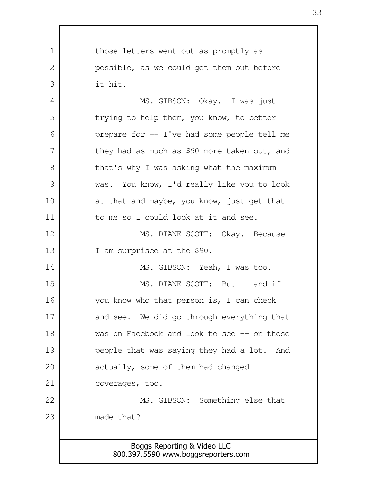Boggs Reporting & Video LLC 800.397.5590 www.boggsreporters.com those letters went out as promptly as possible, as we could get them out before it hit. MS. GIBSON: Okay. I was just trying to help them, you know, to better prepare for -- I've had some people tell me they had as much as \$90 more taken out, and that's why I was asking what the maximum was. You know, I'd really like you to look at that and maybe, you know, just get that to me so I could look at it and see. MS. DIANE SCOTT: Okay. Because I am surprised at the \$90. MS. GIBSON: Yeah, I was too. MS. DIANE SCOTT: But -- and if you know who that person is, I can check and see. We did go through everything that was on Facebook and look to see -- on those people that was saying they had a lot. And actually, some of them had changed coverages, too. MS. GIBSON: Something else that made that? 1  $\mathcal{L}$  3 4 5 6 7 8 9 10 11 12 13 14 15 16 17 18 19 20 21 22 23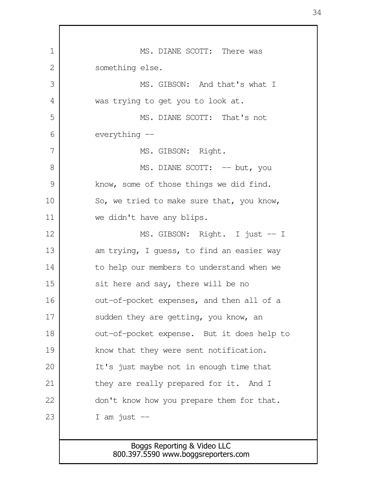MS. DIANE SCOTT: There was something else. MS. GIBSON: And that's what I was trying to get you to look at. MS. DIANE SCOTT: That's not everything -- MS. GIBSON: Right. MS. DIANE SCOTT: -- but, you know, some of those things we did find. So, we tried to make sure that, you know, we didn't have any blips. MS. GIBSON: Right. I just -- I am trying, I guess, to find an easier way to help our members to understand when we sit here and say, there will be no out-of-pocket expenses, and then all of a sudden they are getting, you know, an out-of-pocket expense. But it does help to know that they were sent notification. It's just maybe not in enough time that they are really prepared for it. And I don't know how you prepare them for that. I am just  $-$  1 2 3 4 5 6 7 8 9 10 11 12 13 14 15 16 17 18 19 20 21 22 23

## Boggs Reporting & Video LLC 800.397.5590 www.boggsreporters.com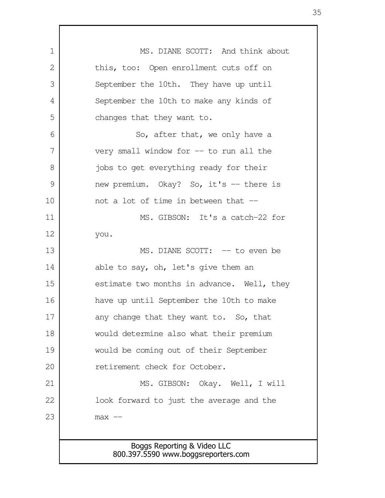Boggs Reporting & Video LLC 800.397.5590 www.boggsreporters.com MS. DIANE SCOTT: And think about this, too: Open enrollment cuts off on September the 10th. They have up until September the 10th to make any kinds of changes that they want to. So, after that, we only have a very small window for -- to run all the jobs to get everything ready for their new premium. Okay? So, it's -- there is not a lot of time in between that -- MS. GIBSON: It's a catch-22 for you. MS. DIANE SCOTT: -- to even be able to say, oh, let's give them an estimate two months in advance. Well, they have up until September the 10th to make any change that they want to. So, that would determine also what their premium would be coming out of their September retirement check for October. MS. GIBSON: Okay. Well, I will look forward to just the average and the  $max$   $--$  1 2 3 4 5 6 7 8 9 10 11 12 13 14 15 16 17 18 19 20 21 22 23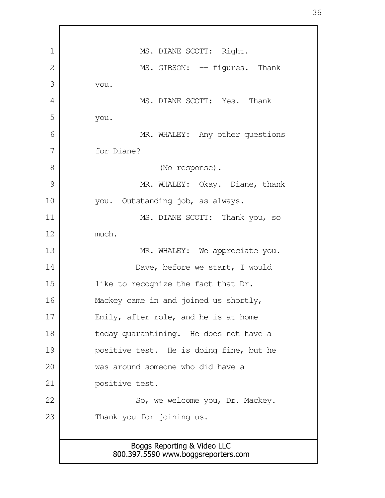| $\mathbf 1$ | MS. DIANE SCOTT: Right.                                            |
|-------------|--------------------------------------------------------------------|
| 2           | MS. GIBSON: -- figures. Thank                                      |
| 3           | you.                                                               |
| 4           | MS. DIANE SCOTT: Yes. Thank                                        |
| 5           | you.                                                               |
| 6           | MR. WHALEY: Any other questions                                    |
| 7           | for Diane?                                                         |
| 8           | (No response).                                                     |
| 9           | MR. WHALEY: Okay. Diane, thank                                     |
| 10          | you. Outstanding job, as always.                                   |
| 11          | MS. DIANE SCOTT: Thank you, so                                     |
| 12          | much.                                                              |
| 13          | MR. WHALEY: We appreciate you.                                     |
| 14          | Dave, before we start, I would                                     |
| 15          | like to recognize the fact that Dr.                                |
| 16          | Mackey came in and joined us shortly,                              |
| 17          | Emily, after role, and he is at home                               |
| 18          | today quarantining. He does not have a                             |
| 19          | positive test. He is doing fine, but he                            |
| 20          | was around someone who did have a                                  |
| 21          | positive test.                                                     |
| 22          | So, we welcome you, Dr. Mackey.                                    |
| 23          | Thank you for joining us.                                          |
|             |                                                                    |
|             | Boggs Reporting & Video LLC<br>800.397.5590 www.boggsreporters.com |

Г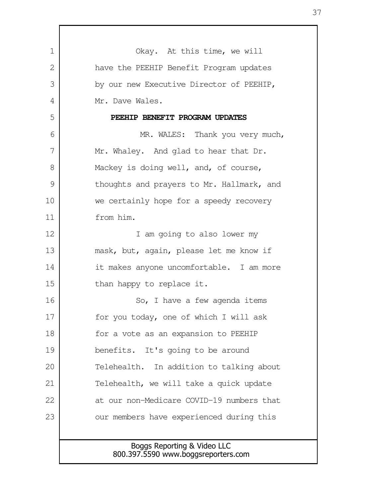| 1  | Okay. At this time, we will                                        |
|----|--------------------------------------------------------------------|
| 2  | have the PEEHIP Benefit Program updates                            |
| 3  | by our new Executive Director of PEEHIP,                           |
| 4  | Mr. Dave Wales.                                                    |
| 5  | PEEHIP BENEFIT PROGRAM UPDATES                                     |
| 6  | MR. WALES: Thank you very much,                                    |
| 7  | Mr. Whaley. And glad to hear that Dr.                              |
| 8  | Mackey is doing well, and, of course,                              |
| 9  | thoughts and prayers to Mr. Hallmark, and                          |
| 10 | we certainly hope for a speedy recovery                            |
| 11 | from him.                                                          |
| 12 | I am going to also lower my                                        |
| 13 | mask, but, again, please let me know if                            |
| 14 | it makes anyone uncomfortable. I am more                           |
| 15 | than happy to replace it.                                          |
| 16 | So, I have a few agenda items                                      |
| 17 | for you today, one of which I will ask                             |
| 18 | for a vote as an expansion to PEEHIP                               |
| 19 | It's going to be around<br>benefits.                               |
| 20 | Telehealth. In addition to talking about                           |
| 21 | Telehealth, we will take a quick update                            |
| 22 | at our non-Medicare COVID-19 numbers that                          |
| 23 | our members have experienced during this                           |
|    |                                                                    |
|    | Boggs Reporting & Video LLC<br>800.397.5590 www.boggsreporters.com |

Г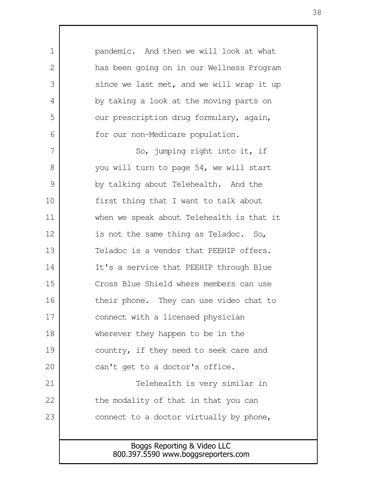| $\mathbf 1$ | pandemic. And then we will look at what   |
|-------------|-------------------------------------------|
| 2           | has been going on in our Wellness Program |
| 3           | since we last met, and we will wrap it up |
| 4           | by taking a look at the moving parts on   |
| 5           | our prescription drug formulary, again,   |
| 6           | for our non-Medicare population.          |
| 7           | So, jumping right into it, if             |
| 8           | you will turn to page 54, we will start   |
| 9           | by talking about Telehealth. And the      |
| 10          | first thing that I want to talk about     |
| 11          | when we speak about Telehealth is that it |
| 12          | is not the same thing as Teladoc. So,     |
| 13          | Teladoc is a vendor that PEEHIP offers.   |
| 14          | It's a service that PEEHIP through Blue   |
| 15          | Cross Blue Shield where members can use   |
| 16          | their phone. They can use video chat to   |
| 17          | connect with a licensed physician         |
| 18          | wherever they happen to be in the         |
| 19          | country, if they need to seek care and    |
| 20          | can't get to a doctor's office.           |
| 21          | Telehealth is very similar in             |
| 22          | the modality of that in that you can      |
| 23          | connect to a doctor virtually by phone,   |
|             |                                           |
|             | Boggs Reporting & Video LLC               |

Г

800.397.5590 www.boggsreporters.com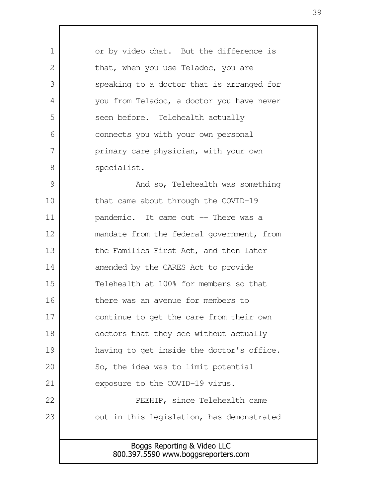Boggs Reporting & Video LLC or by video chat. But the difference is that, when you use Teladoc, you are speaking to a doctor that is arranged for you from Teladoc, a doctor you have never seen before. Telehealth actually connects you with your own personal primary care physician, with your own specialist. And so, Telehealth was something that came about through the COVID-19 pandemic. It came out -- There was a mandate from the federal government, from the Families First Act, and then later amended by the CARES Act to provide Telehealth at 100% for members so that there was an avenue for members to continue to get the care from their own doctors that they see without actually having to get inside the doctor's office. So, the idea was to limit potential exposure to the COVID-19 virus. PEEHIP, since Telehealth came out in this legislation, has demonstrated 1  $\mathcal{L}$  3 4 5 6 7 8 9 10 11 12 13 14 15 16 17 18 19 20 21 22 23

800.397.5590 www.boggsreporters.com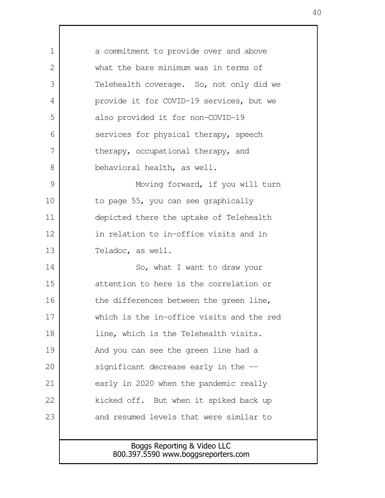| $\mathbf 1$  | a commitment to provide over and above    |
|--------------|-------------------------------------------|
| $\mathbf{2}$ | what the bare minimum was in terms of     |
| 3            | Telehealth coverage. So, not only did we  |
| 4            | provide it for COVID-19 services, but we  |
| 5            | also provided it for non-COVID-19         |
| 6            | services for physical therapy, speech     |
| 7            | therapy, occupational therapy, and        |
| 8            | behavioral health, as well.               |
| 9            | Moving forward, if you will turn          |
| 10           | to page 55, you can see graphically       |
| 11           | depicted there the uptake of Telehealth   |
| 12           | in relation to in-office visits and in    |
| 13           | Teladoc, as well.                         |
| 14           | So, what I want to draw your              |
| 15           | attention to here is the correlation or   |
| 16           | the differences between the green line,   |
| 17           | which is the in-office visits and the red |
| 18           | line, which is the Telehealth visits.     |
| 19           | And you can see the green line had a      |
| 20           | significant decrease early in the --      |
| 21           | early in 2020 when the pandemic really    |
| 22           | kicked off. But when it spiked back up    |
| 23           | and resumed levels that were similar to   |
|              |                                           |
|              | Boggs Reporting & Video LLC               |
|              | 800.397.5590 www.boggsreporters.com       |

 $\mathsf{l}$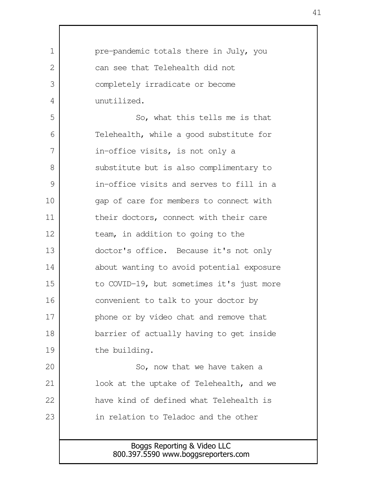| $\mathbf 1$    | pre-pandemic totals there in July, you    |
|----------------|-------------------------------------------|
| $\mathbf{2}$   | can see that Telehealth did not           |
| 3              | completely irradicate or become           |
| $\overline{4}$ | unutilized.                               |
| 5              | So, what this tells me is that            |
| 6              | Telehealth, while a good substitute for   |
| 7              | in-office visits, is not only a           |
| 8              | substitute but is also complimentary to   |
| $\mathcal{G}$  | in-office visits and serves to fill in a  |
| 10             | gap of care for members to connect with   |
| 11             | their doctors, connect with their care    |
| 12             | team, in addition to going to the         |
| 13             | doctor's office. Because it's not only    |
| 14             | about wanting to avoid potential exposure |
| 15             | to COVID-19, but sometimes it's just more |
| 16             | convenient to talk to your doctor by      |
| 17             | phone or by video chat and remove that    |
| 18             | barrier of actually having to get inside  |
| 19             | the building.                             |
| 20             | So, now that we have taken a              |
| 21             | look at the uptake of Telehealth, and we  |
| 22             | have kind of defined what Telehealth is   |
| 23             | in relation to Teladoc and the other      |
|                |                                           |
|                | Boggs Reporting & Video LLC               |

Г

800.397.5590 www.boggsreporters.com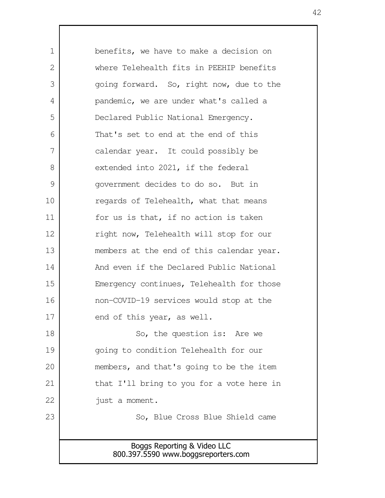Boggs Reporting & Video LLC 800.397.5590 www.boggsreporters.com benefits, we have to make a decision on where Telehealth fits in PEEHIP benefits going forward. So, right now, due to the pandemic, we are under what's called a Declared Public National Emergency. That's set to end at the end of this calendar year. It could possibly be extended into 2021, if the federal government decides to do so. But in regards of Telehealth, what that means for us is that, if no action is taken right now, Telehealth will stop for our members at the end of this calendar year. And even if the Declared Public National Emergency continues, Telehealth for those non-COVID-19 services would stop at the end of this year, as well. So, the question is: Are we going to condition Telehealth for our members, and that's going to be the item that I'll bring to you for a vote here in just a moment. So, Blue Cross Blue Shield came 1  $\mathcal{L}$  3 4 5 6 7 8 9 10 11 12 13 14 15 16 17 18 19 20 21 22 23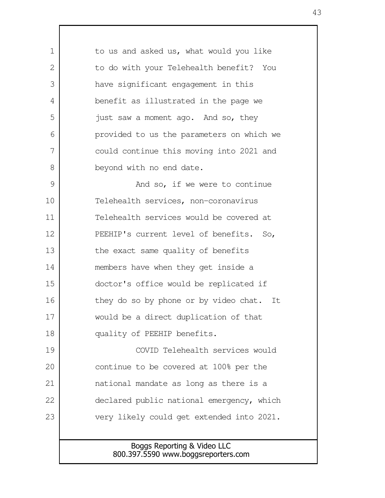Boggs Reporting & Video LLC to us and asked us, what would you like to do with your Telehealth benefit? You have significant engagement in this benefit as illustrated in the page we just saw a moment ago. And so, they provided to us the parameters on which we could continue this moving into 2021 and beyond with no end date. And so, if we were to continue Telehealth services, non-coronavirus Telehealth services would be covered at PEEHIP's current level of benefits. So, the exact same quality of benefits members have when they get inside a doctor's office would be replicated if they do so by phone or by video chat. It would be a direct duplication of that quality of PEEHIP benefits. COVID Telehealth services would continue to be covered at 100% per the national mandate as long as there is a declared public national emergency, which very likely could get extended into 2021. 1  $\mathcal{L}$  3 4 5 6 7 8 9 10 11 12 13 14 15 16 17 18 19 20 21 22 23

800.397.5590 www.boggsreporters.com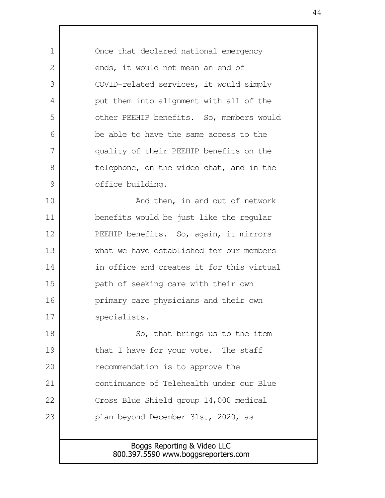Boggs Reporting & Video LLC Once that declared national emergency ends, it would not mean an end of COVID-related services, it would simply put them into alignment with all of the other PEEHIP benefits. So, members would be able to have the same access to the quality of their PEEHIP benefits on the telephone, on the video chat, and in the office building. And then, in and out of network benefits would be just like the regular PEEHIP benefits. So, again, it mirrors what we have established for our members in office and creates it for this virtual path of seeking care with their own primary care physicians and their own specialists. So, that brings us to the item that I have for your vote. The staff recommendation is to approve the continuance of Telehealth under our Blue Cross Blue Shield group 14,000 medical plan beyond December 31st, 2020, as 1  $\mathcal{L}$  3 4 5 6 7 8 9 10 11 12 13 14 15 16 17 18 19 20 21 22 23

800.397.5590 www.boggsreporters.com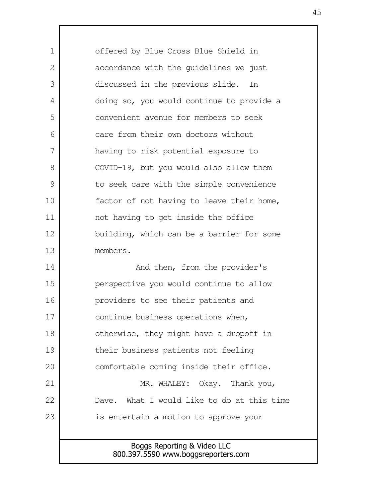Boggs Reporting & Video LLC 800.397.5590 www.boggsreporters.com offered by Blue Cross Blue Shield in accordance with the guidelines we just discussed in the previous slide. In doing so, you would continue to provide a convenient avenue for members to seek care from their own doctors without having to risk potential exposure to COVID-19, but you would also allow them to seek care with the simple convenience factor of not having to leave their home, not having to get inside the office building, which can be a barrier for some members. And then, from the provider's perspective you would continue to allow providers to see their patients and continue business operations when, otherwise, they might have a dropoff in their business patients not feeling comfortable coming inside their office. MR. WHALEY: Okay. Thank you, Dave. What I would like to do at this time is entertain a motion to approve your 1  $\mathcal{L}$  3 4 5 6 7 8 9 10 11 12 13 14 15 16 17 18 19 20 21 22 23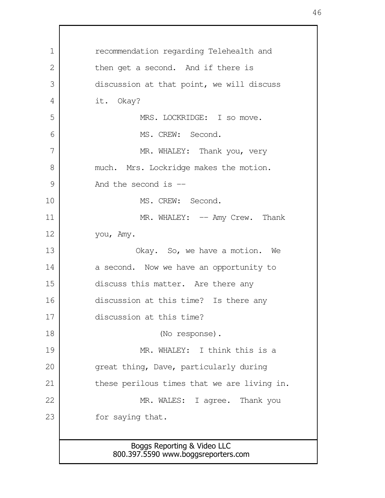Boggs Reporting & Video LLC 800.397.5590 www.boggsreporters.com recommendation regarding Telehealth and then get a second. And if there is discussion at that point, we will discuss it. Okay? MRS. LOCKRIDGE: I so move. MS. CREW: Second. MR. WHALEY: Thank you, very much. Mrs. Lockridge makes the motion. And the second is  $-$ MS. CREW: Second. MR. WHALEY: -- Amy Crew. Thank you, Amy. Okay. So, we have a motion. We a second. Now we have an opportunity to discuss this matter. Are there any discussion at this time? Is there any discussion at this time? (No response). MR. WHALEY: I think this is a great thing, Dave, particularly during these perilous times that we are living in. MR. WALES: I agree. Thank you for saying that. 1 2 3 4 5 6 7 8 9 10 11 12 13 14 15 16 17 18 19 20 21 22 23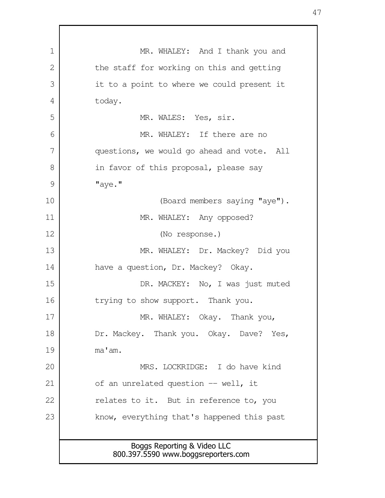Boggs Reporting & Video LLC 800.397.5590 www.boggsreporters.com MR. WHALEY: And I thank you and the staff for working on this and getting it to a point to where we could present it today. MR. WALES: Yes, sir. MR. WHALEY: If there are no questions, we would go ahead and vote. All in favor of this proposal, please say "aye." (Board members saying "aye"). MR. WHALEY: Any opposed? (No response.) MR. WHALEY: Dr. Mackey? Did you have a question, Dr. Mackey? Okay. DR. MACKEY: No, I was just muted trying to show support. Thank you. MR. WHALEY: Okay. Thank you, Dr. Mackey. Thank you. Okay. Dave? Yes, ma'am. MRS. LOCKRIDGE: I do have kind of an unrelated question -- well, it relates to it. But in reference to, you know, everything that's happened this past 1 2 3 4 5 6 7 8 9 10 11 12 13 14 15 16 17 18 19 20 21 22 23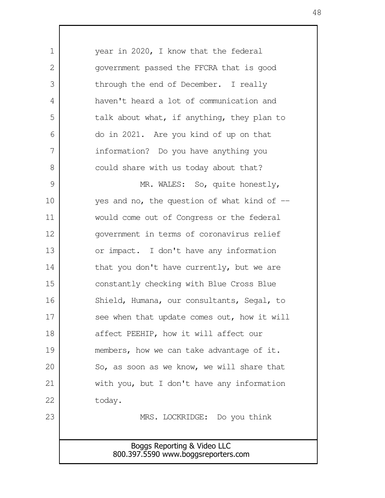Boggs Reporting & Video LLC 800.397.5590 www.boggsreporters.com year in 2020, I know that the federal government passed the FFCRA that is good through the end of December. I really haven't heard a lot of communication and talk about what, if anything, they plan to do in 2021. Are you kind of up on that information? Do you have anything you could share with us today about that? MR. WALES: So, quite honestly, yes and no, the question of what kind of  $$ would come out of Congress or the federal government in terms of coronavirus relief or impact. I don't have any information that you don't have currently, but we are constantly checking with Blue Cross Blue Shield, Humana, our consultants, Segal, to see when that update comes out, how it will affect PEEHIP, how it will affect our members, how we can take advantage of it. So, as soon as we know, we will share that with you, but I don't have any information today. MRS. LOCKRIDGE: Do you think 1  $\mathcal{L}$  3 4 5 6 7 8 9 10 11 12 13 14 15 16 17 18 19 20 21 22 23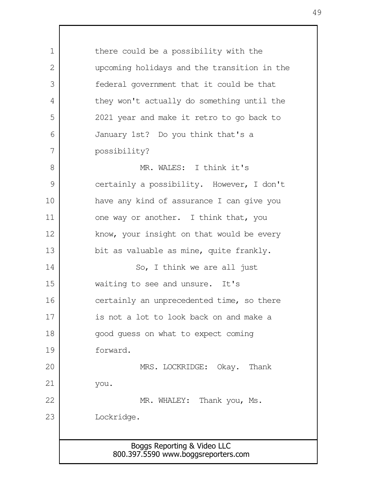| $\mathbf 1$   | there could be a possibility with the       |
|---------------|---------------------------------------------|
| $\mathbf{2}$  | upcoming holidays and the transition in the |
| 3             | federal government that it could be that    |
| 4             | they won't actually do something until the  |
| 5             | 2021 year and make it retro to go back to   |
| 6             | January 1st? Do you think that's a          |
| 7             | possibility?                                |
| 8             | MR. WALES: I think it's                     |
| $\mathcal{G}$ | certainly a possibility. However, I don't   |
| 10            | have any kind of assurance I can give you   |
| 11            | one way or another. I think that, you       |
| 12            | know, your insight on that would be every   |
| 13            | bit as valuable as mine, quite frankly.     |
| 14            | So, I think we are all just                 |
| 15            | waiting to see and unsure. It's             |
| 16            | certainly an unprecedented time, so there   |
| 17            | is not a lot to look back on and make a     |
| 18            | good quess on what to expect coming         |
| 19            | forward.                                    |
| 20            | MRS. LOCKRIDGE: Okay. Thank                 |
| 21            | you.                                        |
| 22            | MR. WHALEY: Thank you, Ms.                  |
| 23            | Lockridge.                                  |
|               |                                             |
|               | Boggs Reporting & Video LLC                 |
|               | 800.397.5590 www.boggsreporters.com         |

 $\mathbf{I}$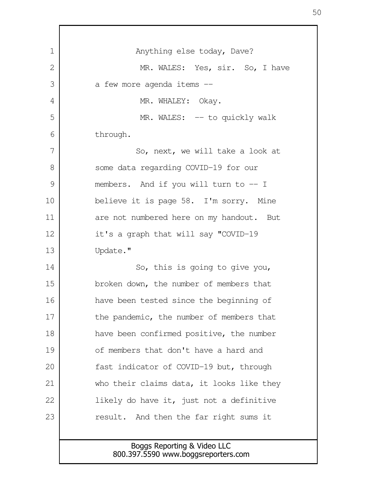| 1              | Anything else today, Dave?                                         |
|----------------|--------------------------------------------------------------------|
| $\overline{2}$ | MR. WALES: Yes, sir. So, I have                                    |
| 3              | a few more agenda items --                                         |
| 4              | MR. WHALEY: Okay.                                                  |
| 5              | MR. WALES: -- to quickly walk                                      |
| 6              | through.                                                           |
| 7              | So, next, we will take a look at                                   |
| 8              | some data regarding COVID-19 for our                               |
| 9              | members. And if you will turn to $-1$                              |
| 10             | believe it is page 58. I'm sorry. Mine                             |
| 11             | are not numbered here on my handout. But                           |
| 12             | it's a graph that will say "COVID-19                               |
| 13             | Update."                                                           |
| 14             | So, this is going to give you,                                     |
| 15             | broken down, the number of members that                            |
| 16             | have been tested since the beginning of                            |
| 17             | the pandemic, the number of members that                           |
| 18             | have been confirmed positive, the number                           |
| 19             | of members that don't have a hard and                              |
| 20             | fast indicator of COVID-19 but, through                            |
| 21             | who their claims data, it looks like they                          |
| 22             | likely do have it, just not a definitive                           |
| 23             | result. And then the far right sums it                             |
|                |                                                                    |
|                | Boggs Reporting & Video LLC<br>800.397.5590 www.boggsreporters.com |
|                |                                                                    |

r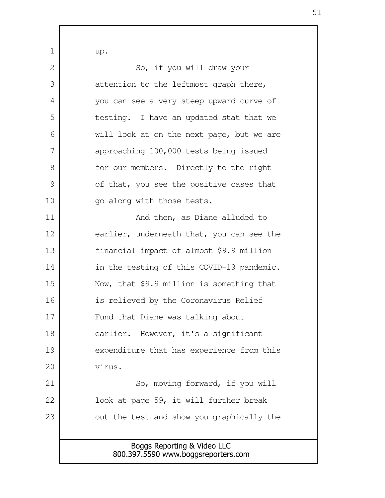Boggs Reporting & Video LLC 800.397.5590 www.boggsreporters.com up. So, if you will draw your attention to the leftmost graph there, you can see a very steep upward curve of testing. I have an updated stat that we will look at on the next page, but we are approaching 100,000 tests being issued for our members. Directly to the right of that, you see the positive cases that go along with those tests. And then, as Diane alluded to earlier, underneath that, you can see the financial impact of almost \$9.9 million in the testing of this COVID-19 pandemic. Now, that \$9.9 million is something that is relieved by the Coronavirus Relief Fund that Diane was talking about earlier. However, it's a significant expenditure that has experience from this virus. So, moving forward, if you will look at page 59, it will further break out the test and show you graphically the 1  $\mathcal{L}$  3 4 5 6 7 8 9 10 11 12 13 14 15 16 17 18 19 20 21 22 23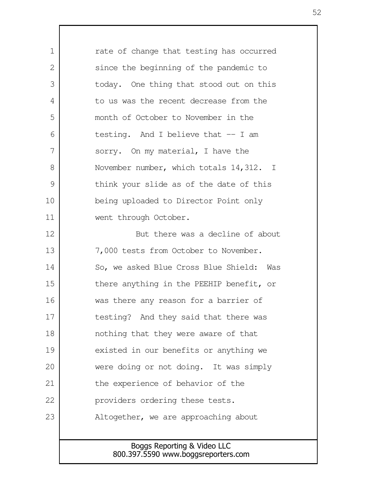| 1             | rate of change that testing has occurred |
|---------------|------------------------------------------|
| 2             | since the beginning of the pandemic to   |
| 3             | today. One thing that stood out on this  |
| 4             | to us was the recent decrease from the   |
| 5             | month of October to November in the      |
| 6             | testing. And I believe that $-$ I am     |
| 7             | sorry. On my material, I have the        |
| 8             | November number, which totals 14,312. I  |
| $\mathcal{G}$ | think your slide as of the date of this  |
| 10            | being uploaded to Director Point only    |
| 11            | went through October.                    |
| 12            | But there was a decline of about         |
| 13            | 7,000 tests from October to November.    |
| 14            | So, we asked Blue Cross Blue Shield: Was |
| 15            | there anything in the PEEHIP benefit, or |
| 16            | was there any reason for a barrier of    |
| 17            | testing? And they said that there was    |
| 18            | nothing that they were aware of that     |
| 19            | existed in our benefits or anything we   |
| 20            | were doing or not doing. It was simply   |
| 21            | the experience of behavior of the        |
| 22            | providers ordering these tests.          |
| 23            | Altogether, we are approaching about     |
|               |                                          |
|               | Boggs Reporting & Video LLC              |
|               | 800.397.5590 www.boggsreporters.com      |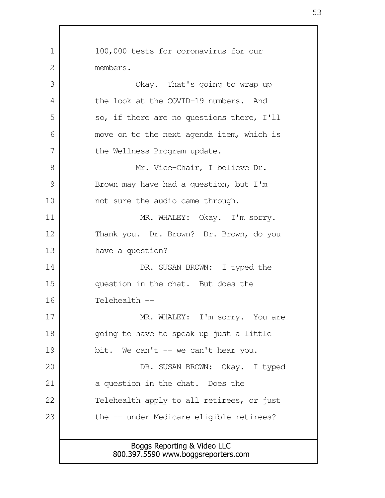Boggs Reporting & Video LLC 800.397.5590 www.boggsreporters.com 100,000 tests for coronavirus for our members. Okay. That's going to wrap up the look at the COVID-19 numbers. And so, if there are no questions there, I'll move on to the next agenda item, which is the Wellness Program update. Mr. Vice-Chair, I believe Dr. Brown may have had a question, but I'm not sure the audio came through. MR. WHALEY: Okay. I'm sorry. Thank you. Dr. Brown? Dr. Brown, do you have a question? DR. SUSAN BROWN: I typed the question in the chat. But does the Telehealth -- MR. WHALEY: I'm sorry. You are going to have to speak up just a little bit. We can't  $-$  we can't hear you. DR. SUSAN BROWN: Okay. I typed a question in the chat. Does the Telehealth apply to all retirees, or just the -- under Medicare eligible retirees? 1  $\mathcal{L}$  3 4 5 6 7 8 9 10 11 12 13 14 15 16 17 18 19 20 21 22 23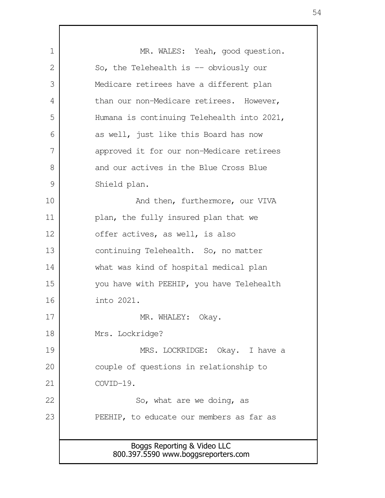Boggs Reporting & Video LLC 800.397.5590 www.boggsreporters.com MR. WALES: Yeah, good question. So, the Telehealth is -- obviously our Medicare retirees have a different plan than our non-Medicare retirees. However, Humana is continuing Telehealth into 2021, as well, just like this Board has now approved it for our non-Medicare retirees and our actives in the Blue Cross Blue Shield plan. And then, furthermore, our VIVA plan, the fully insured plan that we offer actives, as well, is also continuing Telehealth. So, no matter what was kind of hospital medical plan you have with PEEHIP, you have Telehealth into 2021. MR. WHALEY: Okay. Mrs. Lockridge? MRS. LOCKRIDGE: Okay. I have a couple of questions in relationship to COVID-19. So, what are we doing, as PEEHIP, to educate our members as far as 1 2 3 4 5 6 7 8 9 10 11 12 13 14 15 16 17 18 19 20 21 22 23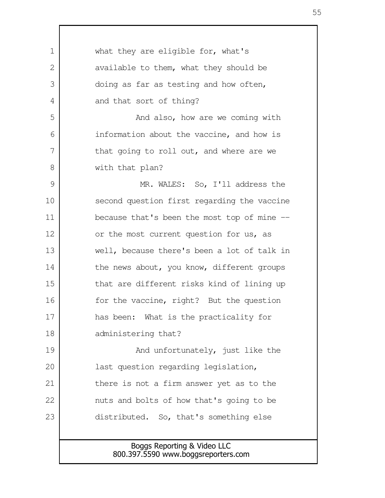| 1  | what they are eligible for, what's           |
|----|----------------------------------------------|
| 2  | available to them, what they should be       |
| 3  | doing as far as testing and how often,       |
| 4  | and that sort of thing?                      |
| 5  | And also, how are we coming with             |
| 6  | information about the vaccine, and how is    |
| 7  | that going to roll out, and where are we     |
| 8  | with that plan?                              |
| 9  | MR. WALES: So, I'll address the              |
| 10 | second question first regarding the vaccine  |
| 11 | because that's been the most top of mine $-$ |
| 12 | or the most current question for us, as      |
| 13 | well, because there's been a lot of talk in  |
| 14 | the news about, you know, different groups   |
| 15 | that are different risks kind of lining up   |
| 16 | for the vaccine, right? But the question     |
| 17 | has been: What is the practicality for       |
| 18 | administering that?                          |
| 19 | And unfortunately, just like the             |
| 20 | last question regarding legislation,         |
| 21 | there is not a firm answer yet as to the     |
| 22 | nuts and bolts of how that's going to be     |
| 23 | distributed. So, that's something else       |
|    |                                              |
|    | Boggs Reporting & Video LLC                  |
|    | 800.397.5590 www.boggsreporters.com          |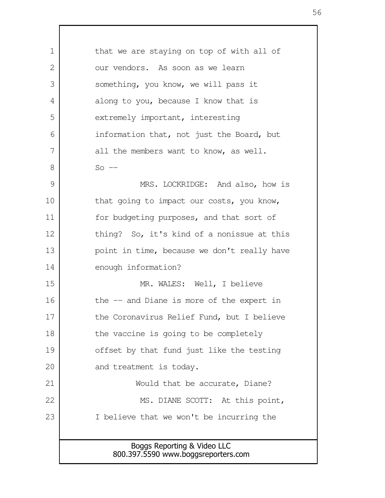Boggs Reporting & Video LLC 800.397.5590 www.boggsreporters.com that we are staying on top of with all of our vendors. As soon as we learn something, you know, we will pass it along to you, because I know that is extremely important, interesting information that, not just the Board, but all the members want to know, as well.  $So$   $-$ MRS. LOCKRIDGE: And also, how is that going to impact our costs, you know, for budgeting purposes, and that sort of thing? So, it's kind of a nonissue at this point in time, because we don't really have enough information? MR. WALES: Well, I believe the -- and Diane is more of the expert in the Coronavirus Relief Fund, but I believe the vaccine is going to be completely offset by that fund just like the testing and treatment is today. Would that be accurate, Diane? MS. DIANE SCOTT: At this point, I believe that we won't be incurring the 1  $\mathcal{L}$  3 4 5 6 7 8 9 10 11 12 13 14 15 16 17 18 19 20 21 22 23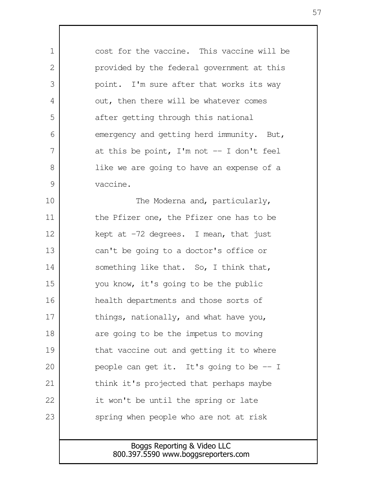cost for the vaccine. This vaccine will be provided by the federal government at this point. I'm sure after that works its way out, then there will be whatever comes after getting through this national emergency and getting herd immunity. But, at this be point, I'm not  $-$  I don't feel like we are going to have an expense of a vaccine. The Moderna and, particularly, the Pfizer one, the Pfizer one has to be kept at  $-72$  degrees. I mean, that just can't be going to a doctor's office or something like that. So, I think that, you know, it's going to be the public health departments and those sorts of things, nationally, and what have you, are going to be the impetus to moving that vaccine out and getting it to where people can get it. It's going to be -- I think it's projected that perhaps maybe it won't be until the spring or late spring when people who are not at risk 1  $\mathcal{L}$  3 4 5 6 7 8 9 10 11 12 13 14 15 16 17 18 19 20 21 22 23

> Boggs Reporting & Video LLC 800.397.5590 www.boggsreporters.com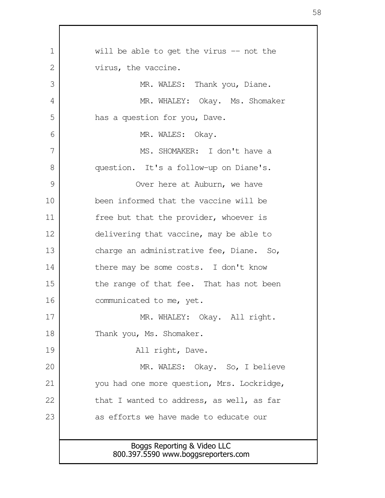| will be able to get the virus -- not the                           |
|--------------------------------------------------------------------|
| virus, the vaccine.                                                |
| MR. WALES: Thank you, Diane.                                       |
| MR. WHALEY: Okay. Ms. Shomaker                                     |
| has a question for you, Dave.                                      |
| MR. WALES: Okay.                                                   |
| MS. SHOMAKER: I don't have a                                       |
| question. It's a follow-up on Diane's.                             |
| Over here at Auburn, we have                                       |
| been informed that the vaccine will be                             |
| free but that the provider, whoever is                             |
| delivering that vaccine, may be able to                            |
| charge an administrative fee, Diane. So,                           |
| there may be some costs. I don't know                              |
| the range of that fee. That has not been                           |
| communicated to me, yet.                                           |
| MR. WHALEY: Okay. All right.                                       |
| Thank you, Ms. Shomaker.                                           |
| All right, Dave.                                                   |
| MR. WALES: Okay. So, I believe                                     |
| you had one more question, Mrs. Lockridge,                         |
| that I wanted to address, as well, as far                          |
| as efforts we have made to educate our                             |
|                                                                    |
| Boggs Reporting & Video LLC<br>800.397.5590 www.boggsreporters.com |
|                                                                    |

 $\mathsf{I}$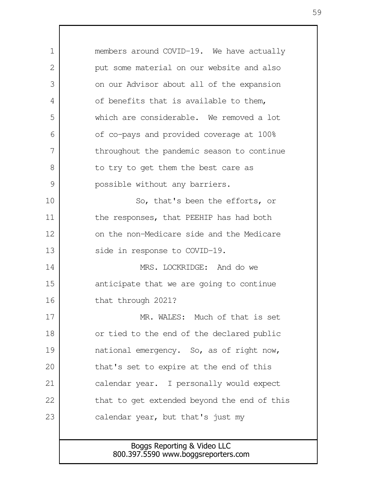Boggs Reporting & Video LLC 800.397.5590 www.boggsreporters.com members around COVID-19. We have actually put some material on our website and also on our Advisor about all of the expansion of benefits that is available to them, which are considerable. We removed a lot of co-pays and provided coverage at 100% throughout the pandemic season to continue to try to get them the best care as possible without any barriers. So, that's been the efforts, or the responses, that PEEHIP has had both on the non-Medicare side and the Medicare side in response to COVID-19. MRS. LOCKRIDGE: And do we anticipate that we are going to continue that through 2021? MR. WALES: Much of that is set or tied to the end of the declared public national emergency. So, as of right now, that's set to expire at the end of this calendar year. I personally would expect that to get extended beyond the end of this calendar year, but that's just my 1  $\mathcal{L}$  3 4 5 6 7 8 9 10 11 12 13 14 15 16 17 18 19 20 21 22 23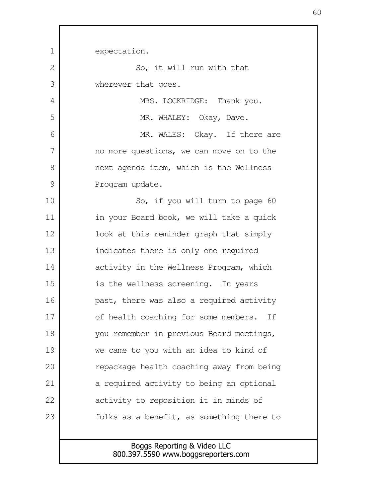Boggs Reporting & Video LLC expectation. So, it will run with that wherever that goes. MRS. LOCKRIDGE: Thank you. MR. WHALEY: Okay, Dave. MR. WALES: Okay. If there are no more questions, we can move on to the next agenda item, which is the Wellness Program update. So, if you will turn to page 60 in your Board book, we will take a quick look at this reminder graph that simply indicates there is only one required activity in the Wellness Program, which is the wellness screening. In years past, there was also a required activity of health coaching for some members. If you remember in previous Board meetings, we came to you with an idea to kind of repackage health coaching away from being a required activity to being an optional activity to reposition it in minds of folks as a benefit, as something there to 1  $\mathcal{L}$  3 4 5 6 7 8 9 10 11 12 13 14 15 16 17 18 19 20 21 22 23

800.397.5590 www.boggsreporters.com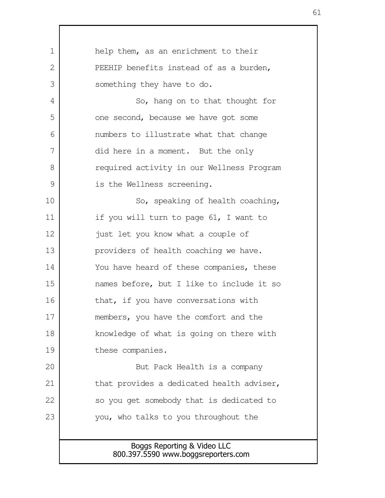| $\mathbf 1$    | help them, as an enrichment to their                               |
|----------------|--------------------------------------------------------------------|
| $\overline{2}$ | PEEHIP benefits instead of as a burden,                            |
| 3              | something they have to do.                                         |
| 4              | So, hang on to that thought for                                    |
| 5              | one second, because we have got some                               |
| 6              | numbers to illustrate what that change                             |
| 7              | did here in a moment. But the only                                 |
| 8              | required activity in our Wellness Program                          |
| $\mathcal{G}$  | is the Wellness screening.                                         |
| 10             | So, speaking of health coaching,                                   |
| 11             | if you will turn to page 61, I want to                             |
| 12             | just let you know what a couple of                                 |
| 13             | providers of health coaching we have.                              |
| 14             | You have heard of these companies, these                           |
| 15             | names before, but I like to include it so                          |
| 16             | that, if you have conversations with                               |
| 17             | members, you have the comfort and the                              |
| 18             | knowledge of what is going on there with                           |
| 19             | these companies.                                                   |
| 20             | But Pack Health is a company                                       |
| 21             | that provides a dedicated health adviser,                          |
| 22             | so you get somebody that is dedicated to                           |
| 23             | you, who talks to you throughout the                               |
|                |                                                                    |
|                | Boggs Reporting & Video LLC<br>800.397.5590 www.boggsreporters.com |
|                |                                                                    |

Г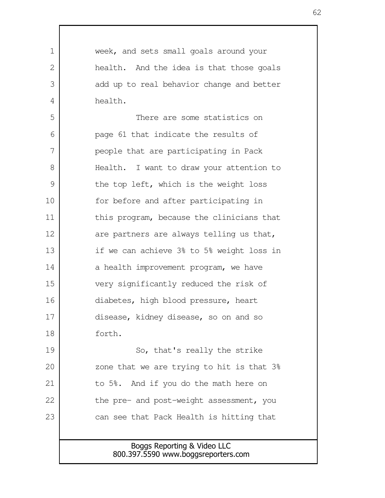Boggs Reporting & Video LLC 800.397.5590 www.boggsreporters.com week, and sets small goals around your health. And the idea is that those goals add up to real behavior change and better health. There are some statistics on page 61 that indicate the results of people that are participating in Pack Health. I want to draw your attention to the top left, which is the weight loss for before and after participating in this program, because the clinicians that are partners are always telling us that, if we can achieve 3% to 5% weight loss in a health improvement program, we have very significantly reduced the risk of diabetes, high blood pressure, heart disease, kidney disease, so on and so forth. So, that's really the strike zone that we are trying to hit is that 3% to 5%. And if you do the math here on the pre- and post-weight assessment, you can see that Pack Health is hitting that 1  $\mathcal{L}$  3 4 5 6 7 8 9 10 11 12 13 14 15 16 17 18 19 20 21 22 23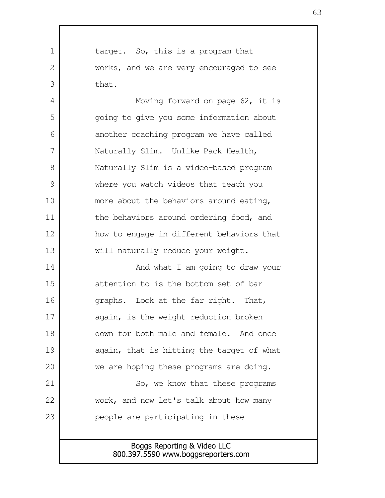target. So, this is a program that works, and we are very encouraged to see that. 1  $\mathcal{L}$ 3

Moving forward on page 62, it is going to give you some information about another coaching program we have called Naturally Slim. Unlike Pack Health, Naturally Slim is a video-based program where you watch videos that teach you more about the behaviors around eating, the behaviors around ordering food, and how to engage in different behaviors that will naturally reduce your weight. 4 5 6 7 8 9 10 11 12 13

And what I am going to draw your attention to is the bottom set of bar graphs. Look at the far right. That, again, is the weight reduction broken down for both male and female. And once again, that is hitting the target of what we are hoping these programs are doing. 14 15 16 17 18 19 20

So, we know that these programs work, and now let's talk about how many people are participating in these

21

22

23

## Boggs Reporting & Video LLC 800.397.5590 www.boggsreporters.com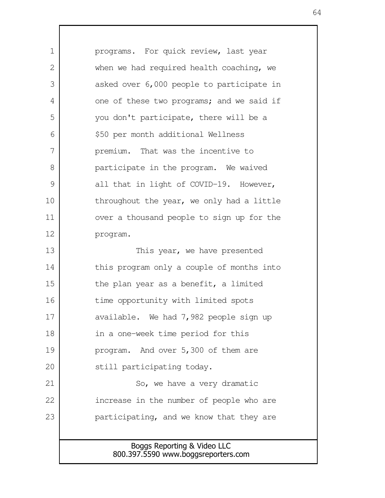Boggs Reporting & Video LLC 800.397.5590 www.boggsreporters.com programs. For quick review, last year when we had required health coaching, we asked over 6,000 people to participate in one of these two programs; and we said if you don't participate, there will be a \$50 per month additional Wellness premium. That was the incentive to participate in the program. We waived all that in light of COVID-19. However, throughout the year, we only had a little over a thousand people to sign up for the program. This year, we have presented this program only a couple of months into the plan year as a benefit, a limited time opportunity with limited spots available. We had 7,982 people sign up in a one-week time period for this program. And over 5,300 of them are still participating today. So, we have a very dramatic increase in the number of people who are participating, and we know that they are 1  $\mathcal{L}$  3 4 5 6 7 8 9 10 11 12 13 14 15 16 17 18 19 20 21 22 23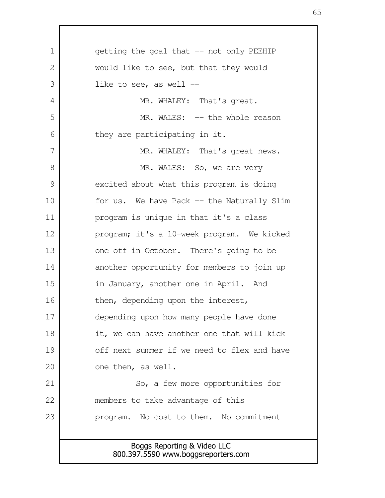Boggs Reporting & Video LLC 800.397.5590 www.boggsreporters.com getting the goal that -- not only PEEHIP would like to see, but that they would like to see, as well  $-$ MR. WHALEY: That's great. MR. WALES: -- the whole reason they are participating in it. MR. WHALEY: That's great news. MR. WALES: So, we are very excited about what this program is doing for us. We have Pack -- the Naturally Slim program is unique in that it's a class program; it's a 10-week program. We kicked one off in October. There's going to be another opportunity for members to join up in January, another one in April. And then, depending upon the interest, depending upon how many people have done it, we can have another one that will kick off next summer if we need to flex and have one then, as well. So, a few more opportunities for members to take advantage of this program. No cost to them. No commitment 1  $\mathcal{L}$  3 4 5 6 7 8 9 10 11 12 13 14 15 16 17 18 19 20 21 22 23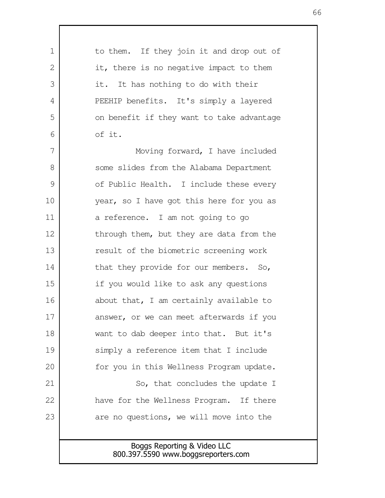| 1  | to them. If they join it and drop out of                           |
|----|--------------------------------------------------------------------|
| 2  | it, there is no negative impact to them                            |
| 3  | it. It has nothing to do with their                                |
| 4  | PEEHIP benefits. It's simply a layered                             |
| 5  | on benefit if they want to take advantage                          |
| 6  | of it.                                                             |
| 7  | Moving forward, I have included                                    |
| 8  | some slides from the Alabama Department                            |
| 9  | of Public Health. I include these every                            |
| 10 | year, so I have got this here for you as                           |
| 11 | a reference. I am not going to go                                  |
| 12 | through them, but they are data from the                           |
| 13 | result of the biometric screening work                             |
| 14 | that they provide for our members. So,                             |
| 15 | if you would like to ask any questions                             |
| 16 | about that, I am certainly available to                            |
| 17 | answer, or we can meet afterwards if you                           |
| 18 | want to dab deeper into that. But it's                             |
| 19 | simply a reference item that I include                             |
| 20 | for you in this Wellness Program update.                           |
| 21 | So, that concludes the update I                                    |
| 22 | have for the Wellness Program. If there                            |
| 23 | are no questions, we will move into the                            |
|    |                                                                    |
|    | Boggs Reporting & Video LLC<br>800.397.5590 www.boggsreporters.com |
|    |                                                                    |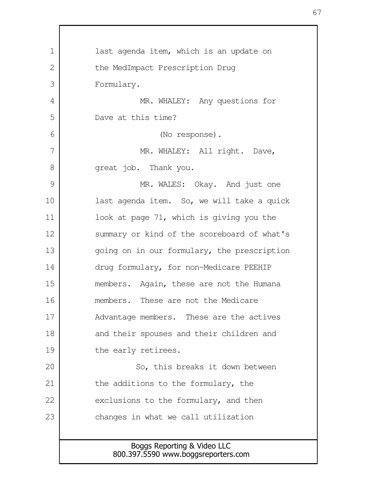Boggs Reporting & Video LLC 800.397.5590 www.boggsreporters.com last agenda item, which is an update on the MedImpact Prescription Drug Formulary. MR. WHALEY: Any questions for Dave at this time? (No response). MR. WHALEY: All right. Dave, great job. Thank you. MR. WALES: Okay. And just one last agenda item. So, we will take a quick look at page 71, which is giving you the summary or kind of the scoreboard of what's going on in our formulary, the prescription drug formulary, for non-Medicare PEEHIP members. Again, these are not the Humana members. These are not the Medicare Advantage members. These are the actives and their spouses and their children and the early retirees. So, this breaks it down between the additions to the formulary, the exclusions to the formulary, and then changes in what we call utilization 1  $\mathcal{L}$  3 4 5 6 7 8 9 10 11 12 13 14 15 16 17 18 19 20 21 22 23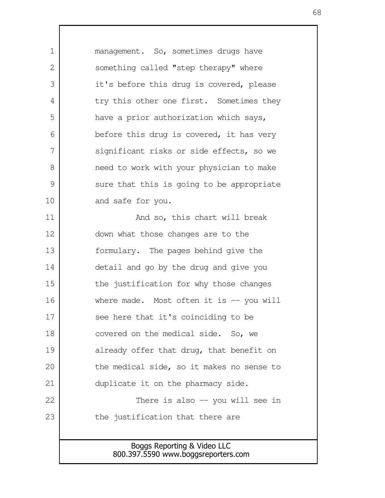Boggs Reporting & Video LLC 800.397.5590 www.boggsreporters.com management. So, sometimes drugs have something called "step therapy" where it's before this drug is covered, please try this other one first. Sometimes they have a prior authorization which says, before this drug is covered, it has very significant risks or side effects, so we need to work with your physician to make sure that this is going to be appropriate and safe for you. And so, this chart will break down what those changes are to the formulary. The pages behind give the detail and go by the drug and give you the justification for why those changes where made. Most often it is  $-$  you will see here that it's coinciding to be covered on the medical side. So, we already offer that drug, that benefit on the medical side, so it makes no sense to duplicate it on the pharmacy side. There is also -- you will see in the justification that there are 1  $\mathcal{L}$  3 4 5 6 7 8 9 10 11 12 13 14 15 16 17 18 19 20 21 22 23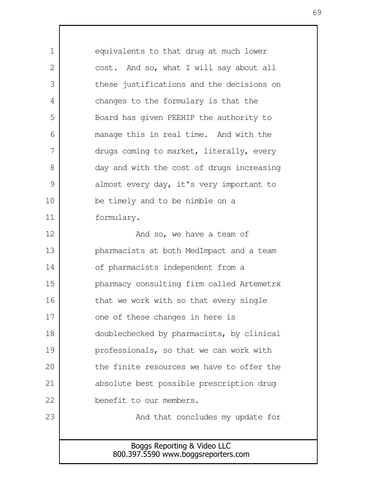Boggs Reporting & Video LLC 800.397.5590 www.boggsreporters.com equivalents to that drug at much lower cost. And so, what I will say about all these justifications and the decisions on changes to the formulary is that the Board has given PEEHIP the authority to manage this in real time. And with the drugs coming to market, literally, every day and with the cost of drugs increasing almost every day, it's very important to be timely and to be nimble on a formulary. And so, we have a team of pharmacists at both MedImpact and a team of pharmacists independent from a pharmacy consulting firm called Artemetrx that we work with so that every single one of these changes in here is doublechecked by pharmacists, by clinical professionals, so that we can work with the finite resources we have to offer the absolute best possible prescription drug benefit to our members. And that concludes my update for 1  $\mathcal{L}$  3 4 5 6 7 8 9 10 11 12 13 14 15 16 17 18 19 20 21 22 23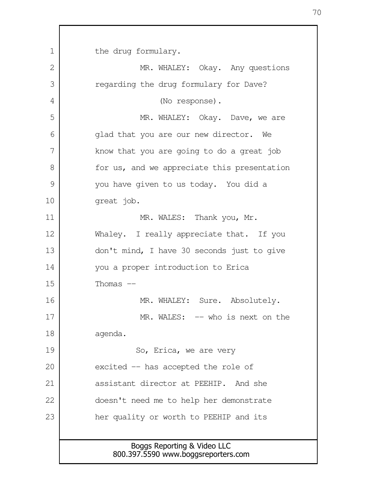Boggs Reporting & Video LLC 800.397.5590 www.boggsreporters.com the drug formulary. MR. WHALEY: Okay. Any questions regarding the drug formulary for Dave? (No response). MR. WHALEY: Okay. Dave, we are glad that you are our new director. We know that you are going to do a great job for us, and we appreciate this presentation you have given to us today. You did a great job. MR. WALES: Thank you, Mr. Whaley. I really appreciate that. If you don't mind, I have 30 seconds just to give you a proper introduction to Erica Thomas  $--$ MR. WHALEY: Sure. Absolutely. MR. WALES: -- who is next on the agenda. So, Erica, we are very excited -- has accepted the role of assistant director at PEEHIP. And she doesn't need me to help her demonstrate her quality or worth to PEEHIP and its 1 2 3 4 5 6 7 8 9 10 11 12 13 14 15 16 17 18 19 20 21 22 23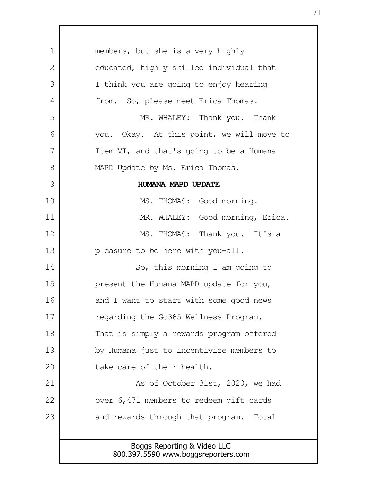Boggs Reporting & Video LLC 800.397.5590 www.boggsreporters.com members, but she is a very highly educated, highly skilled individual that I think you are going to enjoy hearing from. So, please meet Erica Thomas. MR. WHALEY: Thank you. Thank you. Okay. At this point, we will move to Item VI, and that's going to be a Humana MAPD Update by Ms. Erica Thomas. **HUMANA MAPD UPDATE** MS. THOMAS: Good morning. MR. WHALEY: Good morning, Erica. MS. THOMAS: Thank you. It's a pleasure to be here with you-all. So, this morning I am going to present the Humana MAPD update for you, and I want to start with some good news regarding the Go365 Wellness Program. That is simply a rewards program offered by Humana just to incentivize members to take care of their health. As of October 31st, 2020, we had over 6,471 members to redeem gift cards and rewards through that program. Total 1  $\mathcal{L}$  3 4 5 6 7 8 9 10 11 12 13 14 15 16 17 18 19 20 21 22 23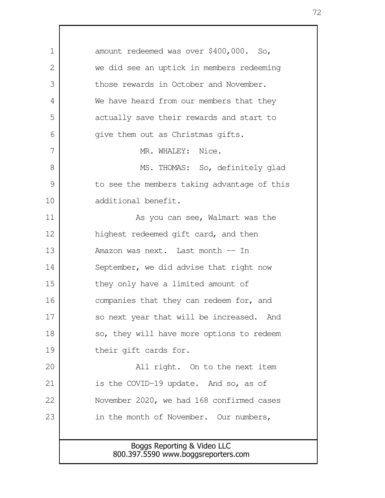Boggs Reporting & Video LLC 800.397.5590 www.boggsreporters.com amount redeemed was over \$400,000. So, we did see an uptick in members redeeming those rewards in October and November. We have heard from our members that they actually save their rewards and start to give them out as Christmas gifts. MR. WHALEY: Nice. MS. THOMAS: So, definitely glad to see the members taking advantage of this additional benefit. As you can see, Walmart was the highest redeemed gift card, and then Amazon was next. Last month -- In September, we did advise that right now they only have a limited amount of companies that they can redeem for, and so next year that will be increased. And so, they will have more options to redeem their gift cards for. All right. On to the next item is the COVID-19 update. And so, as of November 2020, we had 168 confirmed cases in the month of November. Our numbers, 1  $\mathcal{L}$  3 4 5 6 7 8 9 10 11 12 13 14 15 16 17 18 19 20 21 22 23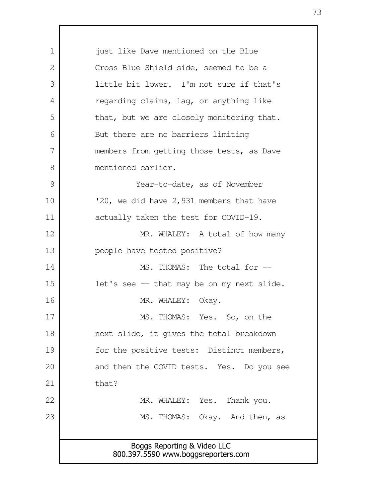Boggs Reporting & Video LLC 800.397.5590 www.boggsreporters.com just like Dave mentioned on the Blue Cross Blue Shield side, seemed to be a little bit lower. I'm not sure if that's regarding claims, lag, or anything like that, but we are closely monitoring that. But there are no barriers limiting members from getting those tests, as Dave mentioned earlier. Year-to-date, as of November '20, we did have 2,931 members that have actually taken the test for COVID-19. MR. WHALEY: A total of how many people have tested positive? MS. THOMAS: The total for -let's see -- that may be on my next slide. MR. WHALEY: Okay. MS. THOMAS: Yes. So, on the next slide, it gives the total breakdown for the positive tests: Distinct members, and then the COVID tests. Yes. Do you see that? MR. WHALEY: Yes. Thank you. MS. THOMAS: Okay. And then, as 1 2 3 4 5 6 7 8 9 10 11 12 13 14 15 16 17 18 19 20 21 22 23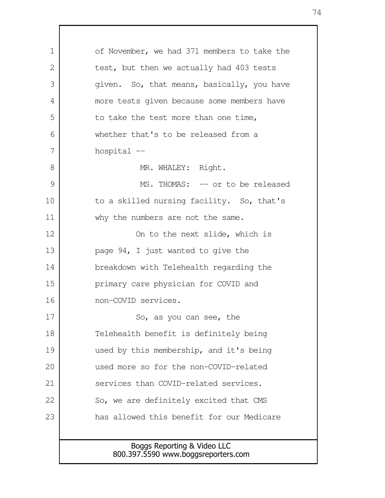Boggs Reporting & Video LLC 800.397.5590 www.boggsreporters.com of November, we had 371 members to take the test, but then we actually had 403 tests given. So, that means, basically, you have more tests given because some members have to take the test more than one time, whether that's to be released from a hospital -- MR. WHALEY: Right. MS. THOMAS: -- or to be released to a skilled nursing facility. So, that's why the numbers are not the same. On to the next slide, which is page 94, I just wanted to give the breakdown with Telehealth regarding the primary care physician for COVID and non-COVID services. So, as you can see, the Telehealth benefit is definitely being used by this membership, and it's being used more so for the non-COVID-related services than COVID-related services. So, we are definitely excited that CMS has allowed this benefit for our Medicare 1  $\mathcal{L}$  3 4 5 6 7 8 9 10 11 12 13 14 15 16 17 18 19 20 21 22 23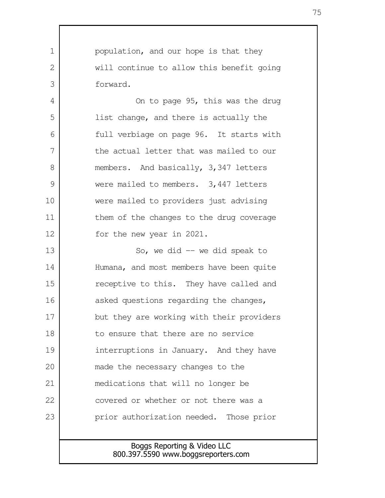population, and our hope is that they will continue to allow this benefit going forward.

1

 $\mathcal{L}$ 

3

4

5

6

7

8

9

10

11

12

On to page 95, this was the drug list change, and there is actually the full verbiage on page 96. It starts with the actual letter that was mailed to our members. And basically, 3,347 letters were mailed to members. 3,447 letters were mailed to providers just advising them of the changes to the drug coverage for the new year in 2021.

So, we did  $-$  we did speak to Humana, and most members have been quite receptive to this. They have called and asked questions regarding the changes, but they are working with their providers to ensure that there are no service interruptions in January. And they have made the necessary changes to the medications that will no longer be covered or whether or not there was a prior authorization needed. Those prior 13 14 15 16 17 18 19 20 21 22 23

## Boggs Reporting & Video LLC 800.397.5590 www.boggsreporters.com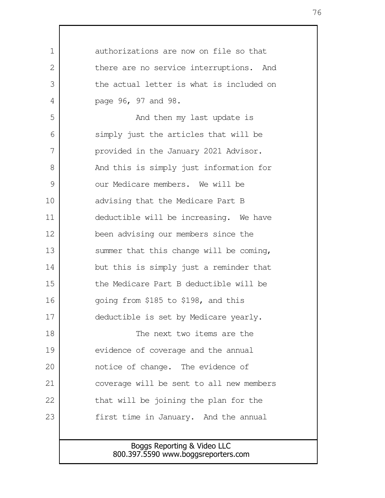Boggs Reporting & Video LLC authorizations are now on file so that there are no service interruptions. And the actual letter is what is included on page 96, 97 and 98. And then my last update is simply just the articles that will be provided in the January 2021 Advisor. And this is simply just information for our Medicare members. We will be advising that the Medicare Part B deductible will be increasing. We have been advising our members since the summer that this change will be coming, but this is simply just a reminder that the Medicare Part B deductible will be going from \$185 to \$198, and this deductible is set by Medicare yearly. The next two items are the evidence of coverage and the annual notice of change. The evidence of coverage will be sent to all new members that will be joining the plan for the first time in January. And the annual 1  $\mathcal{L}$  3 4 5 6 7 8 9 10 11 12 13 14 15 16 17 18 19 20 21 22 23

## 800.397.5590 www.boggsreporters.com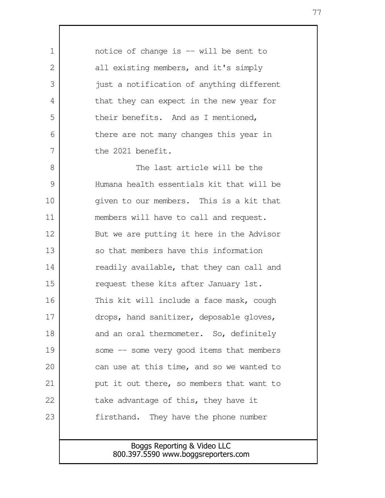notice of change is -- will be sent to all existing members, and it's simply just a notification of anything different that they can expect in the new year for their benefits. And as I mentioned, there are not many changes this year in the 2021 benefit. The last article will be the Humana health essentials kit that will be given to our members. This is a kit that members will have to call and request. But we are putting it here in the Advisor so that members have this information readily available, that they can call and request these kits after January 1st. This kit will include a face mask, cough drops, hand sanitizer, deposable gloves, and an oral thermometer. So, definitely some -- some very good items that members can use at this time, and so we wanted to put it out there, so members that want to take advantage of this, they have it firsthand. They have the phone number 1  $\mathcal{D}$  3 4 5 6 7 8 9 10 11 12 13 14 15 16 17 18 19 20 21 22 23

> Boggs Reporting & Video LLC 800.397.5590 www.boggsreporters.com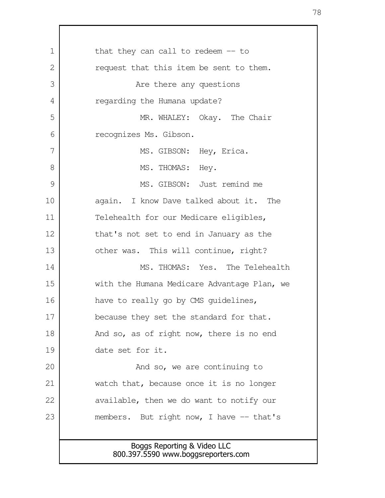Boggs Reporting & Video LLC 800.397.5590 www.boggsreporters.com that they can call to redeem -- to request that this item be sent to them. Are there any questions regarding the Humana update? MR. WHALEY: Okay. The Chair recognizes Ms. Gibson. MS. GIBSON: Hey, Erica. MS. THOMAS: Hey. MS. GIBSON: Just remind me again. I know Dave talked about it. The Telehealth for our Medicare eligibles, that's not set to end in January as the other was. This will continue, right? MS. THOMAS: Yes. The Telehealth with the Humana Medicare Advantage Plan, we have to really go by CMS guidelines, because they set the standard for that. And so, as of right now, there is no end date set for it. And so, we are continuing to watch that, because once it is no longer available, then we do want to notify our members. But right now, I have -- that's 1 2 3 4 5 6 7 8 9 10 11 12 13 14 15 16 17 18 19 20 21 22 23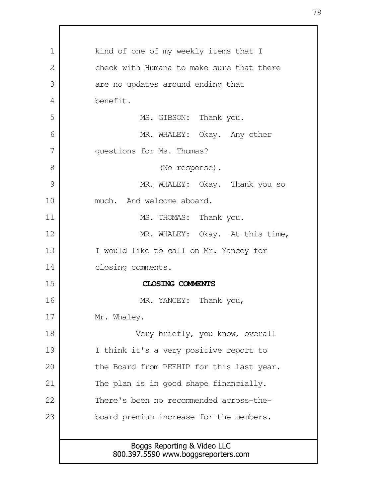| $\mathbf 1$  | kind of one of my weekly items that I                              |  |  |  |  |
|--------------|--------------------------------------------------------------------|--|--|--|--|
| $\mathbf{2}$ | check with Humana to make sure that there                          |  |  |  |  |
| 3            | are no updates around ending that                                  |  |  |  |  |
| 4            | benefit.                                                           |  |  |  |  |
| 5            | MS. GIBSON: Thank you.                                             |  |  |  |  |
| 6            | MR. WHALEY: Okay. Any other                                        |  |  |  |  |
| 7            | questions for Ms. Thomas?                                          |  |  |  |  |
| 8            | (No response).                                                     |  |  |  |  |
| 9            | MR. WHALEY: Okay. Thank you so                                     |  |  |  |  |
| 10           | much. And welcome aboard.                                          |  |  |  |  |
| 11           | MS. THOMAS: Thank you.                                             |  |  |  |  |
| 12           | MR. WHALEY: Okay. At this time,                                    |  |  |  |  |
| 13           | I would like to call on Mr. Yancey for                             |  |  |  |  |
| 14           | closing comments.                                                  |  |  |  |  |
| 15           | CLOSING COMMENTS                                                   |  |  |  |  |
| 16           | MR. YANCEY: Thank you,                                             |  |  |  |  |
| 17           | Mr. Whaley.                                                        |  |  |  |  |
| 18           | Very briefly, you know, overall                                    |  |  |  |  |
| 19           | I think it's a very positive report to                             |  |  |  |  |
| 20           | the Board from PEEHIP for this last year.                          |  |  |  |  |
| 21           | The plan is in good shape financially.                             |  |  |  |  |
| 22           | There's been no recommended across-the-                            |  |  |  |  |
| 23           | board premium increase for the members.                            |  |  |  |  |
|              |                                                                    |  |  |  |  |
|              | Boggs Reporting & Video LLC<br>800.397.5590 www.boggsreporters.com |  |  |  |  |

Г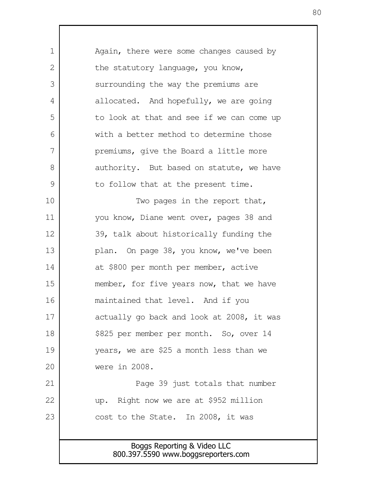Boggs Reporting & Video LLC 800.397.5590 www.boggsreporters.com Again, there were some changes caused by the statutory language, you know, surrounding the way the premiums are allocated. And hopefully, we are going to look at that and see if we can come up with a better method to determine those premiums, give the Board a little more authority. But based on statute, we have to follow that at the present time. Two pages in the report that, you know, Diane went over, pages 38 and 39, talk about historically funding the plan. On page 38, you know, we've been at \$800 per month per member, active member, for five years now, that we have maintained that level. And if you actually go back and look at 2008, it was \$825 per member per month. So, over 14 years, we are \$25 a month less than we were in 2008. Page 39 just totals that number up. Right now we are at \$952 million cost to the State. In 2008, it was 1  $\mathcal{L}$  3 4 5 6 7 8 9 10 11 12 13 14 15 16 17 18 19 20 21 22 23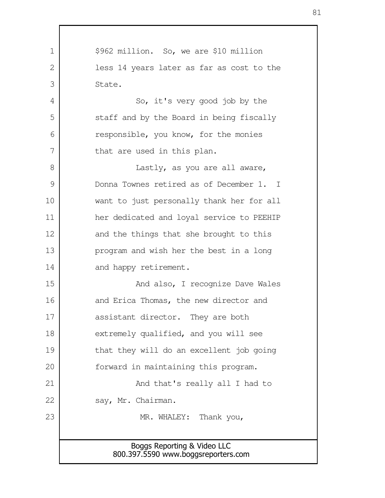Boggs Reporting & Video LLC 800.397.5590 www.boggsreporters.com \$962 million. So, we are \$10 million less 14 years later as far as cost to the State. So, it's very good job by the staff and by the Board in being fiscally responsible, you know, for the monies that are used in this plan. Lastly, as you are all aware, Donna Townes retired as of December 1. I want to just personally thank her for all her dedicated and loyal service to PEEHIP and the things that she brought to this program and wish her the best in a long and happy retirement. And also, I recognize Dave Wales and Erica Thomas, the new director and assistant director. They are both extremely qualified, and you will see that they will do an excellent job going forward in maintaining this program. And that's really all I had to say, Mr. Chairman. MR. WHALEY: Thank you, 1  $\mathcal{L}$  3 4 5 6 7 8 9 10 11 12 13 14 15 16 17 18 19 20 21 22 23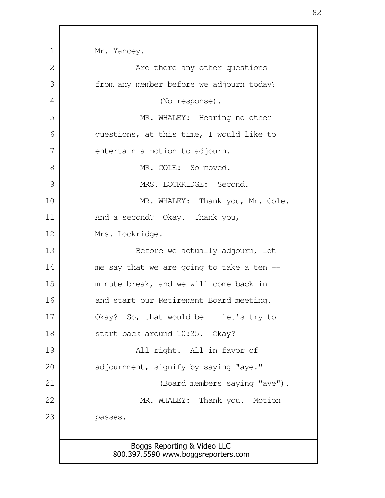Boggs Reporting & Video LLC 800.397.5590 www.boggsreporters.com Mr. Yancey. Are there any other questions from any member before we adjourn today? (No response). MR. WHALEY: Hearing no other questions, at this time, I would like to entertain a motion to adjourn. MR. COLE: So moved. MRS. LOCKRIDGE: Second. MR. WHALEY: Thank you, Mr. Cole. And a second? Okay. Thank you, Mrs. Lockridge. Before we actually adjourn, let me say that we are going to take a ten -minute break, and we will come back in and start our Retirement Board meeting. Okay? So, that would be -- let's try to start back around 10:25. Okay? All right. All in favor of adjournment, signify by saying "aye." (Board members saying "aye"). MR. WHALEY: Thank you. Motion passes. 1 2 3 4 5 6 7 8 9 10 11 12 13 14 15 16 17 18 19 20 21 22 23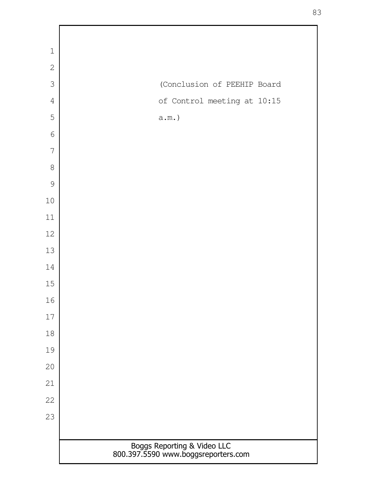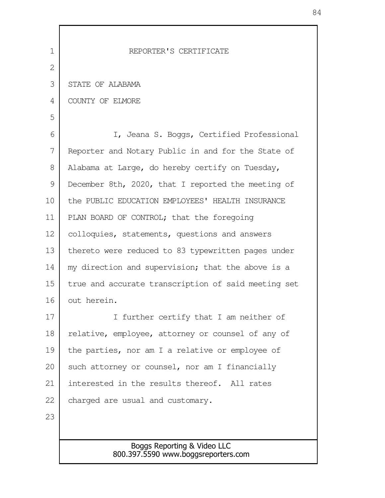| $\mathbf 1$ | REPORTER'S CERTIFICATE                                             |
|-------------|--------------------------------------------------------------------|
| 2           |                                                                    |
| 3           | STATE OF ALABAMA                                                   |
| 4           | COUNTY OF ELMORE                                                   |
| 5           |                                                                    |
| 6           | I, Jeana S. Boggs, Certified Professional                          |
| 7           | Reporter and Notary Public in and for the State of                 |
| 8           | Alabama at Large, do hereby certify on Tuesday,                    |
| 9           | December 8th, 2020, that I reported the meeting of                 |
| 10          | the PUBLIC EDUCATION EMPLOYEES' HEALTH INSURANCE                   |
| 11          | PLAN BOARD OF CONTROL; that the foregoing                          |
| 12          | colloquies, statements, questions and answers                      |
| 13          | thereto were reduced to 83 typewritten pages under                 |
| 14          | my direction and supervision; that the above is a                  |
| 15          | true and accurate transcription of said meeting set                |
| 16          | out herein.                                                        |
| 17          | I further certify that I am neither of                             |
| 18          | relative, employee, attorney or counsel of any of                  |
| 19          | the parties, nor am I a relative or employee of                    |
| 20          | such attorney or counsel, nor am I financially                     |
| 21          | interested in the results thereof. All rates                       |
| 22          | charged are usual and customary.                                   |
| 23          |                                                                    |
|             |                                                                    |
|             | Boggs Reporting & Video LLC<br>800.397.5590 www.boggsreporters.com |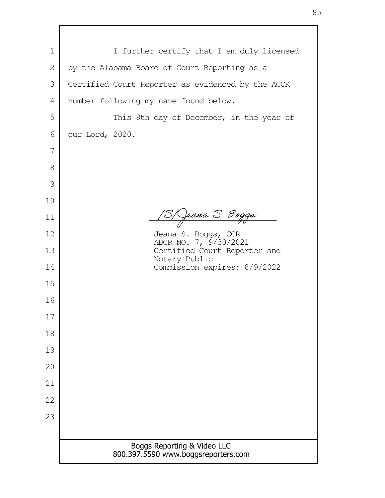| $\mathbf 1$ |                                                                    |
|-------------|--------------------------------------------------------------------|
|             | I further certify that I am duly licensed                          |
| 2           | by the Alabama Board of Court Reporting as a                       |
| 3           | Certified Court Reporter as evidenced by the ACCR                  |
| 4           | number following my name found below.                              |
| 5           | This 8th day of December, in the year of                           |
| 6           | our Lord, 2020.                                                    |
| 7           |                                                                    |
| 8           |                                                                    |
| 9           |                                                                    |
| 10          |                                                                    |
| 11          | / Jeana S. Boggs                                                   |
| 12          | Jeana S. Boggs, CCR<br>ABCR NO. 7, 9/30/2021                       |
| 13          | Certified Court Reporter and<br>Notary Public                      |
| 14          | Commission expires: 8/9/2022                                       |
| 15          |                                                                    |
| 16          |                                                                    |
| 17          |                                                                    |
| 18          |                                                                    |
| 19          |                                                                    |
| 20          |                                                                    |
| 21          |                                                                    |
| 22          |                                                                    |
| 23          |                                                                    |
|             |                                                                    |
|             | Boggs Reporting & Video LLC<br>800.397.5590 www.boggsreporters.com |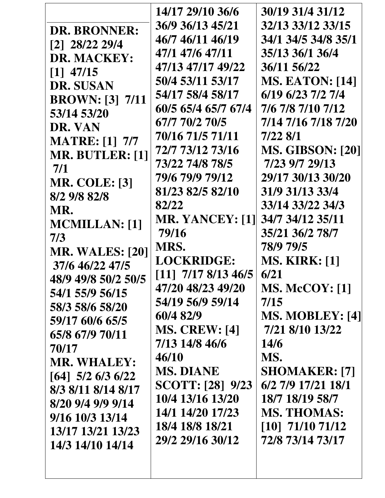|                        | 14/17 29/10 36/6                 | 30/19 31/4 31/12              |
|------------------------|----------------------------------|-------------------------------|
|                        | 36/9 36/13 45/21                 | 32/13 33/12 33/15             |
| <b>DR. BRONNER:</b>    | 46/7 46/11 46/19                 | 34/1 34/5 34/8 35/1           |
| $[2]$ 28/22 29/4       | 47/1 47/6 47/11                  | 35/13 36/1 36/4               |
| DR. MACKEY:            | 47/13 47/17 49/22                | 36/11 56/22                   |
| $[1]$ 47/15            | 50/4 53/11 53/17                 | <b>MS. EATON: [14]</b>        |
| <b>DR. SUSAN</b>       | 54/17 58/4 58/17                 | 6/19 6/23 7/2 7/4             |
| <b>BROWN:</b> [3] 7/11 |                                  |                               |
| 53/14 53/20            | 60/5 65/4 65/7 67/4              | 7/6 7/8 7/10 7/12             |
| DR. VAN                | 67/7 70/2 70/5                   | 7/14 7/16 7/18 7/20           |
| <b>MATRE:</b> [1] 7/7  | 70/16 71/5 71/11                 | 7/22 8/1                      |
| MR. BUTLER: [1]        | 72/7 73/12 73/16                 | <b>MS. GIBSON: [20]</b>       |
| 7/1                    | 73/22 74/8 78/5                  | 7/23 9/7 29/13                |
| <b>MR. COLE: [3]</b>   | 79/6 79/9 79/12                  | 29/17 30/13 30/20             |
| 8/2 9/8 82/8           | 81/23 82/5 82/10                 | 31/9 31/13 33/4               |
| MR.                    | 82/22                            | 33/14 33/22 34/3              |
| <b>MCMILLAN:</b> [1]   | <b>MR. YANCEY: [1]</b>           | 34/7 34/12 35/11              |
| 7/3                    | 79/16                            | 35/21 36/2 78/7               |
| <b>MR. WALES: [20]</b> | MRS.                             | 78/9 79/5                     |
| 37/6 46/22 47/5        | <b>LOCKRIDGE:</b>                | <b>MS. KIRK: [1]</b>          |
| 48/9 49/8 50/2 50/5    | $\left[11\right]$ 7/17 8/13 46/5 | 6/21                          |
| 54/1 55/9 56/15        | 47/20 48/23 49/20                | <b>MS. McCOY: [1]</b>         |
| 58/3 58/6 58/20        | 54/19 56/9 59/14                 | 7/15                          |
| 59/17 60/6 65/5        | 60/4 82/9                        | <b>MS. MOBLEY: [4]</b>        |
| 65/8 67/9 70/11        | <b>MS. CREW: [4]</b>             | 7/21 8/10 13/22               |
| 70/17                  | 7/13 14/8 46/6                   | <b>14/6</b>                   |
|                        | 46/10                            | MS.                           |
| <b>MR. WHALEY:</b>     | <b>MS. DIANE</b>                 | <b>SHOMAKER: [7]</b>          |
| $[64]$ 5/2 6/3 6/22    | <b>SCOTT:</b> [28] 9/23          | 6/2 7/9 17/21 18/1            |
| 8/3 8/11 8/14 8/17     | 10/4 13/16 13/20                 | 18/7 18/19 58/7               |
| 8/20 9/4 9/9 9/14      | 14/1 14/20 17/23                 | <b>MS. THOMAS:</b>            |
| 9/16 10/3 13/14        | 18/4 18/8 18/21                  | $\left[10\right]$ 71/10 71/12 |
| 13/17 13/21 13/23      | 29/2 29/16 30/12                 | 72/8 73/14 73/17              |
| 14/3 14/10 14/14       |                                  |                               |
|                        |                                  |                               |
|                        |                                  |                               |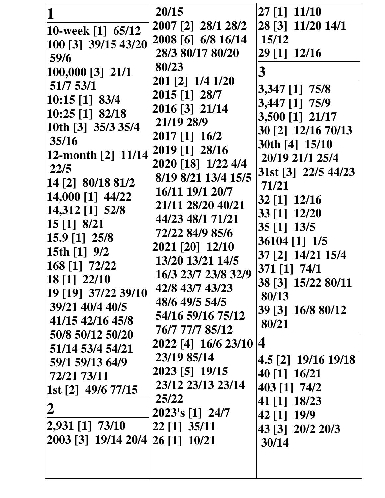| 2022 [4] 16/6 23/10 4<br>51/14 53/4 54/21<br>23/19 85/14<br>4.5 [2] 19/16 19/18<br>59/1 59/13 64/9<br>2023 [5] 19/15<br>40 [1] 16/21<br>72/21 73/11<br>23/12 23/13 23/14<br>403 [1] 74/2<br>1st [2] 49/6 77/15 | $10:15$ [1] 83/4<br>2016 [3] 21/14<br>10:25 [1] 82/18<br>10th [3] 35/3 35/4<br>35/16<br>12-month [2] 11/14<br>22/5<br>14 [2] 80/18 81/2<br>14,000 [1] 44/22<br>14,312 [1] 52/8<br>15 [1] 8/21<br>$15.9$ [1] $25/8$<br>15th $[1]$ 9/2<br>168 [1] 72/22<br>18 [1] 22/10<br>19 [19] 37/22 39/10<br>39/21 40/4 40/5<br>41/15 42/16 45/8<br>50/8 50/12 50/20<br>25/22<br>$\boldsymbol{2}$<br>2,931 [1] 73/10<br>2003 [3] 19/14 20/4 | 21/19 28/9<br>2017 [1] 16/2<br>2019 [1] 28/16<br>2020 [18] 1/22 4/4<br>8/19 8/21 13/4 15/5<br>16/11 19/1 20/7<br>21/11 28/20 40/21<br>44/23 48/1 71/21<br>72/22 84/9 85/6<br>2021 [20] 12/10<br>13/20 13/21 14/5<br>16/3 23/7 23/8 32/9<br>42/8 43/7 43/23<br>48/6 49/5 54/5<br>54/16 59/16 75/12<br>76/7 77/7 85/12<br>2023's [1] 24/7<br>22 [1] 35/11<br>26 [1] 10/21 | 3,447 [1] 75/9<br>3,500 [1] 21/17<br>30 [2] 12/16 70/13<br>30th [4] 15/10<br>20/19 21/1 25/4<br>31st [3] 22/5 44/23<br>71/21<br>32 [1] 12/16<br>33 [1] 12/20<br>35 [1] 13/5<br>36104 [1] 1/5<br>37 [2] 14/21 15/4<br>371 [1] 74/1<br>38 [3] 15/22 80/11<br>80/13<br>39 [3] 16/8 80/12<br>80/21<br>41 [1] 18/23<br>42 [1] 19/9<br>43 [3] 20/2 20/3<br>30/14 |
|----------------------------------------------------------------------------------------------------------------------------------------------------------------------------------------------------------------|--------------------------------------------------------------------------------------------------------------------------------------------------------------------------------------------------------------------------------------------------------------------------------------------------------------------------------------------------------------------------------------------------------------------------------|-------------------------------------------------------------------------------------------------------------------------------------------------------------------------------------------------------------------------------------------------------------------------------------------------------------------------------------------------------------------------|------------------------------------------------------------------------------------------------------------------------------------------------------------------------------------------------------------------------------------------------------------------------------------------------------------------------------------------------------------|
|                                                                                                                                                                                                                |                                                                                                                                                                                                                                                                                                                                                                                                                                |                                                                                                                                                                                                                                                                                                                                                                         |                                                                                                                                                                                                                                                                                                                                                            |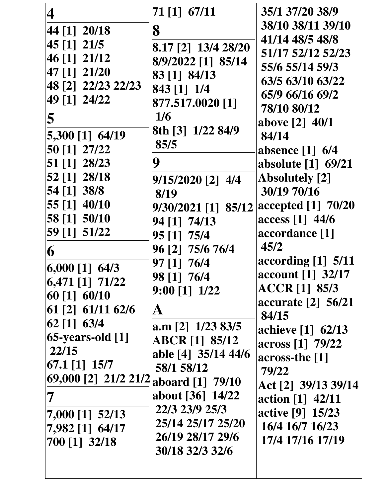| 4                                                              | 71 [1] 67/11                    | 35/1 37/20 38/9                     |
|----------------------------------------------------------------|---------------------------------|-------------------------------------|
| 44 [1] 20/18                                                   | 8                               | 38/10 38/11 39/10                   |
| 45 [1] 21/5                                                    |                                 | 41/14 48/5 48/8                     |
| 46 [1] 21/12                                                   | 8.17 [2] 13/4 28/20             | 51/17 52/12 52/23                   |
| 47 [1] 21/20                                                   | 8/9/2022 [1] 85/14              | 55/6 55/14 59/3                     |
| 48 [2] 22/23 22/23                                             | 83 [1] 84/13                    | 63/5 63/10 63/22                    |
| 49 [1] 24/22                                                   | 843 [1] 1/4                     | 65/9 66/16 69/2                     |
|                                                                | 877.517.0020 [1]                | 78/10 80/12                         |
| 5                                                              | 1/6                             | above [2] 40/1                      |
| 5,300 [1] 64/19                                                | 8th [3] 1/22 84/9               | 84/14                               |
| 50 [1] 27/22                                                   | 85/5                            | absence $[1]$ 6/4                   |
| 51 [1] 28/23                                                   | 9                               | absolute [1] 69/21                  |
| 52 [1] 28/18                                                   | $9/15/2020$ [2] $4/4$           | <b>Absolutely</b> [2]               |
| 54 [1] 38/8                                                    | 8/19                            | 30/19 70/16                         |
| 55 [1] 40/10                                                   | 9/30/2021 [1] 85/12             | accepted [1] 70/20                  |
| 58 [1] 50/10                                                   | 94 [1] 74/13                    | access [1] 44/6                     |
| 59 [1] 51/22                                                   | 95 [1] 75/4                     | accordance [1]                      |
| 6                                                              | 96 [2] 75/6 76/4                | 45/2                                |
| $6,000$ [1] $64/3$                                             | 97 [1] 76/4                     | according $[1]$ 5/11                |
| $\left[6,471\left[1\right]$ 71/22                              | 98 [1] 76/4                     | account [1] 32/17                   |
| $60$ [1] $60/10$                                               | $9:00$ [1] $1/22$               | <b>ACCR</b> [1] 85/3                |
| $61$ [2] $61/11$ $62/6$                                        | A                               | accurate [2] 56/21                  |
| $62$ [1] $63/4$                                                | a.m $\lceil 2 \rceil$ 1/23 83/5 | 84/15                               |
| $65$ -years-old $[1]$                                          | ABCR [1] 85/12                  | achieve [1] 62/13                   |
| 22/15                                                          | able [4] 35/14 44/6             | across [1] 79/22                    |
| $\left[ 67.1 \right]$ $\left[ 1 \right]$ $\left[ 15/7 \right]$ | 58/1 58/12                      | across-the [1]                      |
| 69,000 [2] 21/2 21/2                                           | aboard [1] 79/10                | 79/22                               |
| 7                                                              | about [36] 14/22                | Act [2] 39/13 39/14                 |
|                                                                | 22/3 23/9 25/3                  | action [1] 42/11                    |
| $7,000$ [1] $52/13$                                            | 25/14 25/17 25/20               | active [9] 15/23<br>16/4 16/7 16/23 |
| 7,982 [1] 64/17                                                | 26/19 28/17 29/6                | 17/4 17/16 17/19                    |
| 700 [1] 32/18                                                  | 30/18 32/3 32/6                 |                                     |
|                                                                |                                 |                                     |
|                                                                |                                 |                                     |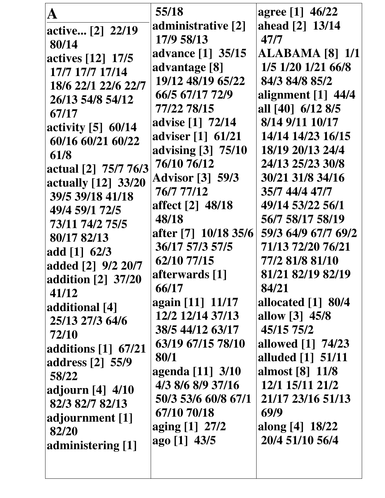| A<br>active [2] 22/19<br>80/14<br>actives [12] 17/5<br>17/7 17/7 17/14<br>18/6 22/1 22/6 22/7<br>26/13 54/8 54/12<br>67/17<br>activity $[5]$ 60/14<br>60/16 60/21 60/22<br>61/8<br>actual [2] 75/7 76/3<br>actually [12] 33/20<br>39/5 39/18 41/18<br>49/4 59/1 72/5<br>73/11 74/2 75/5<br>80/17 82/13<br>add $[1]$ 62/3<br>added [2] 9/2 20/7<br>addition [2] 37/20 | 55/18<br>administrative [2]<br>17/9 58/13<br>advance [1] 35/15<br>advantage [8]<br>19/12 48/19 65/22<br>66/5 67/17 72/9<br>77/22 78/15<br>advise [1] 72/14<br>adviser [1] 61/21<br>advising [3] 75/10<br>76/10 76/12<br><b>Advisor [3] 59/3</b><br>76/7 77/12<br>affect [2] 48/18<br>48/18<br>after [7] 10/18 35/6<br>36/17 57/3 57/5<br>62/10 77/15<br>afterwards [1] | agree [1] 46/22<br>ahead [2] 13/14<br>47/7<br><b>ALABAMA [8] 1/1</b><br>1/5 1/20 1/21 66/8<br>84/3 84/8 85/2<br>alignment $[1]$ 44/4<br>all [40] 6/12 8/5<br>8/14 9/11 10/17<br>14/14 14/23 16/15<br>18/19 20/13 24/4<br>24/13 25/23 30/8<br>30/21 31/8 34/16<br>35/7 44/4 47/7<br>49/14 53/22 56/1<br>56/7 58/17 58/19<br>59/3 64/9 67/7 69/2<br>71/13 72/20 76/21<br>77/2 81/8 81/10<br>81/21 82/19 82/19 |
|----------------------------------------------------------------------------------------------------------------------------------------------------------------------------------------------------------------------------------------------------------------------------------------------------------------------------------------------------------------------|------------------------------------------------------------------------------------------------------------------------------------------------------------------------------------------------------------------------------------------------------------------------------------------------------------------------------------------------------------------------|-------------------------------------------------------------------------------------------------------------------------------------------------------------------------------------------------------------------------------------------------------------------------------------------------------------------------------------------------------------------------------------------------------------|
| 41/12<br>additional [4]<br>25/13 27/3 64/6<br>72/10<br>additions [1] 67/21<br>address [2] 55/9<br>58/22<br>adjourn [4] 4/10<br>82/3 82/7 82/13<br>adjournment [1]                                                                                                                                                                                                    | 66/17<br>again [11] 11/17<br>12/2 12/14 37/13<br>38/5 44/12 63/17<br>63/19 67/15 78/10<br>80/1<br>agenda [11] 3/10<br>4/3 8/6 8/9 37/16<br>50/3 53/6 60/8 67/1<br>67/10 70/18<br>aging [1] 27/2                                                                                                                                                                        | 84/21<br>allocated $[1]$ 80/4<br>allow [3] 45/8<br>45/15 75/2<br>allowed [1] 74/23<br>alluded [1] 51/11<br>almost [8] 11/8<br>12/1 15/11 21/2<br>21/17 23/16 51/13<br>69/9<br>along [4] 18/22                                                                                                                                                                                                               |
| 82/20<br>administering [1]                                                                                                                                                                                                                                                                                                                                           | ago [1] 43/5                                                                                                                                                                                                                                                                                                                                                           | 20/4 51/10 56/4                                                                                                                                                                                                                                                                                                                                                                                             |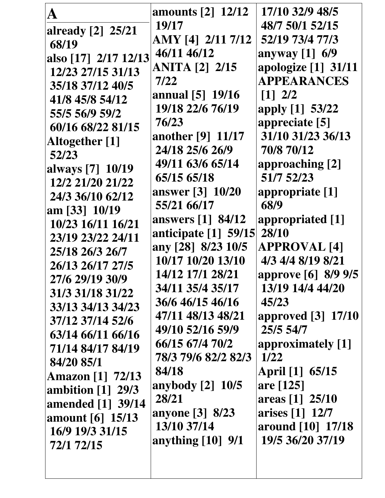|                         | <b>amounts</b> [2] 12/12 | 17/10 32/9 48/5                        |
|-------------------------|--------------------------|----------------------------------------|
| already [2] 25/21       | 19/17                    | 48/7 50/1 52/15                        |
| 68/19                   | AMY [4] 2/11 7/12        | 52/19 73/4 77/3                        |
| also [17] 2/17 12/13    | 46/11 46/12              | anyway [1] 6/9                         |
| 12/23 27/15 31/13       | <b>ANITA</b> [2] 2/15    | apologize [1] 31/11                    |
| 35/18 37/12 40/5        | 7/22                     | <b>APPEARANCES</b>                     |
| 41/8 45/8 54/12         | annual [5] 19/16         | $\begin{bmatrix} 1 \\ 2 \end{bmatrix}$ |
| 55/5 56/9 59/2          | 19/18 22/6 76/19         | apply [1] 53/22                        |
| 60/16 68/22 81/15       | 76/23                    | appreciate [5]                         |
| Altogether [1]          | another [9] 11/17        | 31/10 31/23 36/13                      |
| 52/23                   | 24/18 25/6 26/9          | 70/8 70/12                             |
| always [7] 10/19        | 49/11 63/6 65/14         | approaching [2]                        |
| 12/2 21/20 21/22        | 65/15 65/18              | 51/7 52/23                             |
| 24/3 36/10 62/12        | answer [3] 10/20         | appropriate [1]                        |
| $\tan$ [33] 10/19       | 55/21 66/17              | 68/9                                   |
| 10/23 16/11 16/21       | answers [1] 84/12        | appropriated [1]                       |
| 23/19 23/22 24/11       | anticipate [1] 59/15     | 28/10                                  |
| 25/18 26/3 26/7         | any [28] 8/23 10/5       | <b>APPROVAL [4]</b>                    |
| 26/13 26/17 27/5        | 10/17 10/20 13/10        | 4/3 4/4 8/19 8/21                      |
| 27/6 29/19 30/9         | 14/12 17/1 28/21         | approve [6] 8/9 9/5                    |
| 31/3 31/18 31/22        | 34/11 35/4 35/17         | 13/19 14/4 44/20                       |
| 33/13 34/13 34/23       | 36/6 46/15 46/16         | 45/23                                  |
| 37/12 37/14 52/6        | 47/11 48/13 48/21        | approved [3] 17/10                     |
| 63/14 66/11 66/16       | 49/10 52/16 59/9         | 25/5 54/7                              |
| 71/14 84/17 84/19       | 66/15 67/4 70/2          | approximately [1]                      |
| 84/20 85/1              | 78/3 79/6 82/2 82/3      | <b>1/22</b>                            |
| <b>Amazon</b> [1] 72/13 | 84/18                    | April [1] 65/15                        |
| ambition $[1]$ 29/3     | anybody [2] 10/5         | are [125]                              |
| amended [1] 39/14       | 28/21                    | areas [1] 25/10                        |
| amount [6] 15/13        | anyone [3] 8/23          | arises [1] 12/7                        |
| 16/9 19/3 31/15         | 13/10 37/14              | around [10] 17/18                      |
| 72/1 72/15              | anything $[10]$ 9/1      | 19/5 36/20 37/19                       |
|                         |                          |                                        |
|                         |                          |                                        |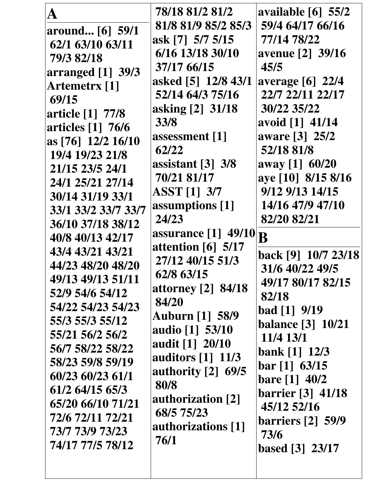|                      | 78/18 81/2 81/2                  | available $[6]$ 55/2     |
|----------------------|----------------------------------|--------------------------|
| around [6] 59/1      | 81/8 81/9 85/2 85/3              | 59/4 64/17 66/16         |
| 62/1 63/10 63/11     | ask [7] 5/7 5/15                 | 77/14 78/22              |
| 79/3 82/18           | 6/16 13/18 30/10                 | avenue [2] 39/16         |
| arranged $[1]$ 39/3  | 37/17 66/15                      | 45/5                     |
| <b>Artemetrx</b> [1] | asked [5] 12/8 43/1              | average [6] 22/4         |
| 69/15                | 52/14 64/3 75/16                 | 22/7 22/11 22/17         |
| article [1] 77/8     | asking [2] 31/18                 | 30/22 35/22              |
| articles [1] 76/6    | 33/8                             | avoid [1] 41/14          |
| as [76] 12/2 16/10   | assessment [1]                   | aware [3] 25/2           |
| 19/4 19/23 21/8      | 62/22                            | 52/18 81/8               |
| 21/15 23/5 24/1      | assistant $[3]$ 3/8              | away [1] 60/20           |
| 24/1 25/21 27/14     | 70/21 81/17                      | aye [10] 8/15 8/16       |
| 30/14 31/19 33/1     | <b>ASST</b> [1] 3/7              | 9/12 9/13 14/15          |
| 33/1 33/2 33/7 33/7  | assumptions [1]                  | 14/16 47/9 47/10         |
| 36/10 37/18 38/12    | 24/23                            | 82/20 82/21              |
| 40/8 40/13 42/17     | <b>assurance</b> [1] 49/10       | B                        |
| 43/4 43/21 43/21     | attention $[6]$ 5/17             |                          |
| 44/23 48/20 48/20    | 27/12 40/15 51/3                 | back [9] 10/7 23/18      |
| 49/13 49/13 51/11    | 62/8 63/15                       | 31/6 40/22 49/5          |
| 52/9 54/6 54/12      | attorney [2] 84/18               | 49/17 80/17 82/15        |
| 54/22 54/23 54/23    | 84/20                            | 82/18                    |
| 55/3 55/3 55/12      | <b>Auburn [1] 58/9</b>           | bad [1] 9/19             |
| 55/21 56/2 56/2      | audio [1] 53/10                  | <b>balance</b> [3] 10/21 |
| 56/7 58/22 58/22     | audit [1] 20/10                  | 11/4 13/1                |
| 58/23 59/8 59/19     | auditors $\lceil 1 \rceil$ 11/3  | bank $[1]$ 12/3          |
| 60/23 60/23 61/1     | authority $\lceil 2 \rceil$ 69/5 | bar [1] 63/15            |
| 61/2 64/15 65/3      | 80/8                             | <b>bare</b> $[1]$ 40/2   |
| 65/20 66/10 71/21    | authorization [2]                | <b>barrier</b> [3] 41/18 |
| 72/6 72/11 72/21     | 68/5 75/23                       | 45/12 52/16              |
| 73/7 73/9 73/23      | authorizations [1]               | <b>barriers</b> [2] 59/9 |
| 74/17 77/5 78/12     | 76/1                             | 73/6                     |
|                      |                                  | <b>based</b> [3] 23/17   |
|                      |                                  |                          |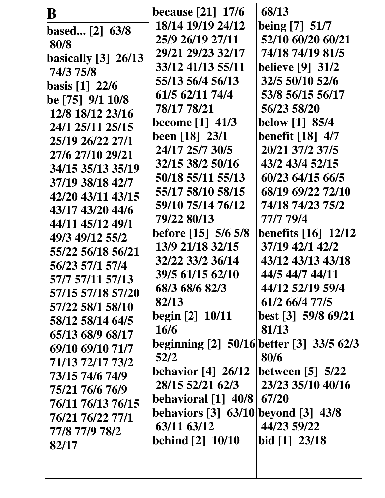| B                   | <b>because</b> [21] 17/6                 | 68/13                      |
|---------------------|------------------------------------------|----------------------------|
| based $[2]$ 63/8    | 18/14 19/19 24/12                        | being [7] 51/7             |
| 80/8                | 25/9 26/19 27/11                         | 52/10 60/20 60/21          |
| basically [3] 26/13 | 29/21 29/23 32/17                        | 74/18 74/19 81/5           |
| 74/3 75/8           | 33/12 41/13 55/11                        | <b>believe</b> [9] 31/2    |
| basis $[1]$ 22/6    | 55/13 56/4 56/13                         | 32/5 50/10 52/6            |
| be [75] 9/1 10/8    | 61/5 62/11 74/4                          | 53/8 56/15 56/17           |
| 12/8 18/12 23/16    | 78/17 78/21                              | 56/23 58/20                |
| 24/1 25/11 25/15    | <b>become</b> [1] 41/3                   | below [1] 85/4             |
| 25/19 26/22 27/1    | been [18] 23/1                           | <b>benefit [18] 4/7</b>    |
| 27/6 27/10 29/21    | 24/17 25/7 30/5                          | 20/21 37/2 37/5            |
| 34/15 35/13 35/19   | 32/15 38/2 50/16                         | 43/2 43/4 52/15            |
| 37/19 38/18 42/7    | 50/18 55/11 55/13                        | 60/23 64/15 66/5           |
| 42/20 43/11 43/15   | 55/17 58/10 58/15                        | 68/19 69/22 72/10          |
| 43/17 43/20 44/6    | 59/10 75/14 76/12                        | 74/18 74/23 75/2           |
| 44/11 45/12 49/1    | 79/22 80/13                              | 77/7 79/4                  |
| 49/3 49/12 55/2     | <b>before</b> [15] 5/6 5/8               | <b>benefits</b> [16] 12/12 |
| 55/22 56/18 56/21   | 13/9 21/18 32/15                         | 37/19 42/1 42/2            |
| 56/23 57/1 57/4     | 32/22 33/2 36/14                         | 43/12 43/13 43/18          |
| 57/7 57/11 57/13    | 39/5 61/15 62/10                         | 44/5 44/7 44/11            |
| 57/15 57/18 57/20   | 68/3 68/6 82/3                           | 44/12 52/19 59/4           |
| 57/22 58/1 58/10    | 82/13                                    | 61/2 66/4 77/5             |
| 58/12 58/14 64/5    | <b>begin</b> [2] 10/11                   | best [3] 59/8 69/21        |
| 65/13 68/9 68/17    | <b>16/6</b>                              | 81/13                      |
| 69/10 69/10 71/7    | beginning [2] 50/16 better [3] 33/5 62/3 |                            |
| 71/13 72/17 73/2    | 52/2                                     | 80/6                       |
| 73/15 74/6 74/9     | <b>behavior [4] 26/12</b>                | between $[5]$ 5/22         |
| 75/21 76/6 76/9     | 28/15 52/21 62/3                         | 23/23 35/10 40/16          |
| 76/11 76/13 76/15   | <b>behavioral</b> [1] 40/8 67/20         |                            |
| 76/21 76/22 77/1    | behaviors [3] 63/10 beyond [3] 43/8      |                            |
| 77/8 77/9 78/2      | 63/11 63/12                              | 44/23 59/22                |
| 82/17               | <b>behind [2] 10/10</b>                  | bid $[1]$ 23/18            |
|                     |                                          |                            |
|                     |                                          |                            |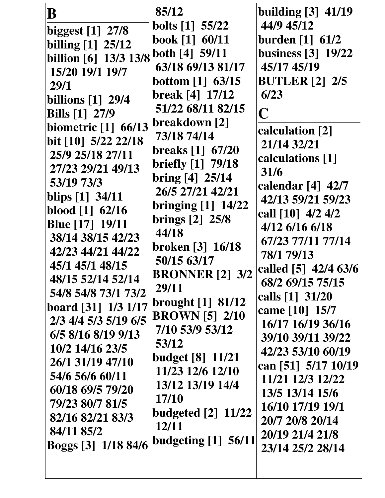| $\bf B$                    | 85/12                      | building $\lceil 3 \rceil$ 41/19         |
|----------------------------|----------------------------|------------------------------------------|
| biggest $[1]$ 27/8         | <b>bolts</b> [1] 55/22     | 44/9 45/12                               |
| billing [1] 25/12          | book [1] 60/11             | burden [1] 61/2                          |
| billion [6] 13/3 13/8      | both $[4]$ 59/11           | <b>business</b> [3] 19/22                |
| 15/20 19/1 19/7            | 63/18 69/13 81/17          | 45/17 45/19                              |
| <b>29/1</b>                | bottom $[1]$ 63/15         | <b>BUTLER</b> [2] 2/5                    |
| billions [1] 29/4          | break [4] 17/12            | 6/23                                     |
| <b>Bills</b> [1] 27/9      | 51/22 68/11 82/15          | C                                        |
| <b>biometric</b> [1] 66/13 | breakdown [2]              |                                          |
| bit [10] 5/22 22/18        | 73/18 74/14                | calculation [2]                          |
| 25/9 25/18 27/11           | breaks [1] 67/20           | 21/14 32/21                              |
| 27/23 29/21 49/13          | briefly [1] 79/18          | calculations [1]                         |
| 53/19 73/3                 | bring [4] 25/14            | 31/6                                     |
| blips [1] 34/11            | 26/5 27/21 42/21           | calendar $[4]$ 42/7                      |
| blood $[1]$ 62/16          | <b>bringing</b> [1] 14/22  | 42/13 59/21 59/23                        |
| <b>Blue</b> [17] 19/11     | brings [2] 25/8            | call [10] 4/2 4/2                        |
| 38/14 38/15 42/23          | 44/18                      | $4/12$ 6/16 6/18                         |
| 42/23 44/21 44/22          | broken [3] 16/18           | 67/23 77/11 77/14<br>78/1 79/13          |
| 45/1 45/1 48/15            | 50/15 63/17                |                                          |
| 48/15 52/14 52/14          | <b>BRONNER</b> [2] 3/2     | called [5] 42/4 63/6<br>68/2 69/15 75/15 |
| 54/8 54/8 73/1 73/2        | 29/11                      |                                          |
| board [31] 1/3 1/17        | brought [1] 81/12          | calls [1] 31/20                          |
| 2/3 4/4 5/3 5/19 6/5       | <b>BROWN</b> [5] 2/10      | came [10] 15/7                           |
| $6/5$ 8/16 8/19 9/13       | 7/10 53/9 53/12            | 16/17 16/19 36/16                        |
| 10/2 14/16 23/5            | 53/12                      | 39/10 39/11 39/22                        |
| 26/1 31/19 47/10           | <b>budget</b> [8] 11/21    | 42/23 53/10 60/19                        |
| 54/6 56/6 60/11            | 11/23 12/6 12/10           | can [51] 5/17 10/19                      |
| 60/18 69/5 79/20           | 13/12 13/19 14/4           | 11/21 12/3 12/22                         |
| 79/23 80/7 81/5            | 17/10                      | 13/5 13/14 15/6                          |
| 82/16 82/21 83/3           | <b>budgeted</b> [2] 11/22  | 16/10 17/19 19/1                         |
| 84/11 85/2                 | 12/11                      | 20/7 20/8 20/14                          |
| Boggs [3] 1/18 84/6        | <b>budgeting</b> [1] 56/11 | 20/19 21/4 21/8                          |
|                            |                            | 23/14 25/2 28/14                         |
|                            |                            |                                          |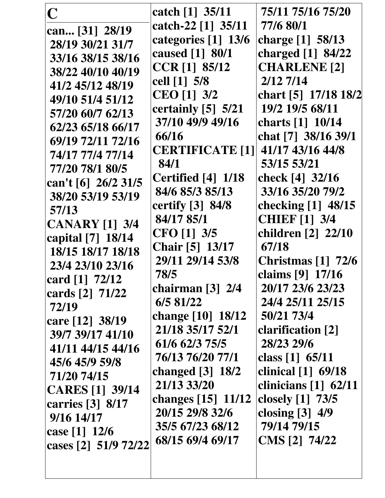| $\mathbf C$                           | catch [1] 35/11         | 75/11 75/16 75/20        |
|---------------------------------------|-------------------------|--------------------------|
| can [31] 28/19                        | catch-22 [1] 35/11      | 77/6 80/1                |
| 28/19 30/21 31/7                      | categories [1] 13/6     | charge [1] 58/13         |
| 33/16 38/15 38/16                     | caused [1] 80/1         | charged [1] 84/22        |
| 38/22 40/10 40/19                     | CCR [1] 85/12           | <b>CHARLENE</b> [2]      |
| 41/2 45/12 48/19                      | cell [1] 5/8            | $2/12$ 7/14              |
| 49/10 51/4 51/12                      | CEO [1] 3/2             | chart [5] 17/18 18/2     |
| 57/20 60/7 62/13                      | certainly [5] 5/21      | 19/2 19/5 68/11          |
| 62/23 65/18 66/17                     | 37/10 49/9 49/16        | charts [1] 10/14         |
| 69/19 72/11 72/16                     | 66/16                   | chat [7] 38/16 39/1      |
| 74/17 77/4 77/14                      | <b>CERTIFICATE [1] </b> | 41/17 43/16 44/8         |
|                                       | 84/1                    | 53/15 53/21              |
| 77/20 78/1 80/5                       | Certified [4] 1/18      | check [4] 32/16          |
| can't [6] 26/2 31/5                   | 84/6 85/3 85/13         | 33/16 35/20 79/2         |
| 38/20 53/19 53/19                     | certify [3] 84/8        | checking [1] 48/15       |
| 57/13                                 | 84/17 85/1              | <b>CHIEF</b> [1] 3/4     |
| <b>CANARY</b> [1] 3/4                 | CFO [1] 3/5             | children [2] 22/10       |
| capital [7] 18/14                     | <b>Chair</b> [5] 13/17  | 67/18                    |
| 18/15 18/17 18/18                     | 29/11 29/14 53/8        | Christmas [1] 72/6       |
| 23/4 23/10 23/16                      | 78/5                    | claims [9] 17/16         |
| card $[1]$ 72/12                      | chairman [3] 2/4        | 20/17 23/6 23/23         |
| cards [2] 71/22                       | 6/5 81/22               | 24/4 25/11 25/15         |
| 72/19                                 | change [10] 18/12       | 50/21 73/4               |
| care [12] 38/19                       | 21/18 35/17 52/1        | <b>clarification</b> [2] |
| 39/7 39/17 41/10<br>41/11 44/15 44/16 | 61/6 62/3 75/5          | 28/23 29/6               |
|                                       | 76/13 76/20 77/1        | class $[1]$ 65/11        |
| 45/6 45/9 59/8                        | changed [3] 18/2        | clinical [1] 69/18       |
| 71/20 74/15                           | 21/13 33/20             | clinicians [1] 62/11     |
| <b>CARES</b> [1] 39/14                | changes $[15] 11/12$    | closely [1] 73/5         |
| carries [3] 8/17<br>9/16 14/17        | 20/15 29/8 32/6         | closing $[3]$ 4/9        |
| case $[1]$ 12/6                       | 35/5 67/23 68/12        | 79/14 79/15              |
| cases [2] 51/9 72/22                  | 68/15 69/4 69/17        | CMS [2] 74/22            |
|                                       |                         |                          |
|                                       |                         |                          |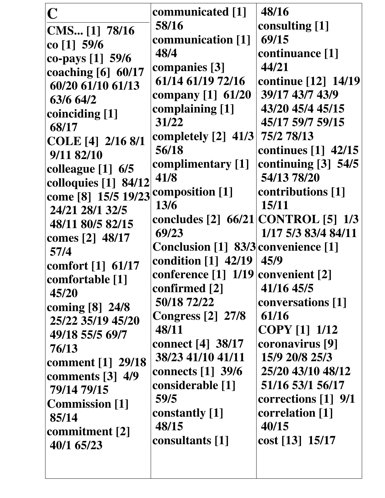| $\overline{C}$                  | communicated [1]                       | 48/16                             |
|---------------------------------|----------------------------------------|-----------------------------------|
| CMS [1] 78/16                   | 58/16                                  | consulting [1]                    |
| co $[1]$ 59/6                   | communication [1]                      | 69/15                             |
| co-pays [1] 59/6                | 48/4                                   | continuance [1]                   |
| coaching [6] 60/17              | companies [3]                          | 44/21                             |
| 60/20 61/10 61/13               | 61/14 61/19 72/16                      | continue [12] 14/19               |
| 63/6 64/2                       | company [1] 61/20                      | 39/17 43/7 43/9                   |
| coinciding [1]                  | complaining [1]                        | 43/20 45/4 45/15                  |
| 68/17                           | 31/22                                  | 45/17 59/7 59/15                  |
|                                 | completely $[2]$ 41/3                  | 75/2 78/13                        |
| COLE [4] 2/16 8/1<br>9/11 82/10 | 56/18                                  | continues $\lceil 1 \rceil$ 42/15 |
|                                 | complimentary [1]                      | continuing $[3]$ 54/5             |
| colleague $[1]$ 6/5             | 41/8                                   | 54/13 78/20                       |
| colloquies [1] 84/12            | composition [1]                        | contributions [1]                 |
| come [8] 15/5 19/23             | 13/6                                   | 15/11                             |
| 24/21 28/1 32/5                 | concludes [2] 66/21 CONTROL [5] 1/3    |                                   |
| 48/11 80/5 82/15                | 69/23                                  | 1/17 5/3 83/4 84/11               |
| comes [2] 48/17                 | Conclusion [1] 83/3 convenience [1]    |                                   |
| 57/4                            | condition [1] 42/19 45/9               |                                   |
| comfort [1] 61/17               | conference $[1] 1/19$ convenient $[2]$ |                                   |
| comfortable [1]                 | confirmed [2]                          | 41/16 45/5                        |
| 45/20                           | 50/18 72/22                            | conversations [1]                 |
| coming [8] 24/8                 | <b>Congress</b> [2] 27/8               | 61/16                             |
| 25/22 35/19 45/20               | 48/11                                  | <b>COPY</b> [1] 1/12              |
| 49/18 55/5 69/7                 | <b>connect</b> [4] 38/17               | coronavirus [9]                   |
| 76/13                           | 38/23 41/10 41/11                      | 15/9 20/8 25/3                    |
| comment [1] 29/18               | connects $[1]$ 39/6                    | 25/20 43/10 48/12                 |
| comments $\lceil 3 \rceil$ 4/9  | considerable [1]                       | 51/16 53/1 56/17                  |
| 79/14 79/15                     | 59/5                                   | corrections $[1]$ 9/1             |
| <b>Commission</b> [1]           | constantly [1]                         | correlation [1]                   |
| 85/14                           | 48/15                                  | 40/15                             |
| commitment [2]                  | consultants [1]                        | cost [13] 15/17                   |
| 40/1 65/23                      |                                        |                                   |
|                                 |                                        |                                   |
|                                 |                                        |                                   |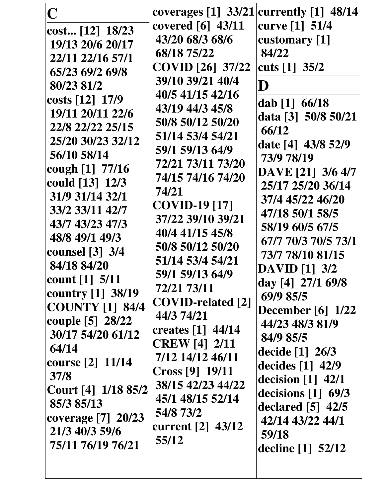| $\mathbf C$            | coverages $[1]$ 33/21    | currently $[1]$ 48/14                   |
|------------------------|--------------------------|-----------------------------------------|
| cost [12] 18/23        | covered [6] 43/11        | curve [1] 51/4                          |
| 19/13 20/6 20/17       | 43/20 68/3 68/6          | customary [1]                           |
| 22/11 22/16 57/1       | 68/18 75/22              | 84/22                                   |
| 65/23 69/2 69/8        | <b>COVID</b> [26] 37/22  | cuts $[1]$ 35/2                         |
| 80/23 81/2             | 39/10 39/21 40/4         | D                                       |
| costs $[12]$ 17/9      | 40/5 41/15 42/16         |                                         |
| 19/11 20/11 22/6       | 43/19 44/3 45/8          | dab $[1] 66/18$                         |
| 22/8 22/22 25/15       | 50/8 50/12 50/20         | data [3] 50/8 50/21                     |
| 25/20 30/23 32/12      | 51/14 53/4 54/21         | 66/12                                   |
| 56/10 58/14            | 59/1 59/13 64/9          | date [4] 43/8 52/9                      |
| cough [1] 77/16        | 72/21 73/11 73/20        | 73/9 78/19                              |
| could [13] 12/3        | 74/15 74/16 74/20        | DAVE [21] 3/6 4/7                       |
| 31/9 31/14 32/1        | 74/21                    | 25/17 25/20 36/14                       |
| 33/2 33/11 42/7        | <b>COVID-19</b> [17]     | 37/4 45/22 46/20                        |
| 43/7 43/23 47/3        | 37/22 39/10 39/21        | 47/18 50/1 58/5                         |
| 48/8 49/1 49/3         | 40/4 41/15 45/8          | 58/19 60/5 67/5                         |
| counsel [3] 3/4        | 50/8 50/12 50/20         | 67/7 70/3 70/5 73/1                     |
| 84/18 84/20            | 51/14 53/4 54/21         | 73/7 78/10 81/15                        |
| count [1] 5/11         | 59/1 59/13 64/9          | <b>DAVID</b> [1] 3/2                    |
| country $[1]$ 38/19    | 72/21 73/11              | day [4] 27/1 69/8                       |
| <b>COUNTY</b> [1] 84/4 | <b>COVID-related [2]</b> | 69/9 85/5                               |
| couple [5] 28/22       | 44/3 74/21               | <b>December</b> [6] 1/22                |
| 30/17 54/20 61/12      | creates $[1]$ 44/14      | 44/23 48/3 81/9                         |
| 64/14                  | <b>CREW</b> [4] 2/11     | 84/9 85/5                               |
| course [2] 11/14       | 7/12 14/12 46/11         | decide $[1] 26/3$                       |
| 37/8                   | Cross [9] 19/11          | decides $[1]$ 42/9                      |
| Court [4] 1/18 85/2    | 38/15 42/23 44/22        | decision $[1]$ 42/1                     |
| 85/3 85/13             | 45/1 48/15 52/14         | decisions [1] 69/3                      |
| coverage [7] 20/23     | 54/8 73/2                | declared $[5]$ 42/5<br>42/14 43/22 44/1 |
| 21/3 40/3 59/6         | current [2] 43/12        | 59/18                                   |
| 75/11 76/19 76/21      | 55/12                    |                                         |
|                        |                          | decline $[1]$ 52/12                     |
|                        |                          |                                         |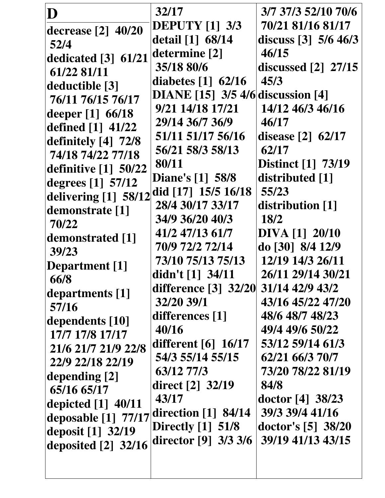| D                                  | 32/17                                      | 3/7 37/3 52/10 70/6       |
|------------------------------------|--------------------------------------------|---------------------------|
| decrease [2] 40/20                 | <b>DEPUTY</b> [1] 3/3                      | 70/21 81/16 81/17         |
| 52/4                               | detail [1] 68/14                           | discuss $[3]$ 5/6 46/3    |
| dedicated $[3]$ 61/21              | determine [2]                              | 46/15                     |
| 61/22 81/11                        | 35/18 80/6                                 | discussed $[2]$ 27/15     |
| deductible [3]                     | diabetes $\lceil 1 \rceil$ 62/16           | 45/3                      |
| 76/11 76/15 76/17                  | <b>DIANE</b> [15] $3/5$ 4/6 discussion [4] |                           |
| deeper $[1] 66/18$                 | 9/21 14/18 17/21                           | 14/12 46/3 46/16          |
| defined [1] 41/22                  | 29/14 36/7 36/9                            | 46/17                     |
| definitely [4] 72/8                | 51/11 51/17 56/16                          | disease $[2]$ 62/17       |
| 74/18 74/22 77/18                  | 56/21 58/3 58/13                           | 62/17                     |
| definitive $\lceil 1 \rceil$ 50/22 | 80/11                                      | <b>Distinct</b> [1] 73/19 |
| degrees [1] 57/12                  | <b>Diane's</b> [1] 58/8                    | distributed [1]           |
|                                    | did [17] 15/5 16/18                        | 55/23                     |
| delivering [1] 58/12               | 28/4 30/17 33/17                           | distribution [1]          |
| demonstrate [1]<br>70/22           | 34/9 36/20 40/3                            | <b>18/2</b>               |
|                                    | 41/2 47/13 61/7                            | <b>DIVA [1] 20/10</b>     |
| demonstrated [1]<br>39/23          | 70/9 72/2 72/14                            | do [30] 8/4 12/9          |
|                                    | 73/10 75/13 75/13                          | 12/19 14/3 26/11          |
| <b>Department</b> [1]              | didn't $[1]$ 34/11                         | 26/11 29/14 30/21         |
| 66/8                               | difference [3] 32/20 31/14 42/9 43/2       |                           |
| departments [1]                    | 32/20 39/1                                 | 43/16 45/22 47/20         |
| 57/16                              | differences [1]                            | 48/6 48/7 48/23           |
| dependents [10]                    | 40/16                                      | 49/4 49/6 50/22           |
| 17/7 17/8 17/17                    | different $[6]$ 16/17                      | 53/12 59/14 61/3          |
| 21/6 21/7 21/9 22/8                | 54/3 55/14 55/15                           | 62/21 66/3 70/7           |
| 22/9 22/18 22/19                   | 63/12 77/3                                 | 73/20 78/22 81/19         |
| depending [2]                      | direct [2] 32/19                           | 84/8                      |
| 65/16 65/17                        | 43/17                                      | doctor $[4]$ 38/23        |
| depicted $[1]$ 40/11               | direction $[1]$ 84/14                      | 39/3 39/4 41/16           |
| deposable $[1]$ 77/17              | Directly $[1]$ 51/8                        | doctor's [5] 38/20        |
| deposit [1] 32/19                  | director $[9]$ 3/3 3/6                     | 39/19 41/13 43/15         |
| deposited [2] 32/16                |                                            |                           |
|                                    |                                            |                           |
|                                    |                                            |                           |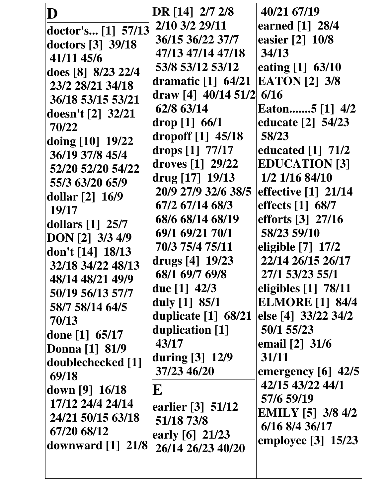| D                               | DR [14] 2/7 2/8       | 40/21 67/19                       |
|---------------------------------|-----------------------|-----------------------------------|
|                                 | 2/10 3/2 29/11        | earned [1] 28/4                   |
| doctor's [1] 57/13              | 36/15 36/22 37/7      | easier [2] 10/8                   |
| doctors [3] 39/18               | 47/13 47/14 47/18     | 34/13                             |
| 41/11 45/6                      |                       |                                   |
| does [8] 8/23 22/4              | 53/8 53/12 53/12      | eating [1] 63/10                  |
| 23/2 28/21 34/18                | dramatic $[1]$ 64/21  | <b>EATON</b> [2] 3/8              |
| 36/18 53/15 53/21               | draw [4] $40/14$ 51/2 | 6/16                              |
| doesn't $[2]$ 32/21             | 62/8 63/14            | Eaton5 [1] 4/2                    |
| 70/22                           | drop [1] 66/1         | educate [2] 54/23                 |
| doing [10] 19/22                | dropoff $[1]$ 45/18   | 58/23                             |
| 36/19 37/8 45/4                 | drops [1] 77/17       | educated $\lceil 1 \rceil$ 71/2   |
| 52/20 52/20 54/22               | droves $[1]$ 29/22    | <b>EDUCATION [3]</b>              |
| 55/3 63/20 65/9                 | drug [17] 19/13       | 1/2 1/16 84/10                    |
| dollar $[2] 16/9$               | 20/9 27/9 32/6 38/5   | effective [1] 21/14               |
| 19/17                           | 67/2 67/14 68/3       | effects [1] 68/7                  |
| dollars $[1]$ 25/7              | 68/6 68/14 68/19      | efforts [3] 27/16                 |
| DON [2] 3/3 4/9                 | 69/1 69/21 70/1       | 58/23 59/10                       |
|                                 | 70/3 75/4 75/11       | eligible [7] 17/2                 |
| don't [14] 18/13                | drugs $[4] 19/23$     | 22/14 26/15 26/17                 |
| 32/18 34/22 48/13               | 68/1 69/7 69/8        | 27/1 53/23 55/1                   |
| 48/14 48/21 49/9                | due $[1]$ 42/3        | eligibles $\lceil 1 \rceil$ 78/11 |
| 50/19 56/13 57/7                | duly [1] 85/1         | <b>ELMORE</b> [1] 84/4            |
| 58/7 58/14 64/5                 | duplicate [1] 68/21   | else [4] 33/22 34/2               |
| 70/13                           | duplication [1]       | 50/1 55/23                        |
| done [1] $65/17$                | 43/17                 | email [2] 31/6                    |
| Donna [1] 81/9                  | during [3] 12/9       | 31/11                             |
| doublechecked [1]               | 37/23 46/20           |                                   |
| 69/18                           |                       | emergency $[6]$ 42/5              |
| down $[9] 16/18$                | E                     | 42/15 43/22 44/1                  |
| 17/12 24/4 24/14                | earlier [3] 51/12     | 57/6 59/19                        |
| 24/21 50/15 63/18               | 51/18 73/8            | <b>EMILY</b> [5] 3/8 4/2          |
| 67/20 68/12                     | early $[6]$ 21/23     | 6/16 8/4 36/17                    |
| downward $\lceil 1 \rceil$ 21/8 | 26/14 26/23 40/20     | employee [3] 15/23                |
|                                 |                       |                                   |
|                                 |                       |                                   |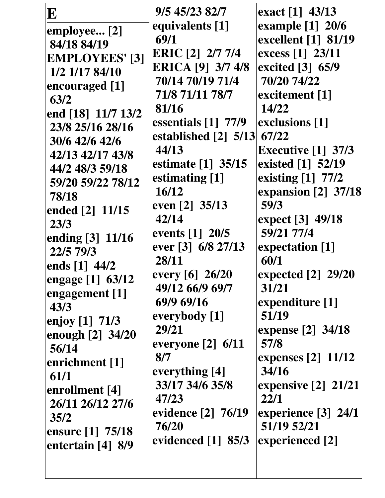| $\mathbf E$           | 9/5 45/23 82/7                    | exact [1] 43/13                           |
|-----------------------|-----------------------------------|-------------------------------------------|
| employee [2]          | equivalents [1]                   | example [1] 20/6                          |
| 84/18 84/19           | 69/1                              | excellent [1] 81/19                       |
| <b>EMPLOYEES'</b> [3] | <b>ERIC</b> [2] 2/7 7/4           | excess [1] 23/11                          |
| 1/2 1/17 84/10        | <b>ERICA</b> [9] 3/7 4/8          | excited [3] 65/9                          |
| encouraged [1]        | 70/14 70/19 71/4                  | 70/20 74/22                               |
| 63/2                  | 71/8 71/11 78/7                   | excitement [1]                            |
| end [18] 11/7 13/2    | 81/16                             | 14/22                                     |
| 23/8 25/16 28/16      | essentials [1] 77/9               | exclusions [1]                            |
| 30/6 42/6 42/6        | established [2] 5/13 67/22        |                                           |
| 42/13 42/17 43/8      | 44/13                             | Executive $[1]$ 37/3                      |
| 44/2 48/3 59/18       | estimate [1] 35/15                | existed [1] 52/19                         |
| 59/20 59/22 78/12     | estimating [1]                    | existing [1] 77/2                         |
| 78/18                 | 16/12                             | expansion [2] 37/18                       |
| ended [2] 11/15       | even [2] 35/13                    | 59/3                                      |
| 23/3                  | 42/14                             | expect [3] 49/18                          |
| ending [3] 11/16      | events [1] 20/5                   | 59/21 77/4                                |
| 22/5 79/3             | ever [3] 6/8 27/13                | expectation [1]                           |
| ends $[1]$ 44/2       | 28/11                             | 60/1                                      |
| engage $[1]$ 63/12    | every [6] 26/20                   | expected [2] 29/20                        |
| engagement [1]        | 49/12 66/9 69/7                   | 31/21                                     |
| 43/3                  | 69/9 69/16                        | expenditure [1]                           |
| enjoy $[1]$ 71/3      | everybody [1]                     | 51/19                                     |
| enough $[2]$ 34/20    | 29/21                             | expense [2] 34/18                         |
| 56/14                 | everyone $[2]$ 6/11               | 57/8                                      |
| enrichment [1]        | 8/7                               | expenses [2] 11/12<br>34/16               |
| 61/1                  | everything [4]<br>33/17 34/6 35/8 |                                           |
| enrollment [4]        | 47/23                             | expensive $\lceil 2 \rceil$ 21/21<br>22/1 |
| 26/11 26/12 27/6      | evidence [2] 76/19                | experience $[3]$ 24/1                     |
| 35/2                  | 76/20                             | 51/19 52/21                               |
| ensure [1] 75/18      | evidenced [1] 85/3                | experienced [2]                           |
| entertain $[4]$ 8/9   |                                   |                                           |
|                       |                                   |                                           |
|                       |                                   |                                           |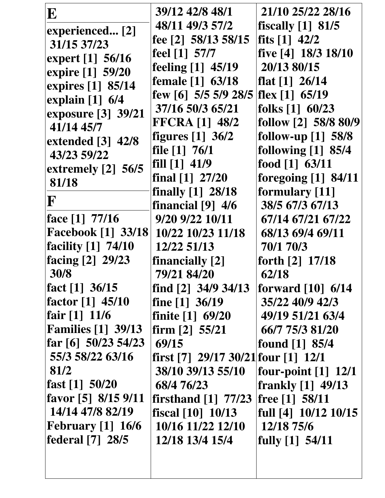| E                                                      | 39/12 42/8 48/1                                     | 21/10 25/22 28/16                                 |
|--------------------------------------------------------|-----------------------------------------------------|---------------------------------------------------|
| experienced [2]                                        | 48/11 49/3 57/2                                     | fiscally $[1]$ 81/5                               |
| 31/15 37/23                                            | fee $[2]$ 58/13 58/15                               | fits $[1]$ 42/2                                   |
| expert [1] 56/16                                       | $\text{feel} \begin{bmatrix} 1 \\ 57 \end{bmatrix}$ | five [4] 18/3 18/10                               |
| expire [1] 59/20                                       | feeling [1] 45/19                                   | 20/13 80/15                                       |
| expires [1] 85/14                                      | female [1] 63/18                                    | flat $[1]$ 26/14                                  |
|                                                        | few [6] $5/5$ 5/9 28/5                              | flex $[1]$ 65/19                                  |
| explain $[1]$ 6/4                                      | 37/16 50/3 65/21                                    | folks $[1]$ 60/23                                 |
| exposure [3] 39/21                                     | <b>FFCRA [1] 48/2</b>                               | follow [2] 58/8 80/9                              |
| 41/14 45/7                                             | figures $[1]$ 36/2                                  | follow-up $[1]$ 58/8                              |
| extended [3] 42/8                                      | file $[1]$ 76/1                                     | following $[1]$ 85/4                              |
| 43/23 59/22                                            | fill [1] 41/9                                       | food [1] 63/11                                    |
| extremely $[2]$ 56/5                                   | final $[1]$ 27/20                                   | foregoing $[1]$ 84/11                             |
| 81/18                                                  | finally [1] 28/18                                   | formulary [11]                                    |
| F                                                      | financial $[9]$ 4/6                                 | 38/5 67/3 67/13                                   |
| face $[1]$ 77/16                                       | 9/20 9/22 10/11                                     | 67/14 67/21 67/22                                 |
| <b>Facebook</b> [1] 33/18                              | 10/22 10/23 11/18                                   | 68/13 69/4 69/11                                  |
| <b>facility</b> [1] 74/10                              | 12/22 51/13                                         | 70/1 70/3                                         |
| facing [2] 29/23                                       | financially [2]                                     | forth [2] 17/18                                   |
| 30/8                                                   | 79/21 84/20                                         | 62/18                                             |
| fact [1] $36/15$                                       | find $\lceil 2 \rceil$ 34/9 34/13                   | forward [10] 6/14                                 |
| <b>factor</b> [1] 45/10                                | fine $[1]$ 36/19                                    | 35/22 40/9 42/3                                   |
| fair [1] 11/6                                          | finite $[1]$ 69/20                                  | 49/19 51/21 63/4                                  |
| <b>Families</b> [1] 39/13                              | firm $[2]$ 55/21                                    | 66/7 75/3 81/20                                   |
| $\left \frac{\text{far}}{\text{6}}\right $ 50/23 54/23 | 69/15                                               | found $[1]$ 85/4                                  |
| 55/3 58/22 63/16                                       | first [7] $29/17$ 30/21 four [1] 12/1               |                                                   |
| 81/2                                                   | 38/10 39/13 55/10                                   | four-point $\begin{bmatrix} 1 \end{bmatrix}$ 12/1 |
| $\text{fast}$ [1] 50/20                                | 68/4 76/23                                          | frankly $[1]$ 49/13                               |
| favor [5] $8/15$ 9/11                                  | firsthand $[1]$ 77/23                               | free [1] 58/11                                    |
| 14/14 47/8 82/19                                       | fiscal $[10]$ $10/13$                               | full $[4]$ 10/12 10/15                            |
| February $[1]$ 16/6                                    | 10/16 11/22 12/10                                   | 12/18 75/6                                        |
| <b>federal</b> [7] 28/5                                | 12/18 13/4 15/4                                     | fully [1] 54/11                                   |
|                                                        |                                                     |                                                   |
|                                                        |                                                     |                                                   |
|                                                        |                                                     |                                                   |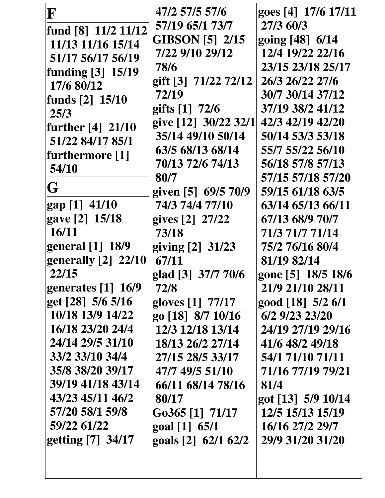| F                    | 47/2 57/5 57/6         | goes [4] 17/6 17/11 |
|----------------------|------------------------|---------------------|
| fund [8] 11/2 11/12  | 57/19 65/1 73/7        | 27/3 60/3           |
| 11/13 11/16 15/14    | <b>GIBSON</b> [5] 2/15 | going [48] 6/14     |
| 51/17 56/17 56/19    | 7/22 9/10 29/12        | 12/4 19/22 22/16    |
| funding [3] 15/19    | 78/6                   | 23/15 23/18 25/17   |
| 17/6 80/12           | gift [3] 71/22 72/12   | 26/3 26/22 27/6     |
| funds [2] 15/10      | 72/19                  | 30/7 30/14 37/12    |
| 25/3                 | gifts [1] 72/6         | 37/19 38/2 41/12    |
| further [4] 21/10    | give [12] 30/22 32/1   | 42/3 42/19 42/20    |
| 51/22 84/17 85/1     | 35/14 49/10 50/14      | 50/14 53/3 53/18    |
| furthermore [1]      | 63/5 68/13 68/14       | 55/7 55/22 56/10    |
| 54/10                | 70/13 72/6 74/13       | 56/18 57/8 57/13    |
|                      | 80/7                   | 57/15 57/18 57/20   |
| G                    | given [5] 69/5 70/9    | 59/15 61/18 63/5    |
| gap [1] 41/10        | 74/3 74/4 77/10        | 63/14 65/13 66/11   |
| gave [2] 15/18       | gives [2] 27/22        | 67/13 68/9 70/7     |
| 16/11                | 73/18                  | 71/3 71/7 71/14     |
| general [1] 18/9     | giving [2] 31/23       | 75/2 76/16 80/4     |
| generally [2] 22/10  | 67/11                  | 81/19 82/14         |
| 22/15                | glad [3] 37/7 70/6     | gone [5] 18/5 18/6  |
| generates $[1]$ 16/9 | 72/8                   | 21/9 21/10 28/11    |
| get [28] 5/6 5/16    | gloves [1] 77/17       | good [18] 5/2 6/1   |
| 10/18 13/9 14/22     | go [18] 8/7 10/16      | 6/2 9/23 23/20      |
| 16/18 23/20 24/4     | 12/3 12/18 13/14       | 24/19 27/19 29/16   |
| 24/14 29/5 31/10     | 18/13 26/2 27/14       | 41/6 48/2 49/18     |
| 33/2 33/10 34/4      | 27/15 28/5 33/17       | 54/1 71/10 71/11    |
| 35/8 38/20 39/17     | 47/7 49/5 51/10        | 71/16 77/19 79/21   |
| 39/19 41/18 43/14    | 66/11 68/14 78/16      | 81/4                |
| 43/23 45/11 46/2     | 80/17                  | got [13] 5/9 10/14  |
| 57/20 58/1 59/8      | $Go365$ [1] $71/17$    | 12/5 15/13 15/19    |
| 59/22 61/22          | $\gcd[1] 65/1$         | 16/16 27/2 29/7     |
| getting [7] 34/17    | goals [2] 62/1 62/2    | 29/9 31/20 31/20    |
|                      |                        |                     |
|                      |                        |                     |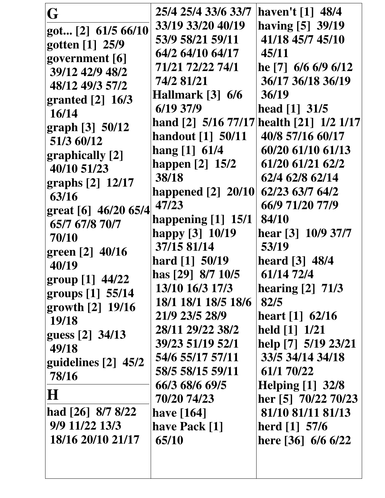| G                              | 25/4 25/4 33/6 33/7      | haven't [1] 48/4                         |
|--------------------------------|--------------------------|------------------------------------------|
| got [2] 61/5 66/10             | 33/19 33/20 40/19        | having [5] 39/19                         |
| gotten [1] 25/9                | 53/9 58/21 59/11         | 41/18 45/7 45/10                         |
| government [6]                 | 64/2 64/10 64/17         | 45/11                                    |
| 39/12 42/9 48/2                | 71/21 72/22 74/1         | he [7] $6/6$ 6/9 6/12                    |
| 48/12 49/3 57/2                | 74/2 81/21               | 36/17 36/18 36/19                        |
| granted $[2]$ 16/3             | Hallmark [3] 6/6         | 36/19                                    |
| 16/14                          | 6/19 37/9                | head $[1]$ 31/5                          |
| graph [3] 50/12                |                          | hand [2] 5/16 77/17 health [21] 1/2 1/17 |
| 51/3 60/12                     | <b>handout</b> [1] 50/11 | 40/8 57/16 60/17                         |
|                                | hang $[1]$ 61/4          | 60/20 61/10 61/13                        |
| graphically [2]<br>40/10 51/23 | happen [2] 15/2          | 61/20 61/21 62/2                         |
| graphs [2] 12/17               | 38/18                    | 62/4 62/8 62/14                          |
| 63/16                          | happened [2] 20/10       | 62/23 63/7 64/2                          |
| great [6] 46/20 65/4           | 47/23                    | 66/9 71/20 77/9                          |
| 65/7 67/8 70/7                 | happening $[1]$ 15/1     | 84/10                                    |
| 70/10                          | happy [3] 10/19          | hear [3] 10/9 37/7                       |
| green [2] 40/16                | 37/15 81/14              | 53/19                                    |
| 40/19                          | hard $[1]$ 50/19         | heard [3] 48/4                           |
| group [1] 44/22                | has [29] 8/7 10/5        | 61/14 72/4                               |
| groups $[1]$ 55/14             | 13/10 16/3 17/3          | hearing $[2]$ 71/3                       |
| growth [2] 19/16               | 18/1 18/1 18/5 18/6      | 82/5                                     |
| 19/18                          | 21/9 23/5 28/9           | heart $[1]$ 62/16                        |
| guess [2] 34/13                | 28/11 29/22 38/2         | held [1] 1/21                            |
| 49/18                          | 39/23 51/19 52/1         | help [7] 5/19 23/21                      |
| guidelines [2] 45/2            | 54/6 55/17 57/11         | 33/5 34/14 34/18                         |
| 78/16                          | 58/5 58/15 59/11         | 61/1 70/22                               |
|                                | 66/3 68/6 69/5           | Helping $[1]$ 32/8                       |
| $\bf H$                        | 70/20 74/23              | her [5] 70/22 70/23                      |
| had [26] 8/7 8/22              | have $[164]$             | 81/10 81/11 81/13                        |
| 9/9 11/22 13/3                 | have Pack [1]            | herd $[1]$ 57/6                          |
| 18/16 20/10 21/17              | 65/10                    | here [36] $6/6$ 6/22                     |
|                                |                          |                                          |
|                                |                          |                                          |
|                                |                          |                                          |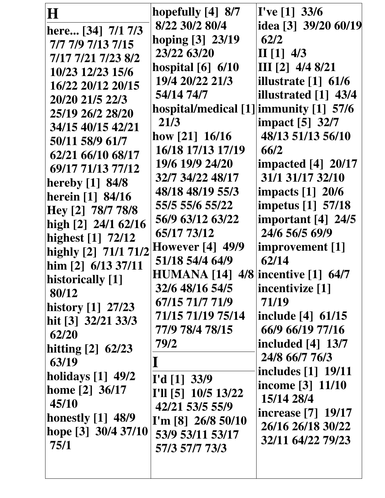| H                    | hopefully $[4]$ 8/7                       | $I'$ ve [1] 33/6                  |
|----------------------|-------------------------------------------|-----------------------------------|
| here [34] 7/1 7/3    | 8/22 30/2 80/4                            | idea [3] 39/20 60/19              |
| 7/7 7/9 7/13 7/15    | hoping [3] 23/19                          | 62/2                              |
| 7/17 7/21 7/23 8/2   | 23/22 63/20                               | II $[1]$ 4/3                      |
| 10/23 12/23 15/6     | hospital $[6]$ 6/10                       | III $[2]$ 4/4 8/21                |
| 16/22 20/12 20/15    | 19/4 20/22 21/3                           | illustrate $\lceil 1 \rceil$ 61/6 |
| 20/20 21/5 22/3      | 54/14 74/7                                | illustrated [1] 43/4              |
| 25/19 26/2 28/20     | hospital/medical [1] immunity [1] 57/6    |                                   |
| 34/15 40/15 42/21    | 21/3                                      | impact [5] 32/7                   |
| 50/11 58/9 61/7      | how $[21]$ 16/16                          | 48/13 51/13 56/10                 |
| 62/21 66/10 68/17    | 16/18 17/13 17/19                         | 66/2                              |
| 69/17 71/13 77/12    | 19/6 19/9 24/20                           | <b>impacted</b> [4] 20/17         |
| hereby $[1]$ 84/8    | 32/7 34/22 48/17                          | 31/1 31/17 32/10                  |
| herein [1] 84/16     | 48/18 48/19 55/3                          | <b>impacts</b> [1] 20/6           |
| Hey [2] 78/7 78/8    | 55/5 55/6 55/22                           | impetus [1] 57/18                 |
| high [2] 24/1 62/16  | 56/9 63/12 63/22                          | important $[4]$ 24/5              |
| highest [1] 72/12    | 65/17 73/12                               | 24/6 56/5 69/9                    |
| highly [2] 71/1 71/2 | <b>However</b> [4] 49/9                   | improvement [1]                   |
| him $[2]$ 6/13 37/11 | 51/18 54/4 64/9                           | 62/14                             |
| historically [1]     | <b>HUMANA</b> [14] 4/8 incentive [1] 64/7 |                                   |
| 80/12                | 32/6 48/16 54/5                           | incentivize [1]                   |
| history [1] 27/23    | 67/15 71/7 71/9                           | 71/19                             |
| hit [3] 32/21 33/3   | 71/15 71/19 75/14                         | include [4] 61/15                 |
| 62/20                | 77/9 78/4 78/15                           | 66/9 66/19 77/16                  |
| hitting $[2]$ 62/23  | 79/2                                      | included $[4]$ 13/7               |
| 63/19                |                                           | 24/8 66/7 76/3                    |
| holidays [1] 49/2    |                                           | <b>includes</b> [1] 19/11         |
| home $[2]$ 36/17     | I'd [1] 33/9                              | income [3] 11/10                  |
| 45/10                | I'll [5] 10/5 13/22                       | 15/14 28/4                        |
| honestly $[1]$ 48/9  | 42/21 53/5 55/9                           | <b>increase</b> [7] 19/17         |
| hope [3] 30/4 37/10  | I'm [8] $26/8$ 50/10<br>53/9 53/11 53/17  | 26/16 26/18 30/22                 |
| 75/1                 | 57/3 57/7 73/3                            | 32/11 64/22 79/23                 |
|                      |                                           |                                   |
|                      |                                           |                                   |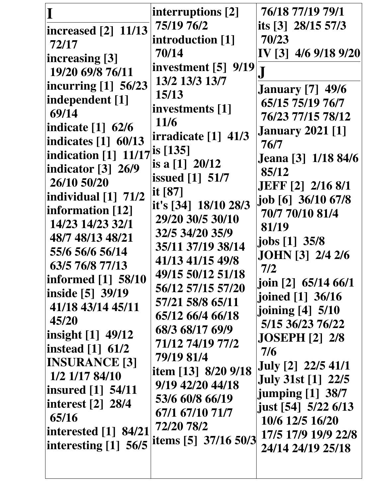| increased [2] 11/13<br>72/17<br> increasing [3]<br>19/20 69/8 76/11<br>incurring $[1]$ 56/23<br>independent [1]<br>69/14 | interruptions [2]<br>75/19 76/2<br>introduction [1]<br>70/14<br>investment [5] 9/19<br>13/2 13/3 13/7<br>15/13<br>investments [1] | 76/18 77/19 79/1<br>its $\begin{bmatrix} 3 \end{bmatrix}$ 28/15 57/3<br>70/23<br>IV [3] 4/6 9/18 9/20<br><b>January</b> [7] 49/6<br>65/15 75/19 76/7<br>76/23 77/15 78/12 |
|--------------------------------------------------------------------------------------------------------------------------|-----------------------------------------------------------------------------------------------------------------------------------|---------------------------------------------------------------------------------------------------------------------------------------------------------------------------|
| indication [3] 26/9                                                                                                      | is a $[1]$ 20/12                                                                                                                  | 85/12                                                                                                                                                                     |
| 26/10 50/20                                                                                                              | <b>issued</b> [1] 51/7                                                                                                            | <b>JEFF</b> [2] 2/16 8/1                                                                                                                                                  |
| individual $\begin{bmatrix} 1 \end{bmatrix}$ 71/2                                                                        | it $[87]$                                                                                                                         | job [6] 36/10 67/8                                                                                                                                                        |
| information [12]                                                                                                         | it's [34] 18/10 28/3                                                                                                              | 70/7 70/10 81/4                                                                                                                                                           |
| 14/23 14/23 32/1                                                                                                         | 29/20 30/5 30/10                                                                                                                  | 81/19                                                                                                                                                                     |
| 48/7 48/13 48/21                                                                                                         | 32/5 34/20 35/9                                                                                                                   | jobs [1] 35/8                                                                                                                                                             |
| 55/6 56/6 56/14                                                                                                          | 35/11 37/19 38/14                                                                                                                 | <b>JOHN</b> [3] 2/4 2/6                                                                                                                                                   |
| 63/5 76/8 77/13                                                                                                          | 41/13 41/15 49/8                                                                                                                  | 7/2                                                                                                                                                                       |
| informed [1] 58/10                                                                                                       | 49/15 50/12 51/18                                                                                                                 | $\left  \right $ ioin [2] 65/14 66/1                                                                                                                                      |
| inside [5] 39/19                                                                                                         | 56/12 57/15 57/20                                                                                                                 | joined $[1]$ 36/16                                                                                                                                                        |
| 41/18 43/14 45/11                                                                                                        | 57/21 58/8 65/11                                                                                                                  | joining $[4]$ 5/10                                                                                                                                                        |
| 45/20                                                                                                                    | 65/12 66/4 66/18                                                                                                                  | 5/15 36/23 76/22                                                                                                                                                          |
| $\vert$ insight $\vert$ 1 49/12                                                                                          | 68/3 68/17 69/9                                                                                                                   | <b>JOSEPH</b> [2] 2/8                                                                                                                                                     |
| instead $\lceil 1 \rceil$ 61/2                                                                                           | 71/12 74/19 77/2                                                                                                                  | 7/6                                                                                                                                                                       |
| <b>INSURANCE [3]</b>                                                                                                     | 79/19 81/4                                                                                                                        | <b>July</b> [2] 22/5 41/1                                                                                                                                                 |
| 1/2 1/17 84/10                                                                                                           | item [13] 8/20 9/18                                                                                                               | <b>July 31st</b> [1] 22/5                                                                                                                                                 |
| insured [1] 54/11                                                                                                        | 9/19 42/20 44/18                                                                                                                  | jumping [1] 38/7                                                                                                                                                          |
| interest [2] $28/4$                                                                                                      | 53/6 60/8 66/19                                                                                                                   | just [54] 5/22 6/13                                                                                                                                                       |
| 65/16                                                                                                                    | 67/1 67/10 71/7                                                                                                                   | 10/6 12/5 16/20                                                                                                                                                           |
| interested $\lceil 1 \rceil$ 84/21                                                                                       | 72/20 78/2                                                                                                                        | 17/5 17/9 19/9 22/8                                                                                                                                                       |
| interesting $[1]$ 56/5                                                                                                   | items [5] 37/16 50/3                                                                                                              | 24/14 24/19 25/18                                                                                                                                                         |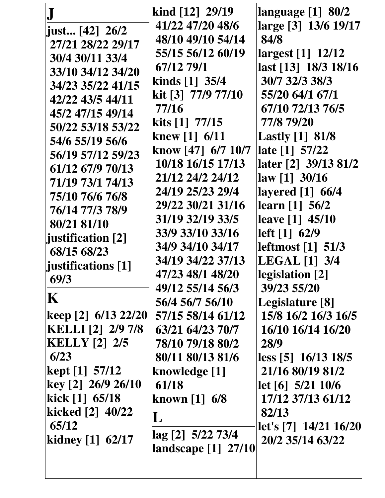| $\left  \right $ just [42] 26/2<br>27/21 28/22 29/17<br>30/4 30/11 33/4<br>33/10 34/12 34/20<br>34/23 35/22 41/15<br>42/22 43/5 44/11<br>45/2 47/15 49/14<br>50/22 53/18 53/22<br>54/6 55/19 56/6<br>56/19 57/12 59/23<br>61/12 67/9 70/13<br>71/19 73/1 74/13<br>75/10 76/6 76/8<br>76/14 77/3 78/9<br>80/21 81/10<br>justification [2]<br>68/15 68/23<br>iustifications [1]<br>69/3<br>$\mathbf K$<br> keep [2] 6/13 22/20  <br><b>KELLI</b> [2] 2/9 7/8<br><b>KELLY</b> [2] 2/5<br>6/23<br>kept $[1]$ 57/12<br>$\text{key}$ [2] 26/9 26/10<br>kick $[1]$ 65/18<br>kicked [2] 40/22<br>65/12 | kind $[12]$ 29/19<br>41/22 47/20 48/6<br>48/10 49/10 54/14<br>55/15 56/12 60/19<br>67/12 79/1<br>kinds $[1]$ 35/4<br>kit [3] 77/9 77/10<br>77/16<br>kits $[1]$ 77/15<br>knew [1] $6/11$<br>know $[47]$ 6/7 10/7<br>10/18 16/15 17/13<br>21/12 24/2 24/12<br>24/19 25/23 29/4<br>29/22 30/21 31/16<br>31/19 32/19 33/5<br>33/9 33/10 33/16<br>34/9 34/10 34/17<br>34/19 34/22 37/13<br>47/23 48/1 48/20<br>49/12 55/14 56/3<br>56/4 56/7 56/10<br>57/15 58/14 61/12<br>63/21 64/23 70/7<br>78/10 79/18 80/2<br>80/11 80/13 81/6<br>knowledge [1]<br>61/18<br>known $[1]$ 6/8<br>$\bf L$<br>lag [2] 5/22 73/4 | language $[1]$ 80/2<br>large [3] 13/6 19/17<br>84/8<br>largest [1] 12/12<br>last [13] 18/3 18/16<br>30/7 32/3 38/3<br>55/20 64/1 67/1<br>67/10 72/13 76/5<br>77/8 79/20<br><b>Lastly</b> [1] 81/8<br>late [1] 57/22<br>later [2] 39/13 81/2<br>law [1] 30/16<br>layered [1] 66/4<br>learn $[1]$ 56/2<br>leave [1] 45/10<br>left [ 1] 62/9<br>leftmost $\begin{bmatrix} 1 \end{bmatrix}$ 51/3<br><b>LEGAL</b> [1] 3/4<br>legislation [2]<br>39/23 55/20<br>Legislature [8]<br>15/8 16/2 16/3 16/5<br>16/10 16/14 16/20<br>28/9<br>less [5] 16/13 18/5<br>21/16 80/19 81/2<br>let [6] 5/21 10/6<br>17/12 37/13 61/12<br>82/13<br>let's [7] 14/21 16/20 |
|------------------------------------------------------------------------------------------------------------------------------------------------------------------------------------------------------------------------------------------------------------------------------------------------------------------------------------------------------------------------------------------------------------------------------------------------------------------------------------------------------------------------------------------------------------------------------------------------|-------------------------------------------------------------------------------------------------------------------------------------------------------------------------------------------------------------------------------------------------------------------------------------------------------------------------------------------------------------------------------------------------------------------------------------------------------------------------------------------------------------------------------------------------------------------------------------------------------------|------------------------------------------------------------------------------------------------------------------------------------------------------------------------------------------------------------------------------------------------------------------------------------------------------------------------------------------------------------------------------------------------------------------------------------------------------------------------------------------------------------------------------------------------------------------------------------------------------------------------------------------------------|
| kidney $[1]$ 62/17                                                                                                                                                                                                                                                                                                                                                                                                                                                                                                                                                                             | landscape [1] 27/10                                                                                                                                                                                                                                                                                                                                                                                                                                                                                                                                                                                         | 20/2 35/14 63/22                                                                                                                                                                                                                                                                                                                                                                                                                                                                                                                                                                                                                                     |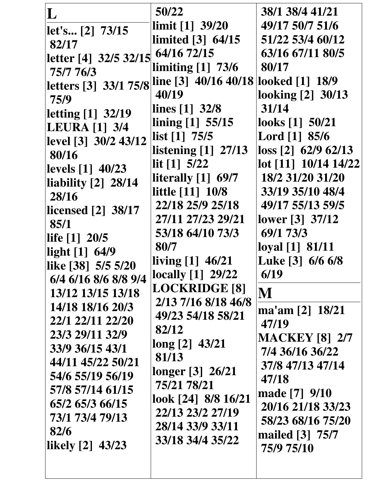| L                                                                                                   | 50/22<br>$\lim$ it [1] 39/20                                                                      | 38/1 38/4 41/21<br>49/17 50/7 51/6                                                        |
|-----------------------------------------------------------------------------------------------------|---------------------------------------------------------------------------------------------------|-------------------------------------------------------------------------------------------|
| let's [2] 73/15<br>82/17                                                                            | limited [3] 64/15                                                                                 | 51/22 53/4 60/12                                                                          |
| letter [4] $32/5$ 32/15 $\left[$ 64/16 72/15<br>75/7 76/3                                           | limiting $[1]$ 73/6                                                                               | 63/16 67/11 80/5<br>80/17<br>looked [1] 18/9                                              |
| letters [3] 33/1 75/8 line [3] 40/16 40/18<br>75/9<br>letting [1] 32/19<br><b>LEURA</b> [1] 3/4     | 40/19<br>lines $[1]$ 32/8<br>lining $[1]$ 55/15                                                   | looking [2] 30/13<br>31/14<br>looks $[1]$ 50/21                                           |
| level [3] 30/2 43/12<br>80/16<br>levels [1] 40/23                                                   | $\left  \right $ list [1] 75/5<br>listening $[1]$ 27/13<br>lit $[1]$ 5/22<br>literally $[1]$ 69/7 | Lord [1] 85/6<br>$\text{loss}$ [2] 62/9 62/13<br>lot [11] 10/14 14/22<br>18/2 31/20 31/20 |
| liability $[2]$ 28/14<br>28/16<br>licensed $[2]$ 38/17<br>85/1                                      | little [11] 10/8<br>22/18 25/9 25/18<br>27/11 27/23 29/21<br>53/18 64/10 73/3                     | 33/19 35/10 48/4<br>49/17 55/13 59/5<br>lower [3] 37/12<br>69/1 73/3                      |
| life [1] 20/5<br>$\left $ light $\left[1\right]$ 64/9<br>like [38] 5/5 5/20<br>6/4 6/16 8/6 8/8 9/4 | 80/7<br>$\lvert$ living $\lbrack 1]$ 46/21<br><b>locally</b> [1] 29/22                            | loyal [1] 81/11<br>Luke [3] 6/6 6/8<br>6/19                                               |
| 13/12 13/15 13/18<br>14/18 18/16 20/3<br>22/1 22/11 22/20                                           | <b>LOCKRIDGE [8]</b><br>2/13 7/16 8/18 46/8<br>49/23 54/18 58/21                                  | M<br>ma'am [2] 18/21<br>47/19                                                             |
| 23/3 29/11 32/9<br>33/9 36/15 43/1<br>44/11 45/22 50/21                                             | 82/12<br>long [2] 43/21<br>81/13<br>longer [3] 26/21                                              | <b>MACKEY [8] 2/7</b><br>7/4 36/16 36/22<br>37/8 47/13 47/14                              |
| 54/6 55/19 56/19<br>57/8 57/14 61/15<br>65/2 65/3 66/15<br>73/1 73/4 79/13                          | 75/21 78/21<br>look $[24]$ 8/8 16/21<br>22/13 23/2 27/19                                          | 47/18<br>made [7] 9/10<br>20/16 21/18 33/23                                               |
| 82/6<br>likely $[2]$ 43/23                                                                          | 28/14 33/9 33/11<br>33/18 34/4 35/22                                                              | 58/23 68/16 75/20<br>mailed [3] 75/7<br>75/9 75/10                                        |
|                                                                                                     |                                                                                                   |                                                                                           |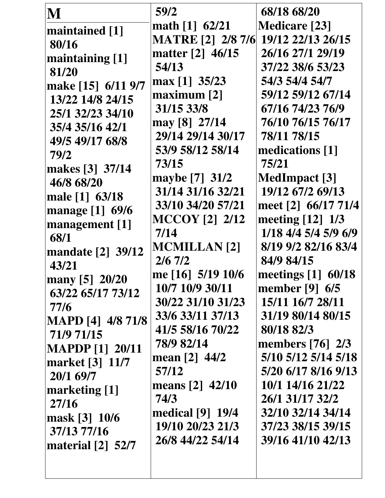| M                               | 59/2                     | 68/18 68/20          |
|---------------------------------|--------------------------|----------------------|
| maintained [1]                  | math $[1]$ 62/21         | <b>Medicare</b> [23] |
| 80/16                           | <b>MATRE [2] 2/8 7/6</b> | 19/12 22/13 26/15    |
| maintaining [1]                 | matter [2] 46/15         | 26/16 27/1 29/19     |
| 81/20                           | 54/13                    | 37/22 38/6 53/23     |
| make [15] 6/11 9/7              | max [1] $35/23$          | 54/3 54/4 54/7       |
| 13/22 14/8 24/15                | maximum [2]              | 59/12 59/12 67/14    |
| 25/1 32/23 34/10                | 31/15 33/8               | 67/16 74/23 76/9     |
| 35/4 35/16 42/1                 | may [8] 27/14            | 76/10 76/15 76/17    |
| 49/5 49/17 68/8                 | 29/14 29/14 30/17        | 78/11 78/15          |
| 79/2                            | 53/9 58/12 58/14         | medications [1]      |
| makes [3] 37/14                 | 73/15                    | 75/21                |
| 46/8 68/20                      | maybe [7] 31/2           | <b>MedImpact</b> [3] |
| male [1] 63/18                  | 31/14 31/16 32/21        | 19/12 67/2 69/13     |
| manage [1] 69/6                 | 33/10 34/20 57/21        | meet [2] 66/17 71/4  |
| management [1]                  | <b>MCCOY</b> [2] 2/12    | meeting [12] 1/3     |
| 68/1                            | 7/14                     | 1/18 4/4 5/4 5/9 6/9 |
| mandate [2] 39/12               | <b>MCMILLAN</b> [2]      | 8/19 9/2 82/16 83/4  |
| 43/21                           | $2/6$ 7/2                | 84/9 84/15           |
| many [5] 20/20                  | me [16] 5/19 10/6        | meetings $[1]$ 60/18 |
| 63/22 65/17 73/12               | 10/7 10/9 30/11          | member [9] $6/5$     |
| 77/6                            | 30/22 31/10 31/23        | 15/11 16/7 28/11     |
| <b>MAPD</b> [4] 4/8 71/8        | 33/6 33/11 37/13         | 31/19 80/14 80/15    |
| 71/9 71/15                      | 41/5 58/16 70/22         | 80/18 82/3           |
| <b>MAPDP</b> [1] 20/11          | 78/9 82/14               | members $[76]$ 2/3   |
| market [3] 11/7                 | mean [2] 44/2            | 5/10 5/12 5/14 5/18  |
| 20/1 69/7                       | 57/12                    | 5/20 6/17 8/16 9/13  |
| marketing [1]                   | means [2] 42/10          | 10/1 14/16 21/22     |
| 27/16                           | 74/3                     | 26/1 31/17 32/2      |
| mask [3] 10/6                   | medical [9] 19/4         | 32/10 32/14 34/14    |
| 37/13 77/16                     | 19/10 20/23 21/3         | 37/23 38/15 39/15    |
| material $\lceil 2 \rceil$ 52/7 | 26/8 44/22 54/14         | 39/16 41/10 42/13    |
|                                 |                          |                      |
|                                 |                          |                      |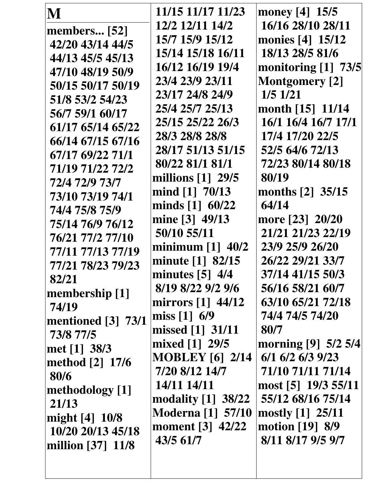| M                   | 11/15 11/17 11/23                               | money $[4] 15/5$         |
|---------------------|-------------------------------------------------|--------------------------|
| <b>members</b> [52] | 12/2 12/11 14/2                                 | 16/16 28/10 28/11        |
| 42/20 43/14 44/5    | 15/7 15/9 15/12                                 | monies [4] 15/12         |
| 44/13 45/5 45/13    | 15/14 15/18 16/11                               | 18/13 28/5 81/6          |
| 47/10 48/19 50/9    | 16/12 16/19 19/4                                | monitoring [1] 73/5      |
| 50/15 50/17 50/19   | 23/4 23/9 23/11                                 | <b>Montgomery</b> [2]    |
| 51/8 53/2 54/23     | 23/17 24/8 24/9                                 | $1/5$ $1/21$             |
| 56/7 59/1 60/17     | 25/4 25/7 25/13                                 | month $[15]$ 11/14       |
| 61/17 65/14 65/22   | 25/15 25/22 26/3                                | 16/1 16/4 16/7 17/1      |
| 66/14 67/15 67/16   | 28/3 28/8 28/8                                  | 17/4 17/20 22/5          |
| 67/17 69/22 71/1    | 28/17 51/13 51/15                               | 52/5 64/6 72/13          |
| 71/19 71/22 72/2    | 80/22 81/1 81/1                                 | 72/23 80/14 80/18        |
| 72/4 72/9 73/7      | millions $[1]$ 29/5                             | 80/19                    |
| 73/10 73/19 74/1    | mind $[1]$ 70/13                                | months [2] 35/15         |
| 74/4 75/8 75/9      | minds $[1]$ 60/22                               | 64/14                    |
| 75/14 76/9 76/12    | mine [3] 49/13                                  | more [23] 20/20          |
| 76/21 77/2 77/10    | 50/10 55/11                                     | 21/21 21/23 22/19        |
| 77/11 77/13 77/19   | minimum $[1]$ 40/2                              | 23/9 25/9 26/20          |
| 77/21 78/23 79/23   | minute $[1]$ 82/15                              | 26/22 29/21 33/7         |
|                     | minutes $[5]$ 4/4                               | 37/14 41/15 50/3         |
| 82/21               | 8/19 8/22 9/2 9/6                               | 56/16 58/21 60/7         |
| membership [1]      | mirrors $\begin{bmatrix} 1 \end{bmatrix}$ 44/12 | 63/10 65/21 72/18        |
| 74/19               | miss $[1] 6/9$                                  | 74/4 74/5 74/20          |
| mentioned [3] 73/1  | missed [1] 31/11                                | 80/7                     |
| 73/8 77/5           | mixed [1] 29/5                                  | morning [9] 5/2 5/4      |
| met [1] 38/3        | <b>MOBLEY</b> [6] 2/14                          | $6/1$ $6/2$ $6/3$ $9/23$ |
| method [2] 17/6     | 7/20 8/12 14/7                                  | 71/10 71/11 71/14        |
| 80/6                | 14/11 14/11                                     | most [5] 19/3 55/11      |
| methodology [1]     | modality $[1]$ 38/22                            | 55/12 68/16 75/14        |
| 21/13               | <b>Moderna</b> [1] 57/10                        | mostly [1] 25/11         |
| might [4] 10/8      | moment [3] 42/22                                | motion $[19]$ 8/9        |
| 10/20 20/13 45/18   | 43/5 61/7                                       | 8/11 8/17 9/5 9/7        |
| million [37] 11/8   |                                                 |                          |
|                     |                                                 |                          |
|                     |                                                 |                          |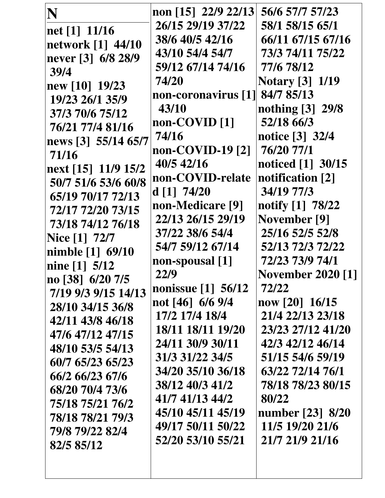| N                    | non [15] 22/9 22/13              | 56/6 57/7 57/23          |
|----------------------|----------------------------------|--------------------------|
| net [1] 11/16        | 26/15 29/19 37/22                | 58/1 58/15 65/1          |
| network [1] 44/10    | 38/6 40/5 42/16                  | 66/11 67/15 67/16        |
| never [3] 6/8 28/9   | 43/10 54/4 54/7                  | 73/3 74/11 75/22         |
| 39/4                 | 59/12 67/14 74/16                | 77/6 78/12               |
| new [10] 19/23       | 74/20                            | <b>Notary</b> [3] 1/19   |
| 19/23 26/1 35/9      | non-coronavirus [1] 84/7 85/13   |                          |
| 37/3 70/6 75/12      | 43/10                            | nothing [3] 29/8         |
| 76/21 77/4 81/16     | non-COVID <sup>[1]</sup>         | 52/18 66/3               |
| news [3] 55/14 65/7  | 74/16                            | notice [3] 32/4          |
| 71/16                | non-COVID-19 <sup>[2]</sup>      | 76/20 77/1               |
| next [15] 11/9 15/2  | 40/5 42/16                       | noticed [1] 30/15        |
| 50/7 51/6 53/6 60/8  | non-COVID-relate                 | notification [2]         |
| 65/19 70/17 72/13    | d[1] 74/20                       | 34/19 77/3               |
| 72/17 72/20 73/15    | non-Medicare [9]                 | notify [1] 78/22         |
| 73/18 74/12 76/18    | 22/13 26/15 29/19                | <b>November</b> [9]      |
| <b>Nice</b> [1] 72/7 | 37/22 38/6 54/4                  | 25/16 52/5 52/8          |
| nimble [1] 69/10     | 54/7 59/12 67/14                 | 52/13 72/3 72/22         |
| nine $[1]$ 5/12      | non-spousal [1]                  | 72/23 73/9 74/1          |
| no [38] 6/20 7/5     | 22/9                             | <b>November 2020 [1]</b> |
| 7/19 9/3 9/15 14/13  | nonissue $\lceil 1 \rceil$ 56/12 | 72/22                    |
| 28/10 34/15 36/8     | not [46] $6/6$ 9/4               | now [20] 16/15           |
| 42/11 43/8 46/18     | 17/2 17/4 18/4                   | 21/4 22/13 23/18         |
| 47/6 47/12 47/15     | 18/11 18/11 19/20                | 23/23 27/12 41/20        |
| 48/10 53/5 54/13     | 24/11 30/9 30/11                 | 42/3 42/12 46/14         |
| 60/7 65/23 65/23     | 31/3 31/22 34/5                  | 51/15 54/6 59/19         |
| 66/2 66/23 67/6      | 34/20 35/10 36/18                | 63/22 72/14 76/1         |
| 68/20 70/4 73/6      | 38/12 40/3 41/2                  | 78/18 78/23 80/15        |
| 75/18 75/21 76/2     | 41/7 41/13 44/2                  | 80/22                    |
| 78/18 78/21 79/3     | 45/10 45/11 45/19                | number [23] 8/20         |
| 79/8 79/22 82/4      | 49/17 50/11 50/22                | 11/5 19/20 21/6          |
| 82/5 85/12           | 52/20 53/10 55/21                | 21/7 21/9 21/16          |
|                      |                                  |                          |
|                      |                                  |                          |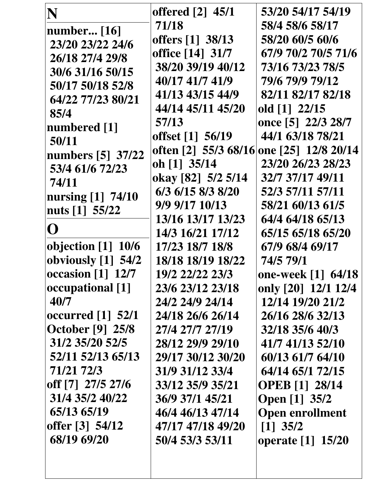| N                                               | offered [2] 45/1   | 53/20 54/17 54/19                        |
|-------------------------------------------------|--------------------|------------------------------------------|
| <b>number</b> [16]                              | 71/18              | 58/4 58/6 58/17                          |
| 23/20 23/22 24/6                                | offers [1] 38/13   | 58/20 60/5 60/6                          |
| 26/18 27/4 29/8                                 | office [14] 31/7   | 67/9 70/2 70/5 71/6                      |
| 30/6 31/16 50/15                                | 38/20 39/19 40/12  | 73/16 73/23 78/5                         |
| 50/17 50/18 52/8                                | 40/17 41/7 41/9    | 79/6 79/9 79/12                          |
| 64/22 77/23 80/21                               | 41/13 43/15 44/9   | 82/11 82/17 82/18                        |
| 85/4                                            | 44/14 45/11 45/20  | old [1] 22/15                            |
| numbered [1]                                    | 57/13              | once [5] 22/3 28/7                       |
| 50/11                                           | offset [1] 56/19   | 44/1 63/18 78/21                         |
| numbers [5] 37/22                               |                    | often [2] 55/3 68/16 one [25] 12/8 20/14 |
| 53/4 61/6 72/23                                 | oh [1] 35/14       | 23/20 26/23 28/23                        |
| 74/11                                           | okay [82] 5/2 5/14 | 32/7 37/17 49/11                         |
| nursing [1] 74/10                               | 6/3 6/15 8/3 8/20  | 52/3 57/11 57/11                         |
| nuts [1] 55/22                                  | 9/9 9/17 10/13     | 58/21 60/13 61/5                         |
|                                                 | 13/16 13/17 13/23  | 64/4 64/18 65/13                         |
| ( )                                             | 14/3 16/21 17/12   | 65/15 65/18 65/20                        |
| objection [1] 10/6                              | 17/23 18/7 18/8    | 67/9 68/4 69/17                          |
| obviously [1] 54/2                              | 18/18 18/19 18/22  | 74/5 79/1                                |
| occasion $\begin{bmatrix} 1 \end{bmatrix}$ 12/7 | 19/2 22/22 23/3    | one-week [1] 64/18                       |
| occupational [1]                                | 23/6 23/12 23/18   | only [20] 12/1 12/4                      |
| 40/7                                            | 24/2 24/9 24/14    | 12/14 19/20 21/2                         |
| occurred [1] 52/1                               | 24/18 26/6 26/14   | 26/16 28/6 32/13                         |
| <b>October</b> [9] 25/8                         | 27/4 27/7 27/19    | 32/18 35/6 40/3                          |
| 31/2 35/20 52/5                                 | 28/12 29/9 29/10   | 41/7 41/13 52/10                         |
| 52/11 52/13 65/13                               | 29/17 30/12 30/20  | 60/13 61/7 64/10                         |
| 71/21 72/3                                      | 31/9 31/12 33/4    | 64/14 65/1 72/15                         |
| off [7] 27/5 27/6                               | 33/12 35/9 35/21   | <b>OPEB</b> [1] 28/14                    |
| 31/4 35/2 40/22                                 | 36/9 37/1 45/21    | <b>Open</b> [1] 35/2                     |
| 65/13 65/19                                     | 46/4 46/13 47/14   | <b>Open enrollment</b>                   |
| offer [3] 54/12                                 | 47/17 47/18 49/20  | $\lceil 1 \rceil$ 35/2                   |
| 68/19 69/20                                     | 50/4 53/3 53/11    | operate [1] 15/20                        |
|                                                 |                    |                                          |
|                                                 |                    |                                          |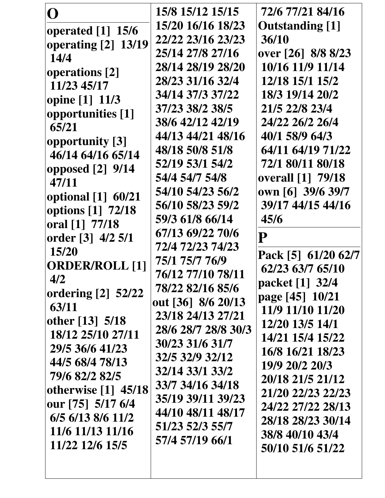| O                           | 15/8 15/12 15/15    | 72/6 77/21 84/16         |
|-----------------------------|---------------------|--------------------------|
|                             | 15/20 16/16 18/23   | <b>Outstanding</b> [1]   |
| operated $[1]$ 15/6         | 22/22 23/16 23/23   | 36/10                    |
| <b>operating [2] 13/19</b>  | 25/14 27/8 27/16    | over [26] 8/8 8/23       |
| 14/4                        | 28/14 28/19 28/20   | 10/16 11/9 11/14         |
| operations [2]              | 28/23 31/16 32/4    | 12/18 15/1 15/2          |
| 11/23 45/17                 |                     |                          |
| opine [1] 11/3              | 34/14 37/3 37/22    | 18/3 19/14 20/2          |
| opportunities [1]           | 37/23 38/2 38/5     | 21/5 22/8 23/4           |
| 65/21                       | 38/6 42/12 42/19    | 24/22 26/2 26/4          |
| opportunity [3]             | 44/13 44/21 48/16   | 40/1 58/9 64/3           |
| 46/14 64/16 65/14           | 48/18 50/8 51/8     | 64/11 64/19 71/22        |
| opposed $[2]$ 9/14          | 52/19 53/1 54/2     | 72/1 80/11 80/18         |
| 47/11                       | 54/4 54/7 54/8      | <b>overall</b> [1] 79/18 |
| optional [1] 60/21          | 54/10 54/23 56/2    | own [6] 39/6 39/7        |
| options [1] 72/18           | 56/10 58/23 59/2    | 39/17 44/15 44/16        |
| oral [1] 77/18              | 59/3 61/8 66/14     | 45/6                     |
| order [3] 4/2 5/1           | 67/13 69/22 70/6    | $\overline{\mathbf{P}}$  |
| 15/20                       | 72/4 72/23 74/23    |                          |
| <b>ORDER/ROLL [1]</b>       | 75/1 75/7 76/9      | Pack [5] 61/20 62/7      |
| 4/2                         | 76/12 77/10 78/11   | 62/23 63/7 65/10         |
|                             | 78/22 82/16 85/6    | packet [1] 32/4          |
| ordering [2] 52/22<br>63/11 | out [36] 8/6 20/13  | page [45] 10/21          |
|                             | 23/18 24/13 27/21   | 11/9 11/10 11/20         |
| other [13] 5/18             | 28/6 28/7 28/8 30/3 | 12/20 13/5 14/1          |
| 18/12 25/10 27/11           | 30/23 31/6 31/7     | 14/21 15/4 15/22         |
| 29/5 36/6 41/23             | 32/5 32/9 32/12     | 16/8 16/21 18/23         |
| 44/5 68/4 78/13             | 32/14 33/1 33/2     | 19/9 20/2 20/3           |
| 79/6 82/2 82/5              | 33/7 34/16 34/18    | 20/18 21/5 21/12         |
| otherwise $[1]$ 45/18       | 35/19 39/11 39/23   | 21/20 22/23 22/23        |
| our [75] 5/17 6/4           | 44/10 48/11 48/17   | 24/22 27/22 28/13        |
| 6/5 6/13 8/6 11/2           | 51/23 52/3 55/7     | 28/18 28/23 30/14        |
| 11/6 11/13 11/16            |                     | 38/8 40/10 43/4          |
| 11/22 12/6 15/5             | 57/4 57/19 66/1     | 50/10 51/6 51/22         |
|                             |                     |                          |
|                             |                     |                          |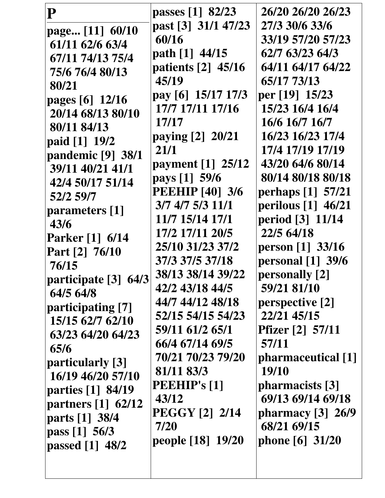| ${\bf P}$               | passes [1] 82/23<br>past [3] 31/1 47/23 | 26/20 26/20 26/23<br>27/3 30/6 33/6 |
|-------------------------|-----------------------------------------|-------------------------------------|
| page [11] 60/10         | 60/16                                   | 33/19 57/20 57/23                   |
| 61/11 62/6 63/4         |                                         | 62/7 63/23 64/3                     |
| 67/11 74/13 75/4        | path [1] 44/15                          | 64/11 64/17 64/22                   |
| 75/6 76/4 80/13         | patients [2] 45/16                      |                                     |
| 80/21                   | 45/19                                   | 65/17 73/13                         |
| pages $[6]$ 12/16       | pay [6] 15/17 17/3                      | per [19] 15/23                      |
| 20/14 68/13 80/10       | 17/7 17/11 17/16                        | 15/23 16/4 16/4                     |
| 80/11 84/13             | 17/17                                   | 16/6 16/7 16/7                      |
| paid [1] 19/2           | paying [2] 20/21                        | 16/23 16/23 17/4                    |
| pandemic $[9]$ 38/1     | 21/1                                    | 17/4 17/19 17/19                    |
| 39/11 40/21 41/1        | payment [1] 25/12                       | 43/20 64/6 80/14                    |
| 42/4 50/17 51/14        | pays [1] 59/6                           | 80/14 80/18 80/18                   |
| 52/2 59/7               | <b>PEEHIP</b> [40] 3/6                  | perhaps [1] 57/21                   |
| parameters [1]          | 3/7 4/7 5/3 11/1                        | perilous [1] 46/21                  |
| 43/6                    | 11/7 15/14 17/1                         | period [3] 11/14                    |
| <b>Parker</b> [1] 6/14  | 17/2 17/11 20/5                         | 22/5 64/18                          |
| Part [2] 76/10          | 25/10 31/23 37/2                        | person $[1]$ 33/16                  |
| 76/15                   | 37/3 37/5 37/18                         | personal $[1]$ 39/6                 |
| participate [3]<br>64/3 | 38/13 38/14 39/22                       | personally [2]                      |
| 64/5 64/8               | 42/2 43/18 44/5                         | 59/21 81/10                         |
| participating [7]       | 44/7 44/12 48/18                        | perspective [2]                     |
| 15/15 62/7 62/10        | 52/15 54/15 54/23                       | 22/21 45/15                         |
| 63/23 64/20 64/23       | 59/11 61/2 65/1                         | <b>Pfizer</b> [2] 57/11             |
| 65/6                    | 66/4 67/14 69/5                         | 57/11                               |
| particularly [3]        | 70/21 70/23 79/20                       | pharmaceutical [1]                  |
| 16/19 46/20 57/10       | 81/11 83/3                              | 19/10                               |
| parties [1] 84/19       | <b>PEEHIP's [1]</b>                     | pharmacists [3]                     |
| partners [1] 62/12      | 43/12                                   | 69/13 69/14 69/18                   |
| parts [1] 38/4          | <b>PEGGY [2] 2/14</b>                   | pharmacy $[3]$ 26/9                 |
| pass $[1]$ 56/3         | 7/20                                    | 68/21 69/15                         |
| passed $[1]$ 48/2       | people [18] 19/20                       | phone $[6]$ 31/20                   |
|                         |                                         |                                     |
|                         |                                         |                                     |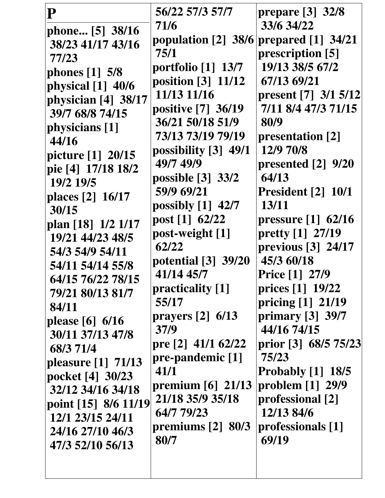| ${\bf P}$            | 56/22 57/3 57/7       | prepare $[3]$ 32/8        |
|----------------------|-----------------------|---------------------------|
| phone [5] 38/16      | 71/6                  | 33/6 34/22                |
| 38/23 41/17 43/16    | population $[2]$ 38/6 | prepared [1] 34/21        |
| 77/23                | 75/1                  | prescription [5]          |
| phones $[1]$ 5/8     | portfolio $[1]$ 13/7  | 19/13 38/5 67/2           |
| physical $[1]$ 40/6  | position $[3]$ 11/12  | 67/13 69/21               |
| physician [4] 38/17  | 11/13 11/16           | present [7] $3/1$ 5/12    |
| 39/7 68/8 74/15      | positive [7] 36/19    | 7/11 8/4 47/3 71/15       |
| physicians [1]       | 36/21 50/18 51/9      | 80/9                      |
| 44/16                | 73/13 73/19 79/19     | presentation [2]          |
| picture [1] 20/15    | possibility [3] 49/1  | 12/9 70/8                 |
| pie [4] 17/18 18/2   | 49/7 49/9             | presented [2] 9/20        |
| 19/2 19/5            | possible $[3]$ 33/2   | 64/13                     |
| places [2] 16/17     | 59/9 69/21            | <b>President</b> [2] 10/1 |
| 30/15                | possibly $[1]$ 42/7   | 13/11                     |
| plan [18] 1/2 1/17   | post [1] 62/22        | pressure $[1]$ 62/16      |
| 19/21 44/23 48/5     | post-weight [1]       | pretty [1] 27/19          |
| 54/3 54/9 54/11      | 62/22                 | previous $[3]$ 24/17      |
| 54/11 54/14 55/8     | potential $[3]$ 39/20 | 45/3 60/18                |
| 64/15 76/22 78/15    | 41/14 45/7            | <b>Price</b> [1] 27/9     |
| 79/21 80/13 81/7     | practicality [1]      | prices [1] 19/22          |
| 84/11                | 55/17                 | pricing [1] 21/19         |
| please $[6] 6/16$    | prayers $[2]$ 6/13    | primary [3] 39/7          |
| 30/11 37/13 47/8     | 37/9                  | 44/16 74/15               |
| 68/3 71/4            | pre [2] $41/1$ 62/22  | prior [3] 68/5 75/23      |
| pleasure [1] 71/13   | pre-pandemic [1]      | 75/23                     |
| pocket [4] 30/23     | 41/1                  | <b>Probably</b> [1] 18/5  |
| 32/12 34/16 34/18    | premium $[6]$ 21/13   | problem [1] 29/9          |
| point [15] 8/6 11/19 | 21/18 35/9 35/18      | professional [2]          |
| 12/1 23/15 24/11     | 64/7 79/23            | 12/13 84/6                |
| 24/16 27/10 46/3     | premiums $[2]$ 80/3   | professionals [1]         |
| 47/3 52/10 56/13     | 80/7                  | 69/19                     |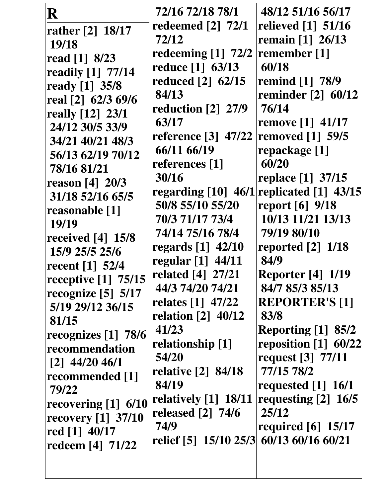| R<br>rather [2] 18/17<br>19/18<br>read [1] 8/23<br>readily [1] 77/14<br>ready [1] 35/8<br>real [2] 62/3 69/6<br>really [12] 23/1<br>24/12 30/5 33/9<br>34/21 40/21 48/3<br>56/13 62/19 70/12<br>78/16 81/21<br>reason $[4] 20/3$<br>31/18 52/16 65/5<br>reasonable [1]<br>19/19<br>received $[4]$ 15/8<br>15/9 25/5 25/6<br>recent [1] 52/4<br>receptive $[1]$ 75/15<br>recognize [5] 5/17<br>5/19 29/12 36/15<br>81/15<br>recognizes $[1]$ 78/6<br>recommendation<br>$[2]$ 44/20 46/1<br>recommended [1]<br>79/22 | 72/16 72/18 78/1<br>redeemed $\lceil 2 \rceil$ 72/1<br>72/12<br>redeeming [1] 72/2<br>reduce [1] 63/13<br>reduced [2] 62/15<br>84/13<br>reduction [2] 27/9<br>63/17<br>reference $[3]$ 47/22<br>66/11 66/19<br>references [1]<br>30/16<br>50/8 55/10 55/20<br>70/3 71/17 73/4<br>74/14 75/16 78/4<br>regards $[1]$ 42/10<br>regular [1] 44/11<br>related [4] 27/21<br>44/3 74/20 74/21<br>relates [1] 47/22<br>relation $\lceil 2 \rceil$ 40/12<br>41/23<br>relationship [1]<br>54/20<br>relative [2] 84/18<br>84/19<br>relatively [1] 18/11 | 48/12 51/16 56/17<br>relieved [1] 51/16<br>remain [1] 26/13<br>remember [1]<br>60/18<br>remind [1] 78/9<br>reminder [2] 60/12<br>76/14<br><b>remove</b> [1] 41/17<br><b>removed</b> [1] 59/5<br>repackage [1]<br>60/20<br>replace [1] 37/15<br>regarding $[10]$ 46/1 replicated $[1]$ 43/15<br>report [6] 9/18<br>10/13 11/21 13/13<br>79/19 80/10<br>reported $[2]$ 1/18<br>84/9<br><b>Reporter</b> [4] 1/19<br>84/7 85/3 85/13<br><b>REPORTER'S [1]</b><br>83/8<br><b>Reporting [1] 85/2</b><br>reposition $[1]$ 60/22<br>request [3] 77/11<br>77/15 78/2<br>requested $[1]$ 16/1<br>requesting [2] 16/5 |
|--------------------------------------------------------------------------------------------------------------------------------------------------------------------------------------------------------------------------------------------------------------------------------------------------------------------------------------------------------------------------------------------------------------------------------------------------------------------------------------------------------------------|----------------------------------------------------------------------------------------------------------------------------------------------------------------------------------------------------------------------------------------------------------------------------------------------------------------------------------------------------------------------------------------------------------------------------------------------------------------------------------------------------------------------------------------------|------------------------------------------------------------------------------------------------------------------------------------------------------------------------------------------------------------------------------------------------------------------------------------------------------------------------------------------------------------------------------------------------------------------------------------------------------------------------------------------------------------------------------------------------------------------------------------------------------------|
| recovering $[1]$ 6/10<br>recovery $[1]$ 37/10<br>red $[1]$ 40/17<br>redeem [4] 71/22                                                                                                                                                                                                                                                                                                                                                                                                                               | released $\lceil 2 \rceil$ 74/6<br>74/9<br>relief [5] 15/10 25/3 60/13 60/16 60/21                                                                                                                                                                                                                                                                                                                                                                                                                                                           | 25/12<br>required $[6]$ 15/17                                                                                                                                                                                                                                                                                                                                                                                                                                                                                                                                                                              |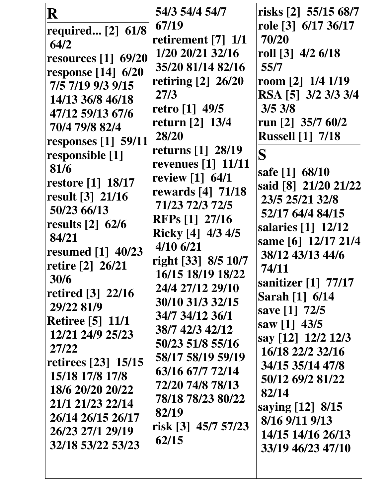| R                                                                                                                                                                                                                                                                                                                                                                                                                                                                                      | 54/3 54/4 54/7                                                                                                                                                                                                                                                                                                                                                                                                                                                                                                                                                                   | risks $[2]$ 55/15 68/7                                                                                                                                                                                                                                                                                                                                                                                                                                                                              |
|----------------------------------------------------------------------------------------------------------------------------------------------------------------------------------------------------------------------------------------------------------------------------------------------------------------------------------------------------------------------------------------------------------------------------------------------------------------------------------------|----------------------------------------------------------------------------------------------------------------------------------------------------------------------------------------------------------------------------------------------------------------------------------------------------------------------------------------------------------------------------------------------------------------------------------------------------------------------------------------------------------------------------------------------------------------------------------|-----------------------------------------------------------------------------------------------------------------------------------------------------------------------------------------------------------------------------------------------------------------------------------------------------------------------------------------------------------------------------------------------------------------------------------------------------------------------------------------------------|
| required [2] 61/8<br>64/2<br>resources [1] 69/20<br>response [14] 6/20<br>7/5 7/19 9/3 9/15<br>14/13 36/8 46/18<br>47/12 59/13 67/6<br>70/4 79/8 82/4<br>responses $[1]$ 59/11<br>responsible [1]<br>81/6<br>restore [1] 18/17<br>result [3] 21/16<br>50/23 66/13<br>results $[2]$ 62/6<br>84/21<br>resumed [1] 40/23<br>retire [2] 26/21<br>30/6<br>retired [3] 22/16<br>29/22 81/9<br><b>Retiree</b> [5] 11/1<br>12/21 24/9 25/23<br>27/22<br>retirees [23] 15/15<br>15/18 17/8 17/8 | 67/19<br>retirement $[7]$ 1/1<br>$1/20$ 20/21 32/16<br>35/20 81/14 82/16<br>retiring [2] 26/20<br>27/3<br>retro $[1]$ 49/5<br>return [2] 13/4<br>28/20<br>returns $\lceil 1 \rceil$ 28/19<br>revenues $\begin{bmatrix} 1 \end{bmatrix}$ 11/11<br>review [1] 64/1<br>rewards [4] 71/18<br>71/23 72/3 72/5<br><b>RFPs</b> [1] 27/16<br>Ricky [4] 4/3 4/5<br>$4/10$ 6/21<br>right [33] 8/5 10/7<br>16/15 18/19 18/22<br>24/4 27/12 29/10<br>30/10 31/3 32/15<br>34/7 34/12 36/1<br>38/7 42/3 42/12<br>50/23 51/8 55/16<br>58/17 58/19 59/19<br>63/16 67/7 72/14<br>72/20 74/8 78/13 | role [3] 6/17 36/17<br>70/20<br>roll $[3]$ 4/2 6/18<br>55/7<br>room $[2]$ 1/4 1/19<br>RSA [5] 3/2 3/3 3/4<br>3/53/8<br>run [2] $35/7$ 60/2<br><b>Russell [1] 7/18</b><br>S<br>safe [1] 68/10<br>said [8] 21/20 21/22<br>23/5 25/21 32/8<br>52/17 64/4 84/15<br>salaries [1] 12/12<br>same [6] 12/17 21/4<br>38/12 43/13 44/6<br>74/11<br>sanitizer [1] 77/17<br>Sarah [1] 6/14<br>save [1] 72/5<br>saw [1] $43/5$<br>say [12] 12/2 12/3<br>16/18 22/2 32/16<br>34/15 35/14 47/8<br>50/12 69/2 81/22 |
| 18/6 20/20 20/22<br>21/1 21/23 22/14<br>26/14 26/15 26/17<br>26/23 27/1 29/19<br>32/18 53/22 53/23                                                                                                                                                                                                                                                                                                                                                                                     | 78/18 78/23 80/22<br>82/19<br>risk [3] 45/7 57/23<br>62/15                                                                                                                                                                                                                                                                                                                                                                                                                                                                                                                       | 82/14<br>saying [12] 8/15<br>8/16 9/11 9/13<br>14/15 14/16 26/13<br>33/19 46/23 47/10                                                                                                                                                                                                                                                                                                                                                                                                               |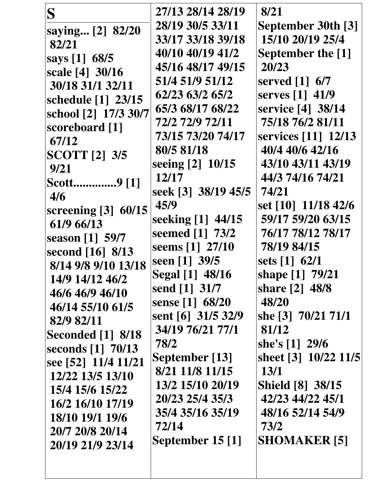| S                        | 27/13 28/14 28/19      | 8/21                                         |
|--------------------------|------------------------|----------------------------------------------|
| saying [2] 82/20         | 28/19 30/5 33/11       | September 30th [3]                           |
| 82/21                    | 33/17 33/18 39/18      | 15/10 20/19 25/4                             |
| says [1] 68/5            | 40/10 40/19 41/2       | <b>September the [1]</b>                     |
| scale [4] 30/16          | 45/16 48/17 49/15      | 20/23                                        |
| 30/18 31/1 32/11         | 51/4 51/9 51/12        | served $\begin{bmatrix} 1 \end{bmatrix}$ 6/7 |
| schedule [1] 23/15       | 62/23 63/2 65/2        | serves [1] 41/9                              |
| school [2] 17/3 30/7     | 65/3 68/17 68/22       | service [4] 38/14                            |
| scoreboard [1]           | 72/2 72/9 72/11        | 75/18 76/2 81/11                             |
| 67/12                    | 73/15 73/20 74/17      | services [11] 12/13                          |
| <b>SCOTT</b> [2] 3/5     | 80/5 81/18             | 40/4 40/6 42/16                              |
| 9/21                     | seeing [2] 10/15       | 43/10 43/11 43/19                            |
| Scott9 [1]               | 12/17                  | 44/3 74/16 74/21                             |
| 4/6                      | seek [3] 38/19 45/5    | 74/21                                        |
| screening [3] 60/15      | 45/9                   | set [10] 11/18 42/6                          |
| 61/9 66/13               | seeking [1] 44/15      | 59/17 59/20 63/15                            |
| season [1] 59/7          | seemed [1] 73/2        | 76/17 78/12 78/17                            |
| second [16] 8/13         | seems [1] 27/10        | 78/19 84/15                                  |
| 8/14 9/8 9/10 13/18      | seen [1] 39/5          | sets $[1]$ 62/1                              |
| 14/9 14/12 46/2          | <b>Segal</b> [1] 48/16 | shape [1] 79/21                              |
| 46/6 46/9 46/10          | send [1] 31/7          | share [2] 48/8                               |
| 46/14 55/10 61/5         | sense [1] 68/20        | 48/20                                        |
| 82/9 82/11               | sent [6] 31/5 32/9     | she [3] 70/21 71/1                           |
| <b>Seconded</b> [1] 8/18 | 34/19 76/21 77/1       | 81/12                                        |
| seconds [1] 70/13        | 78/2                   | she's $[1]$ 29/6                             |
| see [52] 11/4 11/21      | September [13]         | sheet [3] 10/22 11/5                         |
| 12/22 13/5 13/10         | 8/21 11/8 11/15        | <b>13/1</b>                                  |
| 15/4 15/6 15/22          | 13/2 15/10 20/19       | <b>Shield</b> [8] 38/15                      |
| 16/2 16/10 17/19         | 20/23 25/4 35/3        | 42/23 44/22 45/1                             |
| 18/10 19/1 19/6          | 35/4 35/16 35/19       | 48/16 52/14 54/9                             |
| 20/7 20/8 20/14          | 72/14                  | 73/2                                         |
| 20/19 21/9 23/14         | September 15 [1]       | <b>SHOMAKER [5]</b>                          |
|                          |                        |                                              |
|                          |                        |                                              |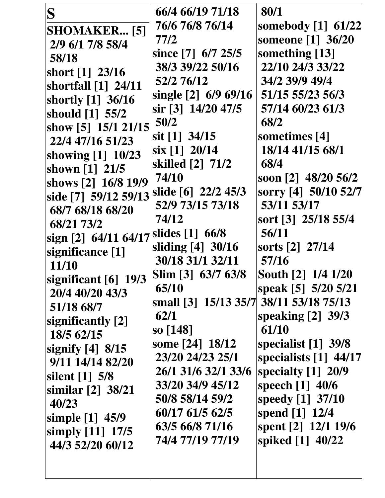| 76/6 76/8 76/14<br>somebody [1] 61/22<br><b>SHOMAKER</b> [5]<br>someone [1] 36/20<br>77/2<br>2/9 6/1 7/8 58/4<br>something [13]<br>since [7] 6/7 25/5<br>58/18<br>38/3 39/22 50/16<br>22/10 24/3 33/22<br>short [1] 23/16<br>52/2 76/12<br>34/2 39/9 49/4<br>shortfall [1] 24/11<br>51/15 55/23 56/3<br>single [2] 6/9 69/16<br>shortly [1] 36/16<br>sir [3] 14/20 47/5<br>57/14 60/23 61/3<br>should [1] 55/2<br>50/2<br>68/2<br>show [5] 15/1 21/15<br>$s$ it [1] 34/15<br>sometimes [4]<br>22/4 47/16 51/23<br>18/14 41/15 68/1<br>six [1] 20/14<br>showing [1] 10/23<br>skilled [2] 71/2<br>68/4<br>shown [1] 21/5<br>74/10<br>soon [2] 48/20 56/2<br>shows [2] 16/8 19/9<br>side [7] 59/12 59/13 slide [6] 22/2 45/3<br>52/9 73/15 73/18<br>53/11 53/17<br>68/7 68/18 68/20<br>sort [3] 25/18 55/4<br>74/12<br>68/21 73/2<br> sign [2] 64/11 64/17  <sup> slides</sup> [1] 66/8<br>56/11<br>sliding [4] 30/16<br>sorts [2] 27/14<br>significance [1]<br>30/18 31/1 32/11<br>57/16<br>11/10<br>Slim [3] 63/7 63/8<br>South [2] 1/4 1/20<br>significant $[6]$ 19/3<br>65/10<br>speak [5] 5/20 5/21<br>20/4 40/20 43/3<br>small [3] 15/13 35/7 38/11 53/18 75/13<br>51/18 68/7<br>62/1<br>speaking $[2]$ 39/3<br>significantly [2]<br>61/10<br>so [148]<br>18/5 62/15<br>some [24] 18/12<br>specialist $[1]$ 39/8<br>signify $[4]$ 8/15<br>23/20 24/23 25/1<br>9/11 14/14 82/20<br>26/1 31/6 32/1 33/6<br>specialty $[1]$ 20/9<br>silent $\lceil 1 \rceil$ 5/8<br>33/20 34/9 45/12<br>speech [1] 40/6<br>similar $[2]$ 38/21<br>speedy [1] 37/10<br>50/8 58/14 59/2<br>40/23<br>spend [1] 12/4<br>60/17 61/5 62/5<br>simple [1] 45/9<br>63/5 66/8 71/16<br>spent [2] 12/1 19/6<br>simply [11] 17/5<br>74/4 77/19 77/19<br>spiked [1] 40/22<br>44/3 52/20 60/12 |   |                  | 80/1                  |
|------------------------------------------------------------------------------------------------------------------------------------------------------------------------------------------------------------------------------------------------------------------------------------------------------------------------------------------------------------------------------------------------------------------------------------------------------------------------------------------------------------------------------------------------------------------------------------------------------------------------------------------------------------------------------------------------------------------------------------------------------------------------------------------------------------------------------------------------------------------------------------------------------------------------------------------------------------------------------------------------------------------------------------------------------------------------------------------------------------------------------------------------------------------------------------------------------------------------------------------------------------------------------------------------------------------------------------------------------------------------------------------------------------------------------------------------------------------------------------------------------------------------------------------------------------------------------------------------------------------------------------------------------------------------------------------------------------------------------------------------------------------|---|------------------|-----------------------|
|                                                                                                                                                                                                                                                                                                                                                                                                                                                                                                                                                                                                                                                                                                                                                                                                                                                                                                                                                                                                                                                                                                                                                                                                                                                                                                                                                                                                                                                                                                                                                                                                                                                                                                                                                                  | S | 66/4 66/19 71/18 |                       |
|                                                                                                                                                                                                                                                                                                                                                                                                                                                                                                                                                                                                                                                                                                                                                                                                                                                                                                                                                                                                                                                                                                                                                                                                                                                                                                                                                                                                                                                                                                                                                                                                                                                                                                                                                                  |   |                  |                       |
|                                                                                                                                                                                                                                                                                                                                                                                                                                                                                                                                                                                                                                                                                                                                                                                                                                                                                                                                                                                                                                                                                                                                                                                                                                                                                                                                                                                                                                                                                                                                                                                                                                                                                                                                                                  |   |                  |                       |
|                                                                                                                                                                                                                                                                                                                                                                                                                                                                                                                                                                                                                                                                                                                                                                                                                                                                                                                                                                                                                                                                                                                                                                                                                                                                                                                                                                                                                                                                                                                                                                                                                                                                                                                                                                  |   |                  |                       |
|                                                                                                                                                                                                                                                                                                                                                                                                                                                                                                                                                                                                                                                                                                                                                                                                                                                                                                                                                                                                                                                                                                                                                                                                                                                                                                                                                                                                                                                                                                                                                                                                                                                                                                                                                                  |   |                  |                       |
|                                                                                                                                                                                                                                                                                                                                                                                                                                                                                                                                                                                                                                                                                                                                                                                                                                                                                                                                                                                                                                                                                                                                                                                                                                                                                                                                                                                                                                                                                                                                                                                                                                                                                                                                                                  |   |                  |                       |
|                                                                                                                                                                                                                                                                                                                                                                                                                                                                                                                                                                                                                                                                                                                                                                                                                                                                                                                                                                                                                                                                                                                                                                                                                                                                                                                                                                                                                                                                                                                                                                                                                                                                                                                                                                  |   |                  |                       |
|                                                                                                                                                                                                                                                                                                                                                                                                                                                                                                                                                                                                                                                                                                                                                                                                                                                                                                                                                                                                                                                                                                                                                                                                                                                                                                                                                                                                                                                                                                                                                                                                                                                                                                                                                                  |   |                  |                       |
|                                                                                                                                                                                                                                                                                                                                                                                                                                                                                                                                                                                                                                                                                                                                                                                                                                                                                                                                                                                                                                                                                                                                                                                                                                                                                                                                                                                                                                                                                                                                                                                                                                                                                                                                                                  |   |                  |                       |
|                                                                                                                                                                                                                                                                                                                                                                                                                                                                                                                                                                                                                                                                                                                                                                                                                                                                                                                                                                                                                                                                                                                                                                                                                                                                                                                                                                                                                                                                                                                                                                                                                                                                                                                                                                  |   |                  |                       |
|                                                                                                                                                                                                                                                                                                                                                                                                                                                                                                                                                                                                                                                                                                                                                                                                                                                                                                                                                                                                                                                                                                                                                                                                                                                                                                                                                                                                                                                                                                                                                                                                                                                                                                                                                                  |   |                  |                       |
|                                                                                                                                                                                                                                                                                                                                                                                                                                                                                                                                                                                                                                                                                                                                                                                                                                                                                                                                                                                                                                                                                                                                                                                                                                                                                                                                                                                                                                                                                                                                                                                                                                                                                                                                                                  |   |                  |                       |
|                                                                                                                                                                                                                                                                                                                                                                                                                                                                                                                                                                                                                                                                                                                                                                                                                                                                                                                                                                                                                                                                                                                                                                                                                                                                                                                                                                                                                                                                                                                                                                                                                                                                                                                                                                  |   |                  |                       |
|                                                                                                                                                                                                                                                                                                                                                                                                                                                                                                                                                                                                                                                                                                                                                                                                                                                                                                                                                                                                                                                                                                                                                                                                                                                                                                                                                                                                                                                                                                                                                                                                                                                                                                                                                                  |   |                  | sorry [4] 50/10 52/7  |
|                                                                                                                                                                                                                                                                                                                                                                                                                                                                                                                                                                                                                                                                                                                                                                                                                                                                                                                                                                                                                                                                                                                                                                                                                                                                                                                                                                                                                                                                                                                                                                                                                                                                                                                                                                  |   |                  |                       |
|                                                                                                                                                                                                                                                                                                                                                                                                                                                                                                                                                                                                                                                                                                                                                                                                                                                                                                                                                                                                                                                                                                                                                                                                                                                                                                                                                                                                                                                                                                                                                                                                                                                                                                                                                                  |   |                  |                       |
|                                                                                                                                                                                                                                                                                                                                                                                                                                                                                                                                                                                                                                                                                                                                                                                                                                                                                                                                                                                                                                                                                                                                                                                                                                                                                                                                                                                                                                                                                                                                                                                                                                                                                                                                                                  |   |                  |                       |
|                                                                                                                                                                                                                                                                                                                                                                                                                                                                                                                                                                                                                                                                                                                                                                                                                                                                                                                                                                                                                                                                                                                                                                                                                                                                                                                                                                                                                                                                                                                                                                                                                                                                                                                                                                  |   |                  |                       |
|                                                                                                                                                                                                                                                                                                                                                                                                                                                                                                                                                                                                                                                                                                                                                                                                                                                                                                                                                                                                                                                                                                                                                                                                                                                                                                                                                                                                                                                                                                                                                                                                                                                                                                                                                                  |   |                  |                       |
|                                                                                                                                                                                                                                                                                                                                                                                                                                                                                                                                                                                                                                                                                                                                                                                                                                                                                                                                                                                                                                                                                                                                                                                                                                                                                                                                                                                                                                                                                                                                                                                                                                                                                                                                                                  |   |                  |                       |
|                                                                                                                                                                                                                                                                                                                                                                                                                                                                                                                                                                                                                                                                                                                                                                                                                                                                                                                                                                                                                                                                                                                                                                                                                                                                                                                                                                                                                                                                                                                                                                                                                                                                                                                                                                  |   |                  |                       |
|                                                                                                                                                                                                                                                                                                                                                                                                                                                                                                                                                                                                                                                                                                                                                                                                                                                                                                                                                                                                                                                                                                                                                                                                                                                                                                                                                                                                                                                                                                                                                                                                                                                                                                                                                                  |   |                  |                       |
|                                                                                                                                                                                                                                                                                                                                                                                                                                                                                                                                                                                                                                                                                                                                                                                                                                                                                                                                                                                                                                                                                                                                                                                                                                                                                                                                                                                                                                                                                                                                                                                                                                                                                                                                                                  |   |                  |                       |
|                                                                                                                                                                                                                                                                                                                                                                                                                                                                                                                                                                                                                                                                                                                                                                                                                                                                                                                                                                                                                                                                                                                                                                                                                                                                                                                                                                                                                                                                                                                                                                                                                                                                                                                                                                  |   |                  |                       |
|                                                                                                                                                                                                                                                                                                                                                                                                                                                                                                                                                                                                                                                                                                                                                                                                                                                                                                                                                                                                                                                                                                                                                                                                                                                                                                                                                                                                                                                                                                                                                                                                                                                                                                                                                                  |   |                  |                       |
|                                                                                                                                                                                                                                                                                                                                                                                                                                                                                                                                                                                                                                                                                                                                                                                                                                                                                                                                                                                                                                                                                                                                                                                                                                                                                                                                                                                                                                                                                                                                                                                                                                                                                                                                                                  |   |                  | specialists [1] 44/17 |
|                                                                                                                                                                                                                                                                                                                                                                                                                                                                                                                                                                                                                                                                                                                                                                                                                                                                                                                                                                                                                                                                                                                                                                                                                                                                                                                                                                                                                                                                                                                                                                                                                                                                                                                                                                  |   |                  |                       |
|                                                                                                                                                                                                                                                                                                                                                                                                                                                                                                                                                                                                                                                                                                                                                                                                                                                                                                                                                                                                                                                                                                                                                                                                                                                                                                                                                                                                                                                                                                                                                                                                                                                                                                                                                                  |   |                  |                       |
|                                                                                                                                                                                                                                                                                                                                                                                                                                                                                                                                                                                                                                                                                                                                                                                                                                                                                                                                                                                                                                                                                                                                                                                                                                                                                                                                                                                                                                                                                                                                                                                                                                                                                                                                                                  |   |                  |                       |
|                                                                                                                                                                                                                                                                                                                                                                                                                                                                                                                                                                                                                                                                                                                                                                                                                                                                                                                                                                                                                                                                                                                                                                                                                                                                                                                                                                                                                                                                                                                                                                                                                                                                                                                                                                  |   |                  |                       |
|                                                                                                                                                                                                                                                                                                                                                                                                                                                                                                                                                                                                                                                                                                                                                                                                                                                                                                                                                                                                                                                                                                                                                                                                                                                                                                                                                                                                                                                                                                                                                                                                                                                                                                                                                                  |   |                  |                       |
|                                                                                                                                                                                                                                                                                                                                                                                                                                                                                                                                                                                                                                                                                                                                                                                                                                                                                                                                                                                                                                                                                                                                                                                                                                                                                                                                                                                                                                                                                                                                                                                                                                                                                                                                                                  |   |                  |                       |
|                                                                                                                                                                                                                                                                                                                                                                                                                                                                                                                                                                                                                                                                                                                                                                                                                                                                                                                                                                                                                                                                                                                                                                                                                                                                                                                                                                                                                                                                                                                                                                                                                                                                                                                                                                  |   |                  |                       |
|                                                                                                                                                                                                                                                                                                                                                                                                                                                                                                                                                                                                                                                                                                                                                                                                                                                                                                                                                                                                                                                                                                                                                                                                                                                                                                                                                                                                                                                                                                                                                                                                                                                                                                                                                                  |   |                  |                       |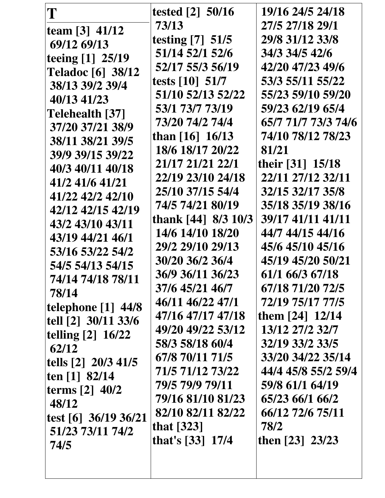| T                                 | tested $[2]$ 50/16  | 19/16 24/5 24/18    |
|-----------------------------------|---------------------|---------------------|
| team $[3]$ 41/12                  | 73/13               | 27/5 27/18 29/1     |
| 69/12 69/13                       | testing [7] 51/5    | 29/8 31/12 33/8     |
| teeing [1] 25/19                  | 51/14 52/1 52/6     | 34/3 34/5 42/6      |
| <b>Teladoc</b> [6] 38/12          | 52/17 55/3 56/19    | 42/20 47/23 49/6    |
| 38/13 39/2 39/4                   | tests $[10]$ 51/7   | 53/3 55/11 55/22    |
| 40/13 41/23                       | 51/10 52/13 52/22   | 55/23 59/10 59/20   |
| Telehealth [37]                   | 53/1 73/7 73/19     | 59/23 62/19 65/4    |
| 37/20 37/21 38/9                  | 73/20 74/2 74/4     | 65/7 71/7 73/3 74/6 |
| 38/11 38/21 39/5                  | than $[16]$ 16/13   | 74/10 78/12 78/23   |
| 39/9 39/15 39/22                  | 18/6 18/17 20/22    | 81/21               |
| 40/3 40/11 40/18                  | 21/17 21/21 22/1    | their [31] 15/18    |
| 41/2 41/6 41/21                   | 22/19 23/10 24/18   | 22/11 27/12 32/11   |
| 41/22 42/2 42/10                  | 25/10 37/15 54/4    | 32/15 32/17 35/8    |
| 42/12 42/15 42/19                 | 74/5 74/21 80/19    | 35/18 35/19 38/16   |
| 43/2 43/10 43/11                  | thank [44] 8/3 10/3 | 39/17 41/11 41/11   |
| 43/19 44/21 46/1                  | 14/6 14/10 18/20    | 44/7 44/15 44/16    |
| 53/16 53/22 54/2                  | 29/2 29/10 29/13    | 45/6 45/10 45/16    |
| 54/5 54/13 54/15                  | 30/20 36/2 36/4     | 45/19 45/20 50/21   |
| 74/14 74/18 78/11                 | 36/9 36/11 36/23    | 61/1 66/3 67/18     |
| 78/14                             | 37/6 45/21 46/7     | 67/18 71/20 72/5    |
| telephone $[1]$ 44/8              | 46/11 46/22 47/1    | 72/19 75/17 77/5    |
| tell [2] 30/11 33/6               | 47/16 47/17 47/18   | them [24] 12/14     |
| telling $[2]$ 16/22               | 49/20 49/22 53/12   | 13/12 27/2 32/7     |
| 62/12                             | 58/3 58/18 60/4     | 32/19 33/2 33/5     |
| tells $\lceil 2 \rceil$ 20/3 41/5 | 67/8 70/11 71/5     | 33/20 34/22 35/14   |
| ten $[1]$ 82/14                   | 71/5 71/12 73/22    | 44/4 45/8 55/2 59/4 |
| terms $[2]$ 40/2                  | 79/5 79/9 79/11     | 59/8 61/1 64/19     |
| 48/12                             | 79/16 81/10 81/23   | 65/23 66/1 66/2     |
| test [6] $36/19$ 36/21            | 82/10 82/11 82/22   | 66/12 72/6 75/11    |
| 51/23 73/11 74/2                  | that $[323]$        | 78/2                |
| 74/5                              | that's [33] 17/4    | then [23] 23/23     |
|                                   |                     |                     |
|                                   |                     |                     |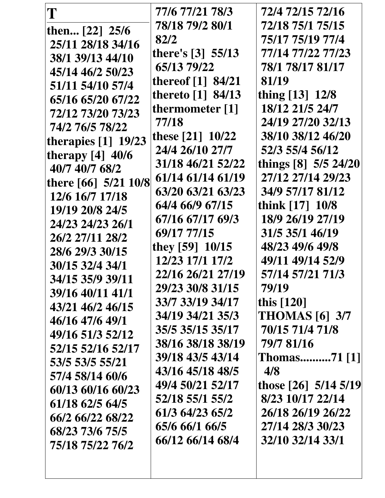| T                     | 77/6 77/21 78/3     | 72/4 72/15 72/16      |
|-----------------------|---------------------|-----------------------|
| then [22] 25/6        | 78/18 79/2 80/1     | 72/18 75/1 75/15      |
| 25/11 28/18 34/16     | 82/2                | 75/17 75/19 77/4      |
| 38/1 39/13 44/10      | there's $[3]$ 55/13 | 77/14 77/22 77/23     |
| 45/14 46/2 50/23      | 65/13 79/22         | 78/1 78/17 81/17      |
| 51/11 54/10 57/4      | thereof $[1]$ 84/21 | 81/19                 |
| 65/16 65/20 67/22     | thereto $[1]$ 84/13 | thing [13] 12/8       |
| 72/12 73/20 73/23     | thermometer [1]     | 18/12 21/5 24/7       |
| 74/2 76/5 78/22       | 77/18               | 24/19 27/20 32/13     |
| therapies $[1]$ 19/23 | these [21] 10/22    | 38/10 38/12 46/20     |
| therapy $[4]$ 40/6    | 24/4 26/10 27/7     | 52/3 55/4 56/12       |
| 40/7 40/7 68/2        | 31/18 46/21 52/22   | things [8] 5/5 24/20  |
| there [66] 5/21 10/8  | 61/14 61/14 61/19   | 27/12 27/14 29/23     |
| 12/6 16/7 17/18       | 63/20 63/21 63/23   | 34/9 57/17 81/12      |
| 19/19 20/8 24/5       | 64/4 66/9 67/15     | think [17] 10/8       |
| 24/23 24/23 26/1      | 67/16 67/17 69/3    | 18/9 26/19 27/19      |
| 26/2 27/11 28/2       | 69/17 77/15         | 31/5 35/1 46/19       |
| 28/6 29/3 30/15       | they $[59]$ 10/15   | 48/23 49/6 49/8       |
| 30/15 32/4 34/1       | 12/23 17/1 17/2     | 49/11 49/14 52/9      |
| 34/15 35/9 39/11      | 22/16 26/21 27/19   | 57/14 57/21 71/3      |
| 39/16 40/11 41/1      | 29/23 30/8 31/15    | 79/19                 |
| 43/21 46/2 46/15      | 33/7 33/19 34/17    | this [120]            |
| 46/16 47/6 49/1       | 34/19 34/21 35/3    | <b>THOMAS</b> [6] 3/7 |
| 49/16 51/3 52/12      | 35/5 35/15 35/17    | 70/15 71/4 71/8       |
| 52/15 52/16 52/17     | 38/16 38/18 38/19   | 79/7 81/16            |
| 53/5 53/5 55/21       | 39/18 43/5 43/14    | <b>Thomas71</b> [1]   |
| 57/4 58/14 60/6       | 43/16 45/18 48/5    | 4/8                   |
| 60/13 60/16 60/23     | 49/4 50/21 52/17    | those [26] 5/14 5/19  |
| 61/18 62/5 64/5       | 52/18 55/1 55/2     | 8/23 10/17 22/14      |
| 66/2 66/22 68/22      | 61/3 64/23 65/2     | 26/18 26/19 26/22     |
| 68/23 73/6 75/5       | 65/6 66/1 66/5      | 27/14 28/3 30/23      |
| 75/18 75/22 76/2      | 66/12 66/14 68/4    | 32/10 32/14 33/1      |
|                       |                     |                       |
|                       |                     |                       |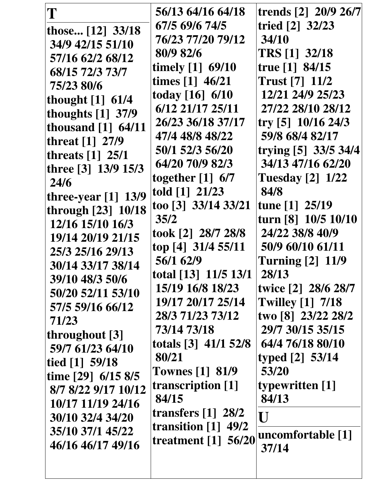| T                                                          | 56/13 64/16 64/18                                         | trends [2] 20/9 26/7                                       |
|------------------------------------------------------------|-----------------------------------------------------------|------------------------------------------------------------|
| those [12] 33/18                                           | 67/5 69/6 74/5                                            | tried [2] 32/23                                            |
| 34/9 42/15 51/10                                           | 76/23 77/20 79/12                                         | 34/10                                                      |
| 57/16 62/2 68/12                                           | 80/9 82/6                                                 | <b>TRS</b> [1] 32/18                                       |
| 68/15 72/3 73/7                                            | timely $[1]$ 69/10                                        | true $[1]$ 84/15                                           |
| 75/23 80/6                                                 | times [1] 46/21                                           | <b>Trust</b> [7] 11/2                                      |
| thought [1] 61/4                                           | today $[16] 6/10$                                         | 12/21 24/9 25/23                                           |
| thoughts [1] 37/9                                          | 6/12 21/17 25/11                                          | 27/22 28/10 28/12                                          |
| thousand $[1]$ 64/11                                       | 26/23 36/18 37/17                                         | try [5] 10/16 24/3                                         |
| threat [1] 27/9                                            | 47/4 48/8 48/22                                           | 59/8 68/4 82/17                                            |
| threats $[1]$ 25/1                                         | 50/1 52/3 56/20                                           | trying [5] 33/5 34/4                                       |
| three [3] 13/9 15/3                                        | 64/20 70/9 82/3                                           | 34/13 47/16 62/20                                          |
| 24/6                                                       | together $[1]$ 6/7                                        | <b>Tuesday</b> [2] 1/22                                    |
| three-year $[1]$ 13/9                                      | told $[1]$ 21/23                                          | 84/8                                                       |
| through [23] 10/18                                         | too [3] 33/14 33/21                                       | tune [1] 25/19                                             |
| 12/16 15/10 16/3                                           | 35/2                                                      | turn [8] 10/5 10/10                                        |
| 19/14 20/19 21/15                                          | took [2] 28/7 28/8                                        | 24/22 38/8 40/9                                            |
| 25/3 25/16 29/13                                           | top [4] 31/4 55/11                                        | 50/9 60/10 61/11                                           |
| 30/14 33/17 38/14                                          | 56/1 62/9                                                 | <b>Turning [2] 11/9</b>                                    |
| 39/10 48/3 50/6                                            | total [13] 11/5 13/1                                      | 28/13                                                      |
| 50/20 52/11 53/10                                          | 15/19 16/8 18/23                                          | twice [2] 28/6 28/7                                        |
| 57/5 59/16 66/12                                           | 19/17 20/17 25/14                                         | <b>Twilley [1] 7/18</b>                                    |
| 71/23<br>throughout [3]                                    | 28/3 71/23 73/12<br>73/14 73/18<br>totals $[3]$ 41/1 52/8 | two [8] 23/22 28/2<br>29/7 30/15 35/15<br>64/4 76/18 80/10 |
| 59/7 61/23 64/10<br>tied [1] 59/18<br>time $[29]$ 6/15 8/5 | 80/21<br><b>Townes</b> [1] 81/9                           | typed [2] 53/14<br>53/20                                   |
| 8/7 8/22 9/17 10/12                                        | transcription [1]                                         | typewritten [1]                                            |
| 10/17 11/19 24/16                                          | 84/15                                                     | 84/13                                                      |
| 30/10 32/4 34/20                                           | transfers $\lceil 1 \rceil$ 28/2                          | $\mathbf I$ J                                              |
| 35/10 37/1 45/22                                           | transition $[1]$ 49/2                                     | uncomfortable [1]                                          |
| 46/16 46/17 49/16                                          | treatment [1] 56/20                                       | 37/14                                                      |
|                                                            |                                                           |                                                            |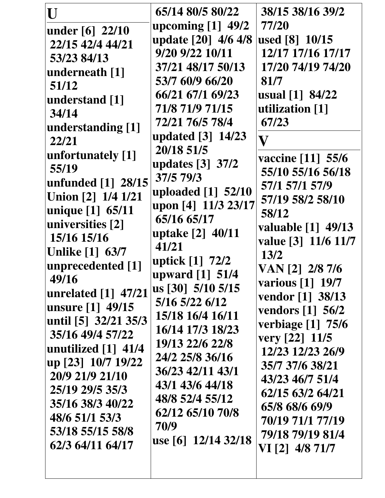| U                                    | 65/14 80/5 80/22                     | 38/15 38/16 39/2               |
|--------------------------------------|--------------------------------------|--------------------------------|
| under [6] 22/10                      | upcoming $[1]$ 49/2                  | 77/20                          |
| 22/15 42/4 44/21                     | update [20] 4/6 4/8                  | used [8] 10/15                 |
| 53/23 84/13                          | 9/20 9/22 10/11                      | 12/17 17/16 17/17              |
| underneath [1]                       | 37/21 48/17 50/13                    | 17/20 74/19 74/20              |
| 51/12                                | 53/7 60/9 66/20                      | 81/7                           |
| understand [1]                       | 66/21 67/1 69/23                     | usual [1] 84/22                |
| 34/14                                | 71/8 71/9 71/15                      | utilization [1]                |
| understanding [1]                    | 72/21 76/5 78/4                      | 67/23                          |
| 22/21                                | updated [3] 14/23                    | $\bar{\mathbf{V}}$             |
| unfortunately [1]                    | 20/18 51/5                           | vaccine [11] 55/6              |
| 55/19                                | updates [3] 37/2                     | 55/10 55/16 56/18              |
| unfunded [1] 28/15                   | 37/5 79/3                            | 57/1 57/1 57/9                 |
| Union [2] 1/4 1/21                   | uploaded [1] 52/10                   | 57/19 58/2 58/10               |
| unique [1] 65/11                     | upon [4] 11/3 23/17                  | 58/12                          |
| universities [2]                     | 65/16 65/17                          | valuable [1] 49/13             |
| 15/16 15/16                          | uptake [2] 40/11                     | value [3] 11/6 11/7            |
| <b>Unlike [1] 63/7</b>               | 41/21                                | 13/2                           |
| unprecedented [1]                    | uptick [1] 72/2                      | VAN [2] 2/8 7/6                |
| 49/16                                | upward [1] 51/4<br>us [30] 5/10 5/15 | various [1] 19/7               |
| unrelated [1] 47/21                  | 5/16 5/22 6/12                       | vendor [1] 38/13               |
| unsure [1] 49/15                     | 15/18 16/4 16/11                     | vendors $\lceil 1 \rceil$ 56/2 |
| until [5] 32/21 35/3                 | 16/14 17/3 18/23                     | verbiage [1] 75/6              |
| 35/16 49/4 57/22                     | 19/13 22/6 22/8                      | very $[22]$ 11/5               |
| unutilized $\lceil 1 \rceil$ 41/4    | 24/2 25/8 36/16                      | 12/23 12/23 26/9               |
| up [23] 10/7 19/22                   | 36/23 42/11 43/1                     | 35/7 37/6 38/21                |
| 20/9 21/9 21/10                      | 43/1 43/6 44/18                      | 43/23 46/7 51/4                |
| 25/19 29/5 35/3                      | 48/8 52/4 55/12                      | 62/15 63/2 64/21               |
| 35/16 38/3 40/22                     | 62/12 65/10 70/8                     | 65/8 68/6 69/9                 |
| 48/6 51/1 53/3                       | 70/9                                 | 70/19 71/1 77/19               |
| 53/18 55/15 58/8<br>62/3 64/11 64/17 | use [6] 12/14 32/18                  | 79/18 79/19 81/4               |
|                                      |                                      | VI [2] 4/8 71/7                |
|                                      |                                      |                                |
|                                      |                                      |                                |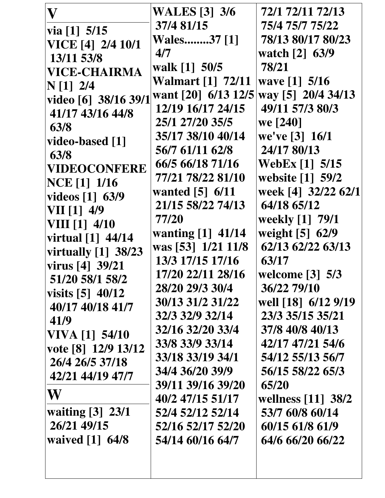| $\mathbf{V}% _{M_{1},M_{2}}^{\alpha,\beta}(\mathbf{r})$ | <b>WALES</b> [3] 3/6     | 72/1 72/11 72/13      |
|---------------------------------------------------------|--------------------------|-----------------------|
| via $[1]$ 5/15                                          | 37/4 81/15               | 75/4 75/7 75/22       |
| VICE [4] 2/4 10/1                                       | <b>Wales37 [1]</b>       | 78/13 80/17 80/23     |
| 13/11 53/8                                              | 4/7                      | watch [2] 63/9        |
| <b>VICE-CHAIRMA</b>                                     | walk [1] 50/5            | 78/21                 |
| N[1] 2/4                                                | <b>Walmart</b> [1] 72/11 | wave [1] 5/16         |
| video [6] 38/16 39/1                                    | want [20] 6/13 12/5      | way [5] 20/4 34/13    |
| 41/17 43/16 44/8                                        | 12/19 16/17 24/15        | 49/11 57/3 80/3       |
| 63/8                                                    | 25/1 27/20 35/5          | we [240]              |
|                                                         | 35/17 38/10 40/14        | we've $[3] 16/1$      |
| video-based [1]                                         | 56/7 61/11 62/8          | 24/17 80/13           |
| 63/8                                                    | 66/5 66/18 71/16         | <b>WebEx</b> [1] 5/15 |
| <b>VIDEOCONFERE</b><br><b>NCE</b> [1] 1/16              | 77/21 78/22 81/10        | website [1] 59/2      |
|                                                         | wanted $[5]$ 6/11        | week [4] 32/22 62/1   |
| videos [1] 63/9                                         | 21/15 58/22 74/13        | 64/18 65/12           |
| VII [1] 4/9                                             | 77/20                    | weekly [1] 79/1       |
| $VIII$ [1] $4/10$                                       | wanting [1] 41/14        | weight [5] 62/9       |
| virtual [1] 44/14                                       | was [53] 1/21 11/8       | 62/13 62/22 63/13     |
| virtually $[1]$ 38/23                                   | 13/3 17/15 17/16         | 63/17                 |
| virus [4] 39/21                                         | 17/20 22/11 28/16        | welcome [3] 5/3       |
| 51/20 58/1 58/2                                         | 28/20 29/3 30/4          | 36/22 79/10           |
| visits $[5]$ 40/12                                      | 30/13 31/2 31/22         | well [18] 6/12 9/19   |
| 40/17 40/18 41/7                                        | 32/3 32/9 32/14          | 23/3 35/15 35/21      |
| 41/9                                                    | 32/16 32/20 33/4         | 37/8 40/8 40/13       |
| VIVA [1] 54/10                                          | 33/8 33/9 33/14          | 42/17 47/21 54/6      |
| vote [8] 12/9 13/12                                     | 33/18 33/19 34/1         | 54/12 55/13 56/7      |
| 26/4 26/5 37/18                                         | 34/4 36/20 39/9          | 56/15 58/22 65/3      |
| 42/21 44/19 47/7                                        | 39/11 39/16 39/20        | 65/20                 |
| W                                                       | 40/2 47/15 51/17         | wellness [11] 38/2    |
| waiting [3] 23/1                                        | 52/4 52/12 52/14         | 53/7 60/8 60/14       |
| 26/21 49/15                                             | 52/16 52/17 52/20        | 60/15 61/8 61/9       |
| waived [1] 64/8                                         | 54/14 60/16 64/7         | 64/6 66/20 66/22      |
|                                                         |                          |                       |
|                                                         |                          |                       |
|                                                         |                          |                       |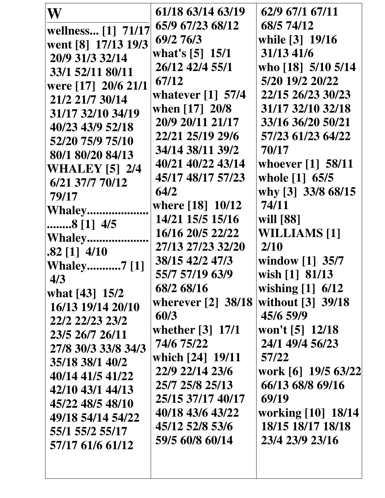| W                     | 61/18 63/14 63/19              | 62/9 67/1 67/11                         |
|-----------------------|--------------------------------|-----------------------------------------|
| wellness [1] 71/17    | 65/9 67/23 68/12               | 68/5 74/12                              |
| went [8] 17/13 19/3   | 69/2 76/3                      | while [3] 19/16                         |
| 20/9 31/3 32/14       | what's $[5]$ 15/1              | 31/13 41/6                              |
| 33/1 52/11 80/11      | 26/12 42/4 55/1                | who [18] 5/10 5/14                      |
| were [17] 20/6 21/1   | 67/12                          | 5/20 19/2 20/22                         |
| 21/2 21/7 30/14       | whatever $[1]$ 57/4            | 22/15 26/23 30/23                       |
| 31/17 32/10 34/19     | when $[17] 20/8$               | 31/17 32/10 32/18                       |
| 40/23 43/9 52/18      | 20/9 20/11 21/17               | 33/16 36/20 50/21                       |
|                       | 22/21 25/19 29/6               | 57/23 61/23 64/22                       |
| 52/20 75/9 75/10      | 34/14 38/11 39/2               | 70/17                                   |
| 80/1 80/20 84/13      | 40/21 40/22 43/14              | whoever [1] 58/11                       |
| <b>WHALEY</b> [5] 2/4 | 45/17 48/17 57/23              | whole [1] 65/5                          |
| 6/21 37/7 70/12       | 64/2                           | why [3] 33/8 68/15                      |
| 79/17                 | where [18] 10/12               | 74/11                                   |
| Whaley                | 14/21 15/5 15/16               | will [88]                               |
| 8 [1] 4/5             | 16/16 20/5 22/22               | <b>WILLIAMS</b> [1]                     |
| <b>Whaley</b>         | 27/13 27/23 32/20              | 2/10                                    |
| $.82$ [1] $4/10$      | 38/15 42/2 47/3                | window $\lceil 1 \rceil$ 35/7           |
| <b>Whaley7</b> [1]    | 55/7 57/19 63/9                | wish [1] 81/13                          |
| 4/3                   | 68/2 68/16                     | wishing $[1]$ 6/12                      |
| what [43] 15/2        | wherever $[2]$ 38/18           | without [3] 39/18                       |
| 16/13 19/14 20/10     | 60/3                           | 45/6 59/9                               |
| 22/2 22/23 23/2       | whether $\lceil 3 \rceil$ 17/1 | won't [5] 12/18                         |
| 23/5 26/7 26/11       | 74/6 75/22                     | 24/1 49/4 56/23                         |
| 27/8 30/3 33/8 34/3   | which [24] 19/11               | 57/22                                   |
| 35/18 38/1 40/2       | 22/9 22/14 23/6                | work [6] 19/5 63/22                     |
| 40/14 41/5 41/22      | 25/7 25/8 25/13                | 66/13 68/8 69/16                        |
| 42/10 43/1 44/13      | 25/15 37/17 40/17              | 69/19                                   |
| 45/22 48/5 48/10      | 40/18 43/6 43/22               |                                         |
| 49/18 54/14 54/22     | 45/12 52/8 53/6                | working [10] 18/14<br>18/15 18/17 18/18 |
| 55/1 55/2 55/17       |                                | 23/4 23/9 23/16                         |
| 57/17 61/6 61/12      | 59/5 60/8 60/14                |                                         |
|                       |                                |                                         |
|                       |                                |                                         |